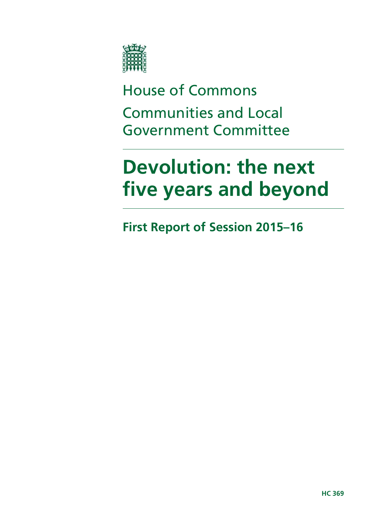

House of Commons Communities and Local Government Committee

# **Devolution: the next five years and beyond**

**First Report of Session 2015–16**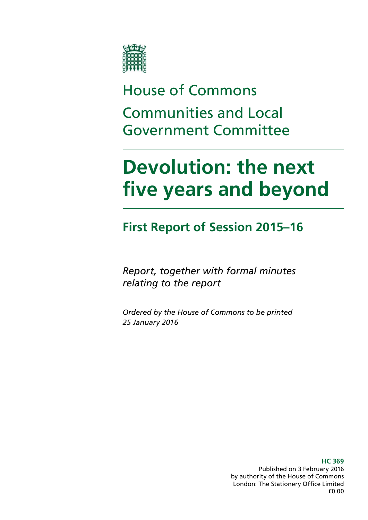

# House of Commons Communities and Local Government Committee

# **Devolution: the next five years and beyond**

### **First Report of Session 2015–16**

*Report, together with formal minutes relating to the report*

*Ordered by the House of Commons to be printed 25 January 2016*

> **HC 369** Published on 3 February 2016 by authority of the House of Commons London: The Stationery Office Limited £0.00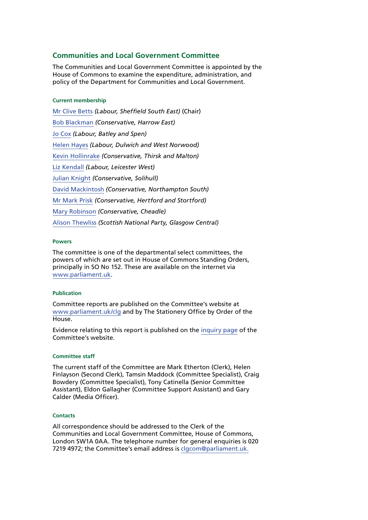#### **Communities and Local Government Committee**

The Communities and Local Government Committee is appointed by the House of Commons to examine the expenditure, administration, and policy of the Department for Communities and Local Government.

#### **Current membership**

[Mr Clive Betts](http://www.parliament.uk/biographies/commons/mr-clive-betts/394) *(Labour, Sheffield South East)* (Chair) [Bob Blackman](http://www.parliament.uk/biographies/commons/bob-blackman/4005) *(Conservative, Harrow East)* [Jo Cox](http://www.parliament.uk/biographies/commons/jo-cox/4375) *(Labour, Batley and Spen)* [Helen Hayes](http://www.parliament.uk/biographies/commons/helen-hayes/4510) *(Labour, Dulwich and West Norwood)* [Kevin Hollinrake](http://www.parliament.uk/biographies/commons/kevin-hollinrake/4474) *(Conservative, Thirsk and Malton)* [Liz Kendall](http://www.parliament.uk/biographies/commons/liz-kendall/4026) *(Labour, Leicester West)* [Julian Knight](http://www.parliament.uk/biographies/commons/julian-knight/4410) *(Conservative, Solihull)* [David Mackintosh](http://www.parliament.uk/biographies/commons/david-mackintosh/4431) *(Conservative, Northampton South)* [Mr Mark Prisk](http://www.parliament.uk/biographies/commons/mr-mark-prisk/1424) *(Conservative, Hertford and Stortford)* [Mary Robinson](http://www.parliament.uk/biographies/commons/mary-robinson/4406) *(Conservative, Cheadle)* [Alison Thewliss](http://www.parliament.uk/biographies/commons/alison-thewliss/4430) *(Scottish National Party, Glasgow Central)*

#### **Powers**

The committee is one of the departmental select committees, the powers of which are set out in House of Commons Standing Orders, principally in SO No 152. These are available on the internet via [www.parliament.uk](http://www.parliament.uk).

#### **Publication**

Committee reports are published on the Committee's website at [www.parliament.uk/clg](http://www.parliament.uk/clg) and by The Stationery Office by Order of the House.

Evidence relating to this report is published on the [inquiry page](http://www.parliament.uk/business/committees/committees-a-z/commons-select/communities-and-local-government-committee/inquiries/parliament-2015/planning-and-productivity-1/) of the Committee's website.

#### **Committee staff**

The current staff of the Committee are Mark Etherton (Clerk), Helen Finlayson (Second Clerk), Tamsin Maddock (Committee Specialist), Craig Bowdery (Committee Specialist), Tony Catinella (Senior Committee Assistant), Eldon Gallagher (Committee Support Assistant) and Gary Calder (Media Officer).

#### **Contacts**

All correspondence should be addressed to the Clerk of the Communities and Local Government Committee, House of Commons, London SW1A 0AA. The telephone number for general enquiries is 020 7219 4972; the Committee's email address is [clgcom@parliament.uk.](mailto:clgcom@parliament.uk)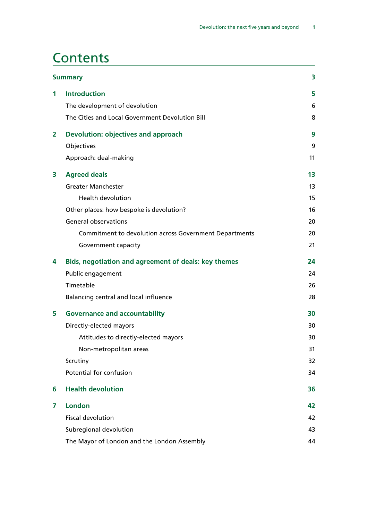### **Contents**

|              | <b>Summary</b>                                         | 3  |
|--------------|--------------------------------------------------------|----|
| $\mathbf{1}$ | <b>Introduction</b>                                    | 5  |
|              | The development of devolution                          | 6  |
|              | The Cities and Local Government Devolution Bill        | 8  |
| 2            | <b>Devolution: objectives and approach</b>             | 9  |
|              | Objectives                                             | 9  |
|              | Approach: deal-making                                  | 11 |
| 3            | <b>Agreed deals</b>                                    | 13 |
|              | <b>Greater Manchester</b>                              | 13 |
|              | <b>Health devolution</b>                               | 15 |
|              | Other places: how bespoke is devolution?               | 16 |
|              | <b>General observations</b>                            | 20 |
|              | Commitment to devolution across Government Departments | 20 |
|              | Government capacity                                    | 21 |
| 4            | Bids, negotiation and agreement of deals: key themes   | 24 |
|              | Public engagement                                      | 24 |
|              | Timetable                                              | 26 |
|              | Balancing central and local influence                  | 28 |
| 5            | <b>Governance and accountability</b>                   | 30 |
|              | Directly-elected mayors                                | 30 |
|              | Attitudes to directly-elected mayors                   | 30 |
|              | Non-metropolitan areas                                 | 31 |
|              | Scrutiny                                               | 32 |
|              | Potential for confusion                                | 34 |
| 6            | <b>Health devolution</b>                               | 36 |
| 7            | <b>London</b>                                          | 42 |
|              | <b>Fiscal devolution</b>                               | 42 |
|              | Subregional devolution                                 | 43 |
|              | The Mayor of London and the London Assembly            | 44 |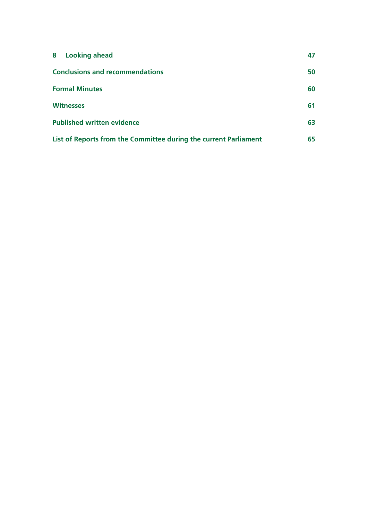| 8<br><b>Looking ahead</b>                                        | 47 |
|------------------------------------------------------------------|----|
| <b>Conclusions and recommendations</b>                           | 50 |
| <b>Formal Minutes</b>                                            | 60 |
| <b>Witnesses</b>                                                 | 61 |
| <b>Published written evidence</b>                                | 63 |
| List of Reports from the Committee during the current Parliament | 65 |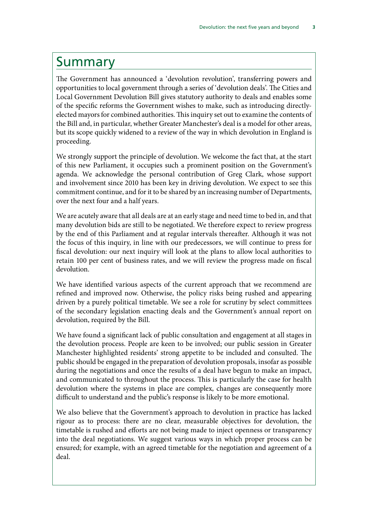### <span id="page-6-0"></span>Summary

The Government has announced a 'devolution revolution', transferring powers and opportunities to local government through a series of 'devolution deals'. The Cities and Local Government Devolution Bill gives statutory authority to deals and enables some of the specific reforms the Government wishes to make, such as introducing directlyelected mayors for combined authorities. This inquiry set out to examine the contents of the Bill and, in particular, whether Greater Manchester's deal is a model for other areas, but its scope quickly widened to a review of the way in which devolution in England is proceeding.

We strongly support the principle of devolution. We welcome the fact that, at the start of this new Parliament, it occupies such a prominent position on the Government's agenda. We acknowledge the personal contribution of Greg Clark, whose support and involvement since 2010 has been key in driving devolution. We expect to see this commitment continue, and for it to be shared by an increasing number of Departments, over the next four and a half years.

We are acutely aware that all deals are at an early stage and need time to bed in, and that many devolution bids are still to be negotiated. We therefore expect to review progress by the end of this Parliament and at regular intervals thereafter. Although it was not the focus of this inquiry, in line with our predecessors, we will continue to press for fiscal devolution: our next inquiry will look at the plans to allow local authorities to retain 100 per cent of business rates, and we will review the progress made on fiscal devolution.

We have identified various aspects of the current approach that we recommend are refined and improved now. Otherwise, the policy risks being rushed and appearing driven by a purely political timetable. We see a role for scrutiny by select committees of the secondary legislation enacting deals and the Government's annual report on devolution, required by the Bill.

We have found a significant lack of public consultation and engagement at all stages in the devolution process. People are keen to be involved; our public session in Greater Manchester highlighted residents' strong appetite to be included and consulted. The public should be engaged in the preparation of devolution proposals, insofar as possible during the negotiations and once the results of a deal have begun to make an impact, and communicated to throughout the process. This is particularly the case for health devolution where the systems in place are complex, changes are consequently more difficult to understand and the public's response is likely to be more emotional.

We also believe that the Government's approach to devolution in practice has lacked rigour as to process: there are no clear, measurable objectives for devolution, the timetable is rushed and efforts are not being made to inject openness or transparency into the deal negotiations. We suggest various ways in which proper process can be ensured; for example, with an agreed timetable for the negotiation and agreement of a deal.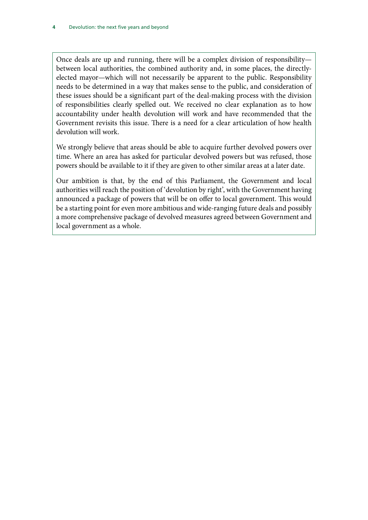Once deals are up and running, there will be a complex division of responsibility between local authorities, the combined authority and, in some places, the directlyelected mayor—which will not necessarily be apparent to the public. Responsibility needs to be determined in a way that makes sense to the public, and consideration of these issues should be a significant part of the deal-making process with the division of responsibilities clearly spelled out. We received no clear explanation as to how accountability under health devolution will work and have recommended that the Government revisits this issue. There is a need for a clear articulation of how health devolution will work.

We strongly believe that areas should be able to acquire further devolved powers over time. Where an area has asked for particular devolved powers but was refused, those powers should be available to it if they are given to other similar areas at a later date.

Our ambition is that, by the end of this Parliament, the Government and local authorities will reach the position of 'devolution by right', with the Government having announced a package of powers that will be on offer to local government. This would be a starting point for even more ambitious and wide-ranging future deals and possibly a more comprehensive package of devolved measures agreed between Government and local government as a whole.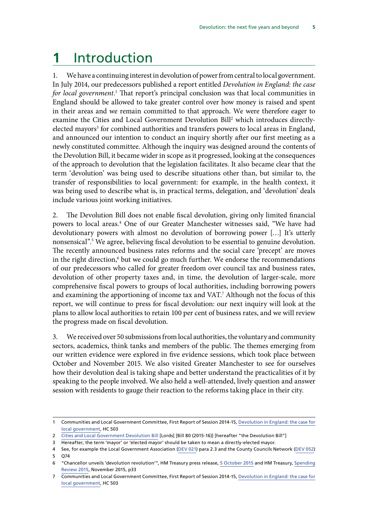### <span id="page-8-0"></span>**1** Introduction

1. We have a continuing interest in devolution of power from central to local government. In July 2014, our predecessors published a report entitled *Devolution in England: the case*  for local government.<sup>1</sup> That report's principal conclusion was that local communities in England should be allowed to take greater control over how money is raised and spent in their areas and we remain committed to that approach. We were therefore eager to examine the Cities and Local Government Devolution Bill<sup>2</sup> which introduces directlyelected mayors<sup>3</sup> for combined authorities and transfers powers to local areas in England, and announced our intention to conduct an inquiry shortly after our first meeting as a newly constituted committee. Although the inquiry was designed around the contents of the Devolution Bill, it became wider in scope as it progressed, looking at the consequences of the approach to devolution that the legislation facilitates. It also became clear that the term 'devolution' was being used to describe situations other than, but similar to, the transfer of responsibilities to local government: for example, in the health context, it was being used to describe what is, in practical terms, delegation, and 'devolution' deals include various joint working initiatives.

2. The Devolution Bill does not enable fiscal devolution, giving only limited financial powers to local areas.4 One of our Greater Manchester witnesses said, "We have had devolutionary powers with almost no devolution of borrowing power […] It's utterly nonsensical".5 We agree, believing fiscal devolution to be essential to genuine devolution. The recently announced business rates reforms and the social care 'precept' are moves in the right direction,<sup>6</sup> but we could go much further. We endorse the recommendations of our predecessors who called for greater freedom over council tax and business rates, devolution of other property taxes and, in time, the devolution of larger-scale, more comprehensive fiscal powers to groups of local authorities, including borrowing powers and examining the apportioning of income tax and VAT.<sup>7</sup> Although not the focus of this report, we will continue to press for fiscal devolution: our next inquiry will look at the plans to allow local authorities to retain 100 per cent of business rates, and we will review the progress made on fiscal devolution.

3. We received over 50 submissions from local authorities, the voluntary and community sectors, academics, think tanks and members of the public. The themes emerging from our written evidence were explored in five evidence sessions, which took place between October and November 2015. We also visited Greater Manchester to see for ourselves how their devolution deal is taking shape and better understand the practicalities of it by speaking to the people involved. We also held a well-attended, lively question and answer session with residents to gauge their reaction to the reforms taking place in their city.

<sup>1</sup> Communities and Local Government Committee, First Report of Session 2014-15, [Devolution in England: the case for](http://www.publications.parliament.uk/pa/cm201415/cmselect/cmcomloc/503/503.pdf) [local government](http://www.publications.parliament.uk/pa/cm201415/cmselect/cmcomloc/503/503.pdf), HC 503

<sup>2</sup> Cities and Local Government Devolution Bill [Lords] [Bill 80 (2015-16)] [hereafter "the Devolution Bill"]

<sup>3</sup> Hereafter, the term 'mayor' or 'elected mayor' should be taken to mean a directly-elected mayor.

<sup>4</sup> See, for example the Local Government Association [\(DEV 021](http://data.parliament.uk/writtenevidence/committeeevidence.svc/evidencedocument/communities-and-local-government-committee/the-governments-cities-and-local-government-devolution-bill/written/20188.pdf)) para 2.3 and the County Councils Network ([DEV 052\)](http://data.parliament.uk/writtenevidence/committeeevidence.svc/evidencedocument/communities-and-local-government-committee/the-governments-cities-and-local-government-devolution-bill/written/21027.pdf) 5 Q74

<sup>6</sup> "Chancellor unveils 'devolution revolution'", HM Treasury press release, [5 October 2015](https://www.gov.uk/government/news/chancellor-unveils-devolution-revolution) and HM Treasury, [Spending](https://www.gov.uk/government/uploads/system/uploads/attachment_data/file/479749/52229_Blue_Book_PU1865_Web_Accessible.pdf) [Review 2015](https://www.gov.uk/government/uploads/system/uploads/attachment_data/file/479749/52229_Blue_Book_PU1865_Web_Accessible.pdf), November 2015, p33

<sup>7</sup> Communities and Local Government Committee, First Report of Session 2014-15, [Devolution in England: the case for](http://www.publications.parliament.uk/pa/cm201415/cmselect/cmcomloc/503/503.pdf) [local government](http://www.publications.parliament.uk/pa/cm201415/cmselect/cmcomloc/503/503.pdf), HC 503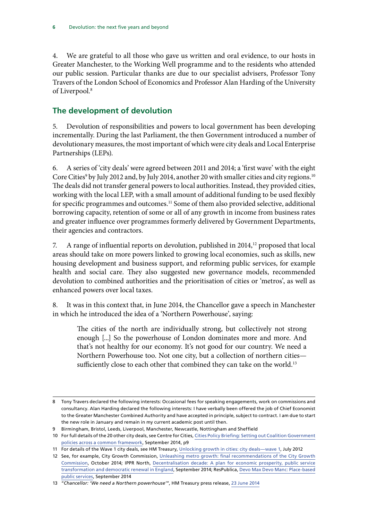<span id="page-9-0"></span>4. We are grateful to all those who gave us written and oral evidence, to our hosts in Greater Manchester, to the Working Well programme and to the residents who attended our public session. Particular thanks are due to our specialist advisers, Professor Tony Travers of the London School of Economics and Professor Alan Harding of the University of Liverpool.<sup>8</sup>

#### **The development of devolution**

5. Devolution of responsibilities and powers to local government has been developing incrementally. During the last Parliament, the then Government introduced a number of devolutionary measures, the most important of which were city deals and Local Enterprise Partnerships (LEPs).

6. A series of 'city deals' were agreed between 2011 and 2014; a 'first wave' with the eight Core Cities<sup>9</sup> by July 2012 and, by July 2014, another 20 with smaller cities and city regions.<sup>10</sup> The deals did not transfer general powers to local authorities. Instead, they provided cities, working with the local LEP, with a small amount of additional funding to be used flexibly for specific programmes and outcomes.<sup>11</sup> Some of them also provided selective, additional borrowing capacity, retention of some or all of any growth in income from business rates and greater influence over programmes formerly delivered by Government Departments, their agencies and contractors.

7. A range of influential reports on devolution, published in 2014,<sup>12</sup> proposed that local areas should take on more powers linked to growing local economies, such as skills, new housing development and business support, and reforming public services, for example health and social care. They also suggested new governance models, recommended devolution to combined authorities and the prioritisation of cities or 'metros', as well as enhanced powers over local taxes.

8. It was in this context that, in June 2014, the Chancellor gave a speech in Manchester in which he introduced the idea of a 'Northern Powerhouse', saying:

The cities of the north are individually strong, but collectively not strong enough [...] So the powerhouse of London dominates more and more. And that's not healthy for our economy. It's not good for our country. We need a Northern Powerhouse too. Not one city, but a collection of northern cities sufficiently close to each other that combined they can take on the world.<sup>13</sup>

<sup>8</sup> Tony Travers declared the following interests: Occasional fees for speaking engagements, work on commissions and consultancy. Alan Harding declared the following interests: I have verbally been offered the job of Chief Economist to the Greater Manchester Combined Authority and have accepted in principle, subject to contract. I am due to start the new role in January and remain in my current academic post until then.

<sup>9</sup> Birmingham, Bristol, Leeds, Liverpool, Manchester, Newcastle, Nottingham and Sheffield

<sup>10</sup> For full details of the 20 other city deals, see Centre for Cities, [Cities Policy Briefing: Setting out Coalition Government](http://www.centreforcities.org/wp-content/uploads/2014/10/14-09-22-Cities-Policy-Briefing.pdf) [policies across a common framework](http://www.centreforcities.org/wp-content/uploads/2014/10/14-09-22-Cities-Policy-Briefing.pdf), September 2014, p9

<sup>11</sup> For details of the Wave 1 city deals, see HM Treasury, [Unlocking growth in cities: city deals—wave 1,](https://www.gov.uk/government/uploads/system/uploads/attachment_data/file/221009/Guide-to-City-Deals-wave-1.pdf) July 2012

<sup>12</sup> See, for example, City Growth Commission, [Unleashing metro growth: final recommendations of the City Growth](http://www.citygrowthcommission.com/wp-content/uploads/2014/10/City-Growth-Commission-Final-Report.pdf) [Commission](http://www.citygrowthcommission.com/wp-content/uploads/2014/10/City-Growth-Commission-Final-Report.pdf), October 2014; IPPR North, [Decentralisation decade: A plan for economic prosperity, public service](http://www.ippr.org/files/publications/pdf/decentralisation-decade_Sep2014.pdf?noredirect=1) [transformation and democratic renewal in England,](http://www.ippr.org/files/publications/pdf/decentralisation-decade_Sep2014.pdf?noredirect=1) September 2014; ResPublica, [Devo Max Devo Manc: Place-based](http://www.respublica.org.uk/wp-content/uploads/2014/10/csv-Devo-Max-Report.pdf) [public services,](http://www.respublica.org.uk/wp-content/uploads/2014/10/csv-Devo-Max-Report.pdf) September 2014

<sup>13</sup> "*[Chancellor: 'We need a Northern powerhouse'](https://www.gov.uk/government/speeches/chancellor-we-need-a-northern-powerhouse)*", HM Treasury press release, [23 June 2014](https://www.gov.uk/government/speeches/chancellor-we-need-a-northern-powerhouse)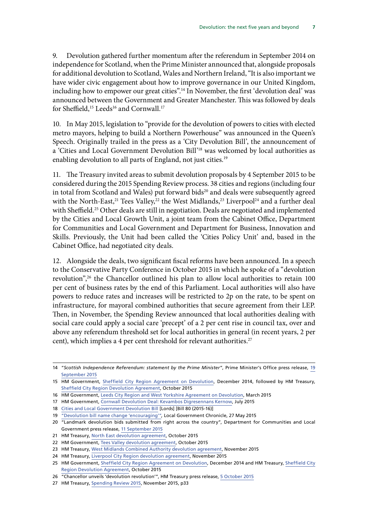9. Devolution gathered further momentum after the referendum in September 2014 on independence for Scotland, when the Prime Minister announced that, alongside proposals for additional devolution to Scotland, Wales and Northern Ireland, "It is also important we have wider civic engagement about how to improve governance in our United Kingdom, including how to empower our great cities".<sup>14</sup> In November, the first 'devolution deal' was announced between the Government and Greater Manchester. This was followed by deals for Sheffield,<sup>15</sup> Leeds<sup>16</sup> and Cornwall.<sup>17</sup>

10. In May 2015, legislation to "provide for the devolution of powers to cities with elected metro mayors, helping to build a Northern Powerhouse" was announced in the Queen's Speech. Originally trailed in the press as a 'City Devolution Bill', the announcement of a 'Cities and Local Government Devolution Bill'18 was welcomed by local authorities as enabling devolution to all parts of England, not just cities.<sup>19</sup>

11. The Treasury invited areas to submit devolution proposals by 4 September 2015 to be considered during the 2015 Spending Review process. 38 cities and regions (including four in total from Scotland and Wales) put forward bids<sup>20</sup> and deals were subsequently agreed with the North-East,<sup>21</sup> Tees Valley,<sup>22</sup> the West Midlands,<sup>23</sup> Liverpool<sup>24</sup> and a further deal with Sheffield.25 Other deals are still in negotiation. Deals are negotiated and implemented by the Cities and Local Growth Unit, a joint team from the Cabinet Office, Department for Communities and Local Government and Department for Business, Innovation and Skills. Previously, the Unit had been called the 'Cities Policy Unit' and, based in the Cabinet Office, had negotiated city deals.

12. Alongside the deals, two significant fiscal reforms have been announced. In a speech to the Conservative Party Conference in October 2015 in which he spoke of a "devolution revolution",<sup>26</sup> the Chancellor outlined his plan to allow local authorities to retain 100 per cent of business rates by the end of this Parliament. Local authorities will also have powers to reduce rates and increases will be restricted to 2p on the rate, to be spent on infrastructure, for mayoral combined authorities that secure agreement from their LEP. Then, in November, the Spending Review announced that local authorities dealing with social care could apply a social care 'precept' of a 2 per cent rise in council tax, over and above any referendum threshold set for local authorities in general (in recent years, 2 per cent), which implies a 4 per cent threshold for relevant authorities.<sup>27</sup>

<sup>14</sup> "*Scottish Independence Referendum: statement by the Prime Minister*", Prime Minister's Office press release, [19](https://www.gov.uk/government/news/scottish-independence-referendum-statement-by-the-prime-minister) [September 2015](https://www.gov.uk/government/news/scottish-independence-referendum-statement-by-the-prime-minister)

<sup>15</sup> HM Government, [Sheffield City Region Agreement on Devolution,](https://www.gov.uk/government/uploads/system/uploads/attachment_data/file/403161/FINAL_Sheffield_City_Region_Devolution_Deal.pdf) December 2014, followed by HM Treasury, [Sheffield City Region Devolution Agreement](https://www.gov.uk/government/uploads/system/uploads/attachment_data/file/403161/FINAL_Sheffield_City_Region_Devolution_Deal.pdf), October 2015

<sup>16</sup> HM Government, [Leeds City Region and West Yorkshire Agreement on Devolution,](https://depositedpapers.parliament.uk/depositedpaper/view/2275871) March 2015

<sup>17</sup> HM Government, [Cornwall Devolution Deal: Kevambos Digresennans Kernow,](https://www.gov.uk/government/uploads/system/uploads/attachment_data/file/447419/20150715_Cornwall_Devolution_Deal_-_FINAL_-_reformatted.pdf) July 2015

<sup>18</sup> Cities and Local Government Devolution Bill [Lords] [Bill 80 (2015-16)]

<sup>19</sup> ["Devolution bill name change 'encouraging'"](http://www.lgcplus.com/news/devolution/devolution-bill-name-change-encouraging/5085331.article)*,* Local Government Chronicle, 27 May 2015

<sup>20 &</sup>quot;Landmark devolution bids submitted from right across the country", Department for Communities and Local Government press release, [11 September 2015](https://www.gov.uk/government/news/landmark-devolution-bids-submitted-from-right-across-the-country)

<sup>21</sup> HM Treasury, [North East devolution agreement](https://www.gov.uk/government/uploads/system/uploads/attachment_data/file/472187/102915_DEVOLUTION_TO_THE_NORTH_EAST_signed_pdf.pdf), October 2015

<sup>22</sup> HM Government, [Tees Valley devolution agreement](https://www.gov.uk/government/uploads/system/uploads/attachment_data/file/470127/Tees_Valley_Devo_Deal_FINAL_formatted_v3.pdf), October 2015

<sup>23</sup> HM Treasury, [West Midlands Combined Authority devolution agreement,](https://www.gov.uk/government/uploads/system/uploads/attachment_data/file/477421/West_Midlands_devolution_deal_unsigned_final_web.pdf) November 2015

<sup>24</sup> HM Treasury, [Liverpool City Region devolution agreement](https://www.gov.uk/government/uploads/system/uploads/attachment_data/file/477385/Liverpool_devolution_deal_unsigned.pdf), November 2015

<sup>25</sup> HM Government, [Sheffield City Region Agreement on Devolution](https://www.gov.uk/government/uploads/system/uploads/attachment_data/file/403161/FINAL_Sheffield_City_Region_Devolution_Deal.pdf), December 2014 and HM Treasury, [Sheffield City](https://www.gov.uk/government/uploads/system/uploads/attachment_data/file/466616/Sheffield_devolution_deal_October_2015_with_signatures.pdf) [Region Devolution Agreement,](https://www.gov.uk/government/uploads/system/uploads/attachment_data/file/466616/Sheffield_devolution_deal_October_2015_with_signatures.pdf) October 2015

<sup>26</sup> "Chancellor unveils 'devolution revolution'", HM Treasury press release, [5 October 2015](https://www.gov.uk/government/news/chancellor-unveils-devolution-revolution)

<sup>27</sup> HM Treasury, [Spending Review 2015](https://www.gov.uk/government/uploads/system/uploads/attachment_data/file/479749/52229_Blue_Book_PU1865_Web_Accessible.pdf), November 2015, p33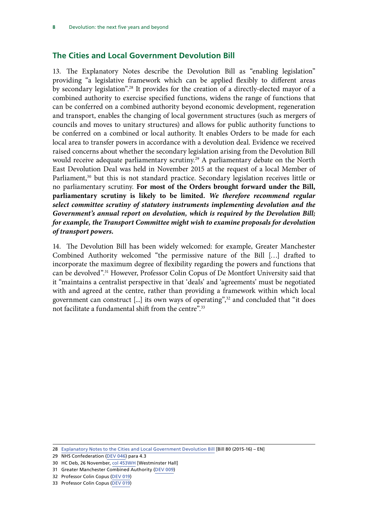#### <span id="page-11-0"></span>**The Cities and Local Government Devolution Bill**

13. The Explanatory Notes describe the Devolution Bill as "enabling legislation" providing "a legislative framework which can be applied flexibly to different areas by secondary legislation".28 It provides for the creation of a directly-elected mayor of a combined authority to exercise specified functions, widens the range of functions that can be conferred on a combined authority beyond economic development, regeneration and transport, enables the changing of local government structures (such as mergers of councils and moves to unitary structures) and allows for public authority functions to be conferred on a combined or local authority. It enables Orders to be made for each local area to transfer powers in accordance with a devolution deal. Evidence we received raised concerns about whether the secondary legislation arising from the Devolution Bill would receive adequate parliamentary scrutiny.<sup>29</sup> A parliamentary debate on the North East Devolution Deal was held in November 2015 at the request of a local Member of Parliament,<sup>30</sup> but this is not standard practice. Secondary legislation receives little or no parliamentary scrutiny. **For most of the Orders brought forward under the Bill, parliamentary scrutiny is likely to be limited.** *We therefore recommend regular select committee scrutiny of statutory instruments implementing devolution and the Government's annual report on devolution, which is required by the Devolution Bill; for example, the Transport Committee might wish to examine proposals for devolution of transport powers.* 

<span id="page-11-2"></span><span id="page-11-1"></span>14. The Devolution Bill has been widely welcomed: for example, Greater Manchester Combined Authority welcomed "the permissive nature of the Bill […] drafted to incorporate the maximum degree of flexibility regarding the powers and functions that can be devolved".<sup>31</sup> However, Professor Colin Copus of De Montfort University said that it "maintains a centralist perspective in that 'deals' and 'agreements' must be negotiated with and agreed at the centre, rather than providing a framework within which local government can construct [...] its own ways of operating",<sup>32</sup> and concluded that "it does not facilitate a fundamental shift from the centre".33

<sup>28</sup> [Explanatory Notes to the Cities and Local Government Devolution Bill](http://www.publications.parliament.uk/pa/bills/lbill/2015-2016/0001/en/16001en.pdf) [Bill 80 (2015-16) – EN]

<sup>29</sup> NHS Confederation ([DEV 046](http://data.parliament.uk/writtenevidence/committeeevidence.svc/evidencedocument/communities-and-local-government-committee/the-governments-cities-and-local-government-devolution-bill/written/20874.pdf)) para 4.3

<sup>30</sup> HC Deb, 26 November, col 453WH [Westminster Hall]

<sup>31</sup> Greater Manchester Combined Authority ([DEV 009\)](http://data.parliament.uk/writtenevidence/committeeevidence.svc/evidencedocument/communities-and-local-government-committee/the-governments-cities-and-local-government-devolution-bill/written/19853.pdf)

<sup>32</sup> Professor Colin Copus [\(DEV 019](http://data.parliament.uk/writtenevidence/committeeevidence.svc/evidencedocument/communities-and-local-government-committee/the-governments-cities-and-local-government-devolution-bill/written/20159.pdf))

<sup>33</sup> Professor Colin Copus [\(DEV 019](http://data.parliament.uk/writtenevidence/committeeevidence.svc/evidencedocument/communities-and-local-government-committee/the-governments-cities-and-local-government-devolution-bill/written/20159.pdf))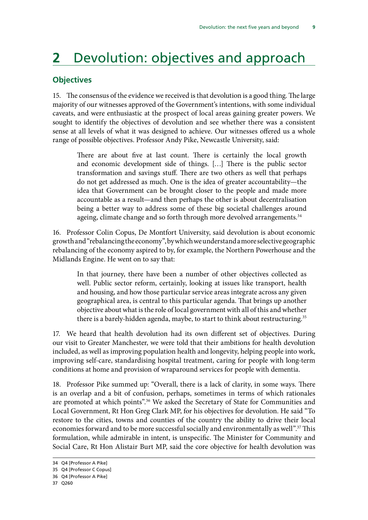## <span id="page-12-0"></span>**2** Devolution: objectives and approach

#### **Objectives**

15. The consensus of the evidence we received is that devolution is a good thing. The large majority of our witnesses approved of the Government's intentions, with some individual caveats, and were enthusiastic at the prospect of local areas gaining greater powers. We sought to identify the objectives of devolution and see whether there was a consistent sense at all levels of what it was designed to achieve. Our witnesses offered us a whole range of possible objectives. Professor Andy Pike, Newcastle University, said:

There are about five at last count. There is certainly the local growth and economic development side of things. […] There is the public sector transformation and savings stuff. There are two others as well that perhaps do not get addressed as much. One is the idea of greater accountability—the idea that Government can be brought closer to the people and made more accountable as a result—and then perhaps the other is about decentralisation being a better way to address some of these big societal challenges around ageing, climate change and so forth through more devolved arrangements.<sup>34</sup>

16. Professor Colin Copus, De Montfort University, said devolution is about economic growth and "rebalancing the economy", by which we understand a more selective geographic rebalancing of the economy aspired to by, for example, the Northern Powerhouse and the Midlands Engine. He went on to say that:

In that journey, there have been a number of other objectives collected as well. Public sector reform, certainly, looking at issues like transport, health and housing, and how those particular service areas integrate across any given geographical area, is central to this particular agenda. That brings up another objective about what is the role of local government with all of this and whether there is a barely-hidden agenda, maybe, to start to think about restructuring.<sup>35</sup>

17. We heard that health devolution had its own different set of objectives. During our visit to Greater Manchester, we were told that their ambitions for health devolution included, as well as improving population health and longevity, helping people into work, improving self-care, standardising hospital treatment, caring for people with long-term conditions at home and provision of wraparound services for people with dementia.

18. Professor Pike summed up: "Overall, there is a lack of clarity, in some ways. There is an overlap and a bit of confusion, perhaps, sometimes in terms of which rationales are promoted at which points".<sup>36</sup> We asked the Secretary of State for Communities and Local Government, Rt Hon Greg Clark MP, for his objectives for devolution. He said "To restore to the cities, towns and counties of the country the ability to drive their local economies forward and to be more successful socially and environmentally as well".<sup>37</sup> This formulation, while admirable in intent, is unspecific. The Minister for Community and Social Care, Rt Hon Alistair Burt MP, said the core objective for health devolution was

<sup>34</sup> Q4 [Professor A Pike]

<sup>35</sup> Q4 [Professor C Copus]

<sup>36</sup> Q4 [Professor A Pike]

<sup>37</sup> Q260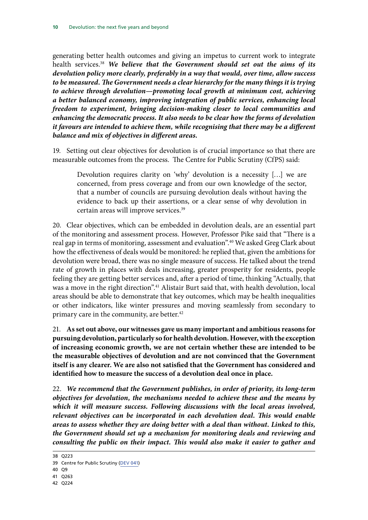<span id="page-13-0"></span>generating better health outcomes and giving an impetus to current work to integrate health services.38 *We believe that the Government should set out the aims of its devolution policy more clearly, preferably in a way that would, over time, allow success to be measured. The Government needs a clear hierarchy for the many things it is trying to achieve through devolution—promoting local growth at minimum cost, achieving a better balanced economy, improving integration of public services, enhancing local freedom to experiment, bringing decision-making closer to local communities and enhancing the democratic process. It also needs to be clear how the forms of devolution it favours are intended to achieve them, while recognising that there may be a different balance and mix of objectives in different areas.*

19. Setting out clear objectives for devolution is of crucial importance so that there are measurable outcomes from the process. The Centre for Public Scrutiny (CfPS) said:

Devolution requires clarity on 'why' devolution is a necessity […] we are concerned, from press coverage and from our own knowledge of the sector, that a number of councils are pursuing devolution deals without having the evidence to back up their assertions, or a clear sense of why devolution in certain areas will improve services.<sup>39</sup>

20. Clear objectives, which can be embedded in devolution deals, are an essential part of the monitoring and assessment process. However, Professor Pike said that "There is a real gap in terms of monitoring, assessment and evaluation".40 We asked Greg Clark about how the effectiveness of deals would be monitored: he replied that, given the ambitions for devolution were broad, there was no single measure of success. He talked about the trend rate of growth in places with deals increasing, greater prosperity for residents, people feeling they are getting better services and, after a period of time, thinking "Actually, that was a move in the right direction".41 Alistair Burt said that, with health devolution, local areas should be able to demonstrate that key outcomes, which may be health inequalities or other indicators, like winter pressures and moving seamlessly from secondary to primary care in the community, are better.<sup>42</sup>

<span id="page-13-1"></span>21. **As set out above, our witnesses gave us many important and ambitious reasons for pursuing devolution, particularly so for health devolution.However, with the exception of increasing economic growth, we are not certain whether these are intended to be the measurable objectives of devolution and are not convinced that the Government itself is any clearer. We are also not satisfied that the Government has considered and identified how to measure the success of a devolution deal once in place.**

<span id="page-13-2"></span>22. *We recommend that the Government publishes, in order of priority, its long-term objectives for devolution, the mechanisms needed to achieve these and the means by which it will measure success. Following discussions with the local areas involved, relevant objectives can be incorporated in each devolution deal. This would enable areas to assess whether they are doing better with a deal than without. Linked to this, the Government should set up a mechanism for monitoring deals and reviewing and consulting the public on their impact. This would also make it easier to gather and* 

<sup>38</sup> Q223

<sup>39</sup> Centre for Public Scrutiny [\(DEV 041\)](http://data.parliament.uk/writtenevidence/committeeevidence.svc/evidencedocument/communities-and-local-government-committee/the-governments-cities-and-local-government-devolution-bill/written/20390.pdf)

<sup>40</sup> Q9

<sup>41</sup> Q263

<sup>42</sup> Q224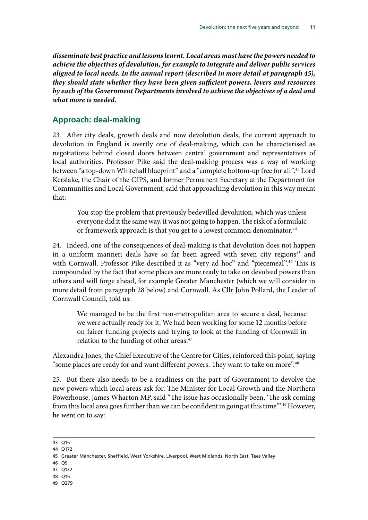<span id="page-14-0"></span>*disseminate best practice and lessons learnt. Local areas must have the powers needed to achieve the objectives of devolution, for example to integrate and deliver public services aligned to local needs. In the annual report (described in more detail at paragraph 45), they should state whether they have been given sufficient powers, levers and resources by each of the Government Departments involved to achieve the objectives of a deal and what more is needed.*

#### **Approach: deal-making**

23. After city deals, growth deals and now devolution deals, the current approach to devolution in England is overtly one of deal-making, which can be characterised as negotiations behind closed doors between central government and representatives of local authorities. Professor Pike said the deal-making process was a way of working between "a top-down Whitehall blueprint" and a "complete bottom-up free for all".<sup>43</sup> Lord Kerslake, the Chair of the CfPS, and former Permanent Secretary at the Department for Communities and Local Government, said that approaching devolution in this way meant that:

You stop the problem that previously bedevilled devolution, which was unless everyone did it the same way, it was not going to happen. The risk of a formulaic or framework approach is that you get to a lowest common denominator.<sup>44</sup>

24. Indeed, one of the consequences of deal-making is that devolution does not happen in a uniform manner; deals have so far been agreed with seven city regions<sup>45</sup> and with Cornwall. Professor Pike described it as "very ad hoc" and "piecemeal".<sup>46</sup> This is compounded by the fact that some places are more ready to take on devolved powers than others and will forge ahead, for example Greater Manchester (which we will consider in more detail from paragraph 28 below) and Cornwall. As Cllr John Pollard, the Leader of Cornwall Council, told us:

We managed to be the first non-metropolitan area to secure a deal, because we were actually ready for it. We had been working for some 12 months before on fairer funding projects and trying to look at the funding of Cornwall in relation to the funding of other areas.<sup>47</sup>

Alexandra Jones, the Chief Executive of the Centre for Cities, reinforced this point, saying "some places are ready for and want different powers. They want to take on more".<sup>48</sup>

25. But there also needs to be a readiness on the part of Government to devolve the new powers which local areas ask for. The Minister for Local Growth and the Northern Powerhouse, James Wharton MP, said "The issue has occasionally been, 'The ask coming from this local area goes further than we can be confident in going at this time".<sup>49</sup> However, he went on to say:

- 46 Q9
- 47 Q132
- 48 Q16
- 49 Q279

<sup>43</sup> Q16

<sup>44</sup> Q172

<sup>45</sup> Greater Manchester, Sheffield, West Yorkshire, Liverpool, West Midlands, North East, Tees Valley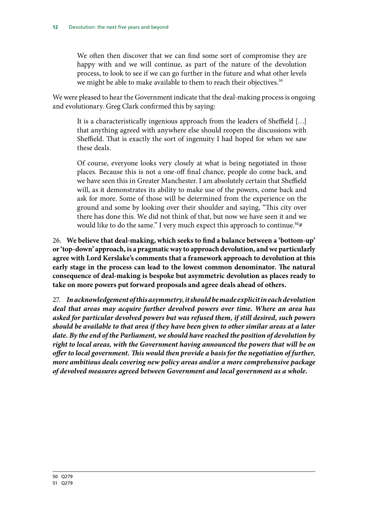We often then discover that we can find some sort of compromise they are happy with and we will continue, as part of the nature of the devolution process, to look to see if we can go further in the future and what other levels we might be able to make available to them to reach their objectives.<sup>50</sup>

We were pleased to hear the Government indicate that the deal-making process is ongoing and evolutionary. Greg Clark confirmed this by saying:

It is a characteristically ingenious approach from the leaders of Sheffield […] that anything agreed with anywhere else should reopen the discussions with Sheffield. That is exactly the sort of ingenuity I had hoped for when we saw these deals.

Of course, everyone looks very closely at what is being negotiated in those places. Because this is not a one-off final chance, people do come back, and we have seen this in Greater Manchester. I am absolutely certain that Sheffield will, as it demonstrates its ability to make use of the powers, come back and ask for more. Some of those will be determined from the experience on the ground and some by looking over their shoulder and saying, "This city over there has done this. We did not think of that, but now we have seen it and we would like to do the same." I very much expect this approach to continue.**<sup>51</sup>**#

<span id="page-15-0"></span>26. **We believe that deal-making, which seeks to find a balance between a 'bottom-up' or 'top-down' approach, is a pragmatic way to approach devolution, and we particularly agree with Lord Kerslake's comments that a framework approach to devolution at this early stage in the process can lead to the lowest common denominator. The natural consequence of deal-making is bespoke but asymmetric devolution as places ready to take on more powers put forward proposals and agree deals ahead of others.** 

<span id="page-15-1"></span>27. *In acknowledgement of this asymmetry, it should be made explicit in each devolution deal that areas may acquire further devolved powers over time. Where an area has asked for particular devolved powers but was refused them, if still desired, such powers should be available to that area if they have been given to other similar areas at a later date. By the end of the Parliament, we should have reached the position of devolution by right to local areas, with the Government having announced the powers that will be on offer to local government. This would then provide a basis for the negotiation of further, more ambitious deals covering new policy areas and/or a more comprehensive package of devolved measures agreed between Government and local government as a whole.*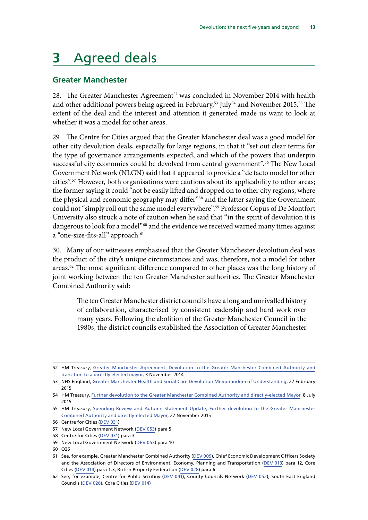## <span id="page-16-0"></span>**3** Agreed deals

#### **Greater Manchester**

28. The Greater Manchester Agreement<sup>52</sup> was concluded in November 2014 with health and other additional powers being agreed in February,<sup>53</sup> July<sup>54</sup> and November 2015.<sup>55</sup> The extent of the deal and the interest and attention it generated made us want to look at whether it was a model for other areas.

29. The Centre for Cities argued that the Greater Manchester deal was a good model for other city devolution deals, especially for large regions, in that it "set out clear terms for the type of governance arrangements expected, and which of the powers that underpin successful city economies could be devolved from central government".<sup>56</sup> The New Local Government Network (NLGN) said that it appeared to provide a "de facto model for other cities".57 However, both organisations were cautious about its applicability to other areas; the former saying it could "not be easily lifted and dropped on to other city regions, where the physical and economic geography may differ"<sup>58</sup> and the latter saying the Government could not "simply roll out the same model everywhere".<sup>59</sup> Professor Copus of De Montfort University also struck a note of caution when he said that "in the spirit of devolution it is dangerous to look for a model<sup>"60</sup> and the evidence we received warned many times against a "one-size-fits-all" approach.<sup>61</sup>

30. Many of our witnesses emphasised that the Greater Manchester devolution deal was the product of the city's unique circumstances and was, therefore, not a model for other areas.<sup>62</sup> The most significant difference compared to other places was the long history of joint working between the ten Greater Manchester authorities. The Greater Manchester Combined Authority said:

The ten Greater Manchester district councils have a long and unrivalled history of collaboration, characterised by consistent leadership and hard work over many years. Following the abolition of the Greater Manchester Council in the 1980s, the district councils established the Association of Greater Manchester

<sup>52</sup> HM Treasury, [Greater Manchester Agreement: Devolution to the Greater Manchester Combined Authority and](https://www.gov.uk/government/uploads/system/uploads/attachment_data/file/369858/Greater_Manchester_Agreement_i.pdf) [transition to a directly elected mayor](https://www.gov.uk/government/uploads/system/uploads/attachment_data/file/369858/Greater_Manchester_Agreement_i.pdf), 3 November 2014

<sup>53</sup> NHS England, [Greater Manchester Health and Social Care Devolution Memorandum of Understanding,](http://www.nhshistory.net/mou%20(1).pdf) 27 February 2015

<sup>54</sup> HM Treasury, [Further devolution to the Greater Manchester Combined Authority and directly-elected Mayor](https://www.gov.uk/government/uploads/system/uploads/attachment_data/file/443087/Greater_Manchester_Further_Devolution.pdf), 8 July 2015

<sup>55</sup> HM Treasury, [Spending Review and Autumn Statement Update, Further devolution to the Greater Manchester](https://www.gov.uk/government/uploads/system/uploads/attachment_data/file/479566/Further_devolution_manchester_nov_2015.pdf) [Combined Authority and directly-elected Mayor](https://www.gov.uk/government/uploads/system/uploads/attachment_data/file/479566/Further_devolution_manchester_nov_2015.pdf), 27 November 2015

<sup>56</sup> Centre for Cities ([DEV 031\)](http://data.parliament.uk/writtenevidence/committeeevidence.svc/evidencedocument/communities-and-local-government-committee/the-governments-cities-and-local-government-devolution-bill/written/20259.pdf)

<sup>57</sup> New Local Government Network ([DEV 053](http://data.parliament.uk/writtenevidence/committeeevidence.svc/evidencedocument/communities-and-local-government-committee/the-governments-cities-and-local-government-devolution-bill/written/21335.pdf)) para 5

<sup>58</sup> Centre for Cities ([DEV 031\)](http://data.parliament.uk/writtenevidence/committeeevidence.svc/evidencedocument/communities-and-local-government-committee/the-governments-cities-and-local-government-devolution-bill/written/20259.pdf) para 3

<sup>59</sup> New Local Government Network ([DEV 053](http://data.parliament.uk/writtenevidence/committeeevidence.svc/evidencedocument/communities-and-local-government-committee/the-governments-cities-and-local-government-devolution-bill/written/21335.pdf)) para 10

<sup>60</sup> Q25

<sup>61</sup> See, for example, Greater Manchester Combined Authority ([DEV 009](http://data.parliament.uk/writtenevidence/committeeevidence.svc/evidencedocument/communities-and-local-government-committee/the-governments-cities-and-local-government-devolution-bill/written/19853.pdf)), Chief Economic Development Officers Society and the Association of Directors of Environment, Economy, Planning and Transportation ([DEV 013\)](http://data.parliament.uk/writtenevidence/committeeevidence.svc/evidencedocument/communities-and-local-government-committee/the-governments-cities-and-local-government-devolution-bill/written/19999.pdf) para 12, Core Cities [\(DEV 014](http://data.parliament.uk/writtenevidence/committeeevidence.svc/evidencedocument/communities-and-local-government-committee/the-governments-cities-and-local-government-devolution-bill/written/20058.pdf)) para 1.3, British Property Federation ([DEV 028](http://data.parliament.uk/writtenevidence/committeeevidence.svc/evidencedocument/communities-and-local-government-committee/the-governments-cities-and-local-government-devolution-bill/written/20255.pdf)) para 6

<sup>62</sup> See, for example, Centre for Public Scrutiny ([DEV 041](http://data.parliament.uk/writtenevidence/committeeevidence.svc/evidencedocument/communities-and-local-government-committee/the-governments-cities-and-local-government-devolution-bill/written/20390.pdf)), County Councils Network ([DEV 052\)](http://data.parliament.uk/writtenevidence/committeeevidence.svc/evidencedocument/communities-and-local-government-committee/the-governments-cities-and-local-government-devolution-bill/written/21027.pdf), South East England Councils [\(DEV 026](http://data.parliament.uk/writtenevidence/committeeevidence.svc/evidencedocument/communities-and-local-government-committee/the-governments-cities-and-local-government-devolution-bill/written/20230.pdf)), Core Cities [\(DEV 014\)](http://data.parliament.uk/writtenevidence/committeeevidence.svc/evidencedocument/communities-and-local-government-committee/the-governments-cities-and-local-government-devolution-bill/written/20058.pdf)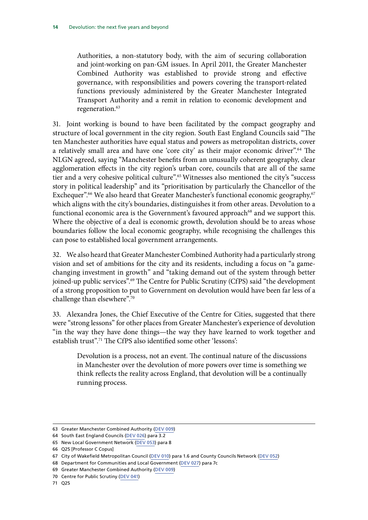Authorities, a non-statutory body, with the aim of securing collaboration and joint-working on pan-GM issues. In April 2011, the Greater Manchester Combined Authority was established to provide strong and effective governance, with responsibilities and powers covering the transport-related functions previously administered by the Greater Manchester Integrated Transport Authority and a remit in relation to economic development and regeneration.<sup>63</sup>

31. Joint working is bound to have been facilitated by the compact geography and structure of local government in the city region. South East England Councils said "The ten Manchester authorities have equal status and powers as metropolitan districts, cover a relatively small area and have one 'core city' as their major economic driver".<sup>64</sup> The NLGN agreed, saying "Manchester benefits from an unusually coherent geography, clear agglomeration effects in the city region's urban core, councils that are all of the same tier and a very cohesive political culture".<sup>65</sup> Witnesses also mentioned the city's "success story in political leadership" and its "prioritisation by particularly the Chancellor of the Exchequer".<sup>66</sup> We also heard that Greater Manchester's functional economic geography,<sup>67</sup> which aligns with the city's boundaries, distinguishes it from other areas. Devolution to a functional economic area is the Government's favoured approach<sup>68</sup> and we support this. Where the objective of a deal is economic growth, devolution should be to areas whose boundaries follow the local economic geography, while recognising the challenges this can pose to established local government arrangements.

32. We also heard that Greater Manchester Combined Authority had a particularly strong vision and set of ambitions for the city and its residents, including a focus on "a gamechanging investment in growth" and "taking demand out of the system through better joined-up public services".<sup>69</sup> The Centre for Public Scrutiny (CfPS) said "the development of a strong proposition to put to Government on devolution would have been far less of a challenge than elsewhere".70

33. Alexandra Jones, the Chief Executive of the Centre for Cities, suggested that there were "strong lessons" for other places from Greater Manchester's experience of devolution "in the way they have done things—the way they have learned to work together and establish trust".<sup>71</sup> The CfPS also identified some other 'lessons':

Devolution is a process, not an event. The continual nature of the discussions in Manchester over the devolution of more powers over time is something we think reflects the reality across England, that devolution will be a continually running process.

<sup>63</sup> Greater Manchester Combined Authority ([DEV 009\)](http://data.parliament.uk/writtenevidence/committeeevidence.svc/evidencedocument/communities-and-local-government-committee/the-governments-cities-and-local-government-devolution-bill/written/19853.pdf)

<sup>64</sup> South East England Councils [\(DEV 026](http://data.parliament.uk/writtenevidence/committeeevidence.svc/evidencedocument/communities-and-local-government-committee/the-governments-cities-and-local-government-devolution-bill/written/20230.pdf)) para 3.2

<sup>65</sup> New Local Government Network ([DEV 053](http://data.parliament.uk/writtenevidence/committeeevidence.svc/evidencedocument/communities-and-local-government-committee/the-governments-cities-and-local-government-devolution-bill/written/21335.pdf)) para 8

<sup>66</sup> Q25 [Professor C Copus]

<sup>67</sup> City of Wakefield Metropolitan Council [\(DEV 010\)](http://data.parliament.uk/writtenevidence/committeeevidence.svc/evidencedocument/communities-and-local-government-committee/the-governments-cities-and-local-government-devolution-bill/written/19921.pdf) para 1.6 and County Councils Network ([DEV 052](http://data.parliament.uk/writtenevidence/committeeevidence.svc/evidencedocument/communities-and-local-government-committee/the-governments-cities-and-local-government-devolution-bill/written/21027.pdf))

<sup>68</sup> Department for Communities and Local Government [\(DEV 027](http://data.parliament.uk/writtenevidence/committeeevidence.svc/evidencedocument/communities-and-local-government-committee/the-governments-cities-and-local-government-devolution-bill/written/20249.pdf)) para 7c

<sup>69</sup> Greater Manchester Combined Authority ([DEV 009\)](http://data.parliament.uk/writtenevidence/committeeevidence.svc/evidencedocument/communities-and-local-government-committee/the-governments-cities-and-local-government-devolution-bill/written/19853.pdf)

<sup>70</sup> Centre for Public Scrutiny [\(DEV 041\)](http://data.parliament.uk/writtenevidence/committeeevidence.svc/evidencedocument/communities-and-local-government-committee/the-governments-cities-and-local-government-devolution-bill/written/20390.pdf)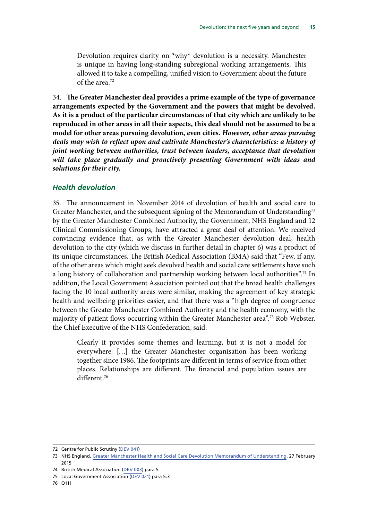<span id="page-18-0"></span>Devolution requires clarity on  $*$ why $*$  devolution is a necessity. Manchester is unique in having long-standing subregional working arrangements. This allowed it to take a compelling, unified vision to Government about the future of the area.72

<span id="page-18-2"></span><span id="page-18-1"></span>34. **The Greater Manchester deal provides a prime example of the type of governance arrangements expected by the Government and the powers that might be devolved. As it is a product of the particular circumstances of that city which are unlikely to be reproduced in other areas in all their aspects, this deal should not be assumed to be a model for other areas pursuing devolution, even cities.** *However, other areas pursuing deals may wish to reflect upon and cultivate Manchester's characteristics: a history of joint working between authorities, trust between leaders, acceptance that devolution*  will take place gradually and proactively presenting Government with ideas and *solutions for their city.* 

#### *Health devolution*

35. The announcement in November 2014 of devolution of health and social care to Greater Manchester, and the subsequent signing of the Memorandum of Understanding<sup>73</sup> by the Greater Manchester Combined Authority, the Government, NHS England and 12 Clinical Commissioning Groups, have attracted a great deal of attention. We received convincing evidence that, as with the Greater Manchester devolution deal, health devolution to the city (which we discuss in further detail in chapter 6) was a product of its unique circumstances. The British Medical Association (BMA) said that "Few, if any, of the other areas which might seek devolved health and social care settlements have such a long history of collaboration and partnership working between local authorities".<sup>74</sup> In addition, the Local Government Association pointed out that the broad health challenges facing the 10 local authority areas were similar, making the agreement of key strategic health and wellbeing priorities easier, and that there was a "high degree of congruence between the Greater Manchester Combined Authority and the health economy, with the majority of patient flows occurring within the Greater Manchester area".75 Rob Webster, the Chief Executive of the NHS Confederation, said:

Clearly it provides some themes and learning, but it is not a model for everywhere. […] the Greater Manchester organisation has been working together since 1986. The footprints are different in terms of service from other places. Relationships are different. The financial and population issues are different.76

76 Q111

<sup>72</sup> Centre for Public Scrutiny [\(DEV 041\)](http://data.parliament.uk/writtenevidence/committeeevidence.svc/evidencedocument/communities-and-local-government-committee/the-governments-cities-and-local-government-devolution-bill/written/20390.pdf)

<sup>73</sup> NHS England, [Greater Manchester Health and Social Care Devolution Memorandum of Understanding,](http://www.nhshistory.net/mou%20(1).pdf) 27 February 2015

<sup>74</sup> British Medical Association ([DEV 003\)](http://data.parliament.uk/writtenevidence/committeeevidence.svc/evidencedocument/communities-and-local-government-committee/the-governments-cities-and-local-government-devolution-bill/written/19504.pdf) para 5

<sup>75</sup> Local Government Association ([DEV 021](http://data.parliament.uk/writtenevidence/committeeevidence.svc/evidencedocument/communities-and-local-government-committee/the-governments-cities-and-local-government-devolution-bill/written/20188.pdf)) para 5.3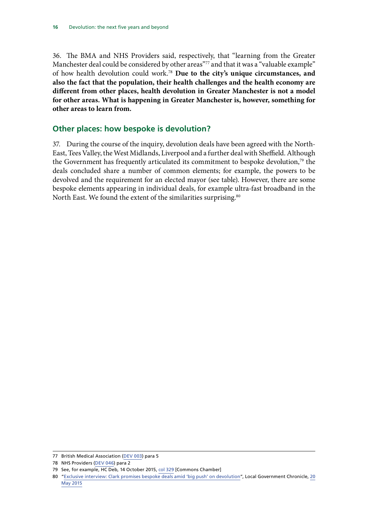<span id="page-19-1"></span><span id="page-19-0"></span>36. The BMA and NHS Providers said, respectively, that "learning from the Greater Manchester deal could be considered by other areas<sup>"77</sup> and that it was a "valuable example" of how health devolution could work.78 **Due to the city's unique circumstances, and also the fact that the population, their health challenges and the health economy are different from other places, health devolution in Greater Manchester is not a model for other areas. What is happening in Greater Manchester is, however, something for other areas to learn from.** 

#### **Other places: how bespoke is devolution?**

37. During the course of the inquiry, devolution deals have been agreed with the North-East, Tees Valley, the West Midlands, Liverpool and a further deal with Sheffield. Although the Government has frequently articulated its commitment to bespoke devolution,<sup>79</sup> the deals concluded share a number of common elements; for example, the powers to be devolved and the requirement for an elected mayor (see table). However, there are some bespoke elements appearing in individual deals, for example ultra-fast broadband in the North East. We found the extent of the similarities surprising.<sup>80</sup>

<sup>77</sup> British Medical Association ([DEV 003\)](http://data.parliament.uk/writtenevidence/committeeevidence.svc/evidencedocument/communities-and-local-government-committee/the-governments-cities-and-local-government-devolution-bill/written/19504.pdf) para 5

<sup>78</sup> NHS Providers ([DEV 046](http://data.parliament.uk/writtenevidence/committeeevidence.svc/evidencedocument/communities-and-local-government-committee/the-governments-cities-and-local-government-devolution-bill/written/20258.pdf)) para 2

<sup>79</sup> See, for example, HC Deb, 14 October 2015, [col 329](http://www.publications.parliament.uk/pa/cm201516/cmhansrd/cm151014/debindx/151014-x.htm) [Commons Chamber]

<sup>80</sup> ["Exclusive interview: Clark promises bespoke deals amid 'big push' on devolution"](http://www.lgcplus.com/news/devolution/exclusive-interview-clark-promises-bespoke-deals-amid-big-push-on-devolution/5085162.article), Local Government Chronicle, 20 May 2015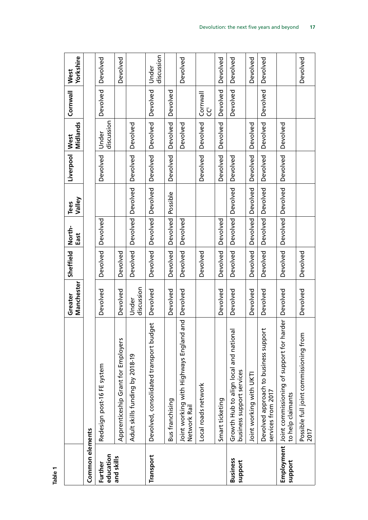|                            |                                                                             | Manchester<br>Greater | Sheffield       | North-<br>East    | Valley<br><b>Tees</b> | Liverpool       | Midlands<br>West    | Cornwall      | Yorkshire<br>West   |
|----------------------------|-----------------------------------------------------------------------------|-----------------------|-----------------|-------------------|-----------------------|-----------------|---------------------|---------------|---------------------|
| Common elements            |                                                                             |                       |                 |                   |                       |                 |                     |               |                     |
| education<br>Further       | Redesign post-16 FE system                                                  | Devolved              | <b>Devolved</b> | Devolved          |                       | Devolved        | discussion<br>Under | Devolved      | <b>Devolved</b>     |
| and skills                 | Apprenticeship Grant for Employers                                          | Devolved              | Devolved        |                   |                       |                 |                     |               | Devolved            |
|                            | Adult skills funding by 2018-19                                             | discussion<br>Under   | <b>Devolved</b> | <b>Devolved</b>   | Devolved              | Devolved        | <b>Devolved</b>     |               |                     |
| Transport                  | Devolved, consolidated transport budget                                     | Devolved              | <b>Devolved</b> | Devolved          | Devolved              | <b>Devolved</b> | Devolved            | Devolved      | discussion<br>Under |
|                            | Bus franchising                                                             | Devolved              | Devolved        | <b>Devolved</b>   | Possible              | Devolved        | <b>Devolved</b>     | Devolved      |                     |
|                            | pur<br>Joint working with Highways England a<br>Network Rail                | Devolved              | <b>Devolved</b> | <b>Devolved</b>   |                       |                 | Devolved            |               | Devolved            |
|                            | Local roads network                                                         |                       | Devolved        |                   |                       | <b>Devolved</b> | <b>Devolved</b>     | Cornwall<br>Ū |                     |
|                            | Smart ticketing                                                             | Devolved              | Devolved        | <b>Devolved</b>   |                       | Devolved        | <b>Devolved</b>     | Devolved      | <b>Devolved</b>     |
| <b>Business</b><br>support | Growth Hub to align local and national<br>business support services         | Devolved              | <b>Devolved</b> | Devolved Devolved |                       | Devolved        |                     | Devolved      | <b>Devolved</b>     |
|                            | Joint working with UKTI                                                     | Devolved              | Devolved        | <b>Devolved</b>   | Devolved              | Devolved        | Devolved            |               | <b>Devolved</b>     |
|                            | Devolved approach to business support<br>services from 2017                 | Devolved              | Devolved        | <b>Devolved</b>   | Devolved              | <b>Devolved</b> | <b>Devolved</b>     | Devolved      | Devolved            |
| support                    | Employment   Joint commissioning of support for harder<br>to help claimants | Devolved              | <b>Devolved</b> | <b>Devolved</b>   | Devolved              | <b>Devolved</b> | <b>Devolved</b>     |               |                     |
|                            | Possible full joint commissioning from<br>2017                              | Devolved              | <b>Devolved</b> |                   |                       |                 |                     |               | <b>Devolved</b>     |

**Table 1**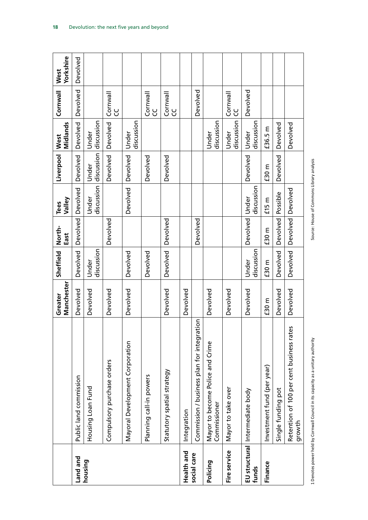|              |                                                    | Manchester<br>Greater | Sheffield           | North-<br>East  | Valley<br><b>Tees</b> | Liverpool           | Midlands<br>West    | Cornwall        | Yorkshire<br>West |
|--------------|----------------------------------------------------|-----------------------|---------------------|-----------------|-----------------------|---------------------|---------------------|-----------------|-------------------|
| Land and     | Public land commission                             | Devolved              | Devolved            | <b>Devolved</b> | Devolved              | <b>Devolved</b>     | Devolved            | Devolved        | Devolved          |
| housing      | Housing Loan Fund                                  | Devolved              | discussion<br>Under |                 | discussion<br>Under   | discussion<br>Under | discussion<br>Under |                 |                   |
|              | Compulsory purchase orders                         | Devolved              |                     | Devolved        |                       | Devolved            | <b>Devolved</b>     | Cornwall<br>ပွ  |                   |
|              | Mayoral Development Corporation                    | Devolved              | Devolved            |                 | Devolved              | Devolved            | discussion<br>Under |                 |                   |
|              | Planning call-in powers                            |                       | Devolved            |                 |                       | Devolved            |                     | Cornwall<br>ပွ  |                   |
|              | Statutory spatial strategy                         | Devolved              | <b>Devolved</b>     | <b>Devolved</b> |                       | <b>Devolved</b>     |                     | Cornwall<br>ပ္ပ |                   |
| Health and   | Integration                                        | Devolved              |                     |                 |                       |                     |                     |                 |                   |
| social care  | Commission / business plan for integration         |                       |                     | <b>Devolved</b> |                       |                     |                     | Devolved        |                   |
| Policing     | Mayor to become Police and Crime<br>Commissioner   | Devolved              |                     |                 |                       |                     | discussion<br>Under |                 |                   |
| Fire service | Mayor to take over                                 | Devolved              |                     |                 |                       |                     | discussion<br>Under | Cornwall<br>ပိ  |                   |
| funds        | EU structural Intermediate body                    | Devolved              | discussion<br>Under | Devolved        | discussion<br>Under   | <b>Devolved</b>     | discussion<br>Under | Devolved        |                   |
| Finance      | Investment fund (per year)                         | £30 m                 | £30 m               | £30 m           | £15 m                 | £30 m               | £36.5 m             |                 |                   |
|              | Single funding pot                                 | Devolved              | Devolved            | <b>Devolved</b> | Possible              | <b>Devolved</b>     | <b>Devolved</b>     |                 |                   |
|              | Retention of 100 per cent business rates<br>growth | Devolved              | Devolved            | <b>Devolved</b> | Devolved              |                     | <b>Devolved</b>     |                 |                   |

Source: House of Commons Library analysis

1 Denotes power held by Cornwall Council in its capacity as a unitary authority Source: House of Commons Library analysis 1 Denotes power held by Cornwall Council in its capacity as a unitary authority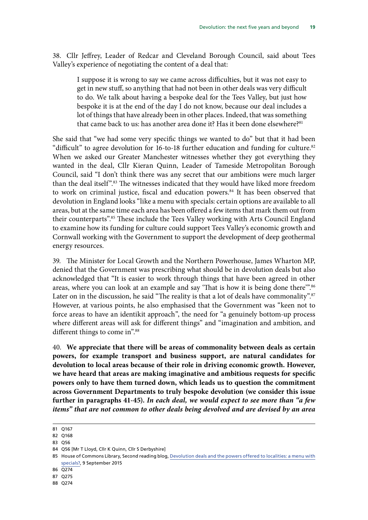38. Cllr Jeffrey, Leader of Redcar and Cleveland Borough Council, said about Tees Valley's experience of negotiating the content of a deal that:

I suppose it is wrong to say we came across difficulties, but it was not easy to get in new stuff, so anything that had not been in other deals was very difficult to do. We talk about having a bespoke deal for the Tees Valley, but just how bespoke it is at the end of the day I do not know, because our deal includes a lot of things that have already been in other places. Indeed, that was something that came back to us: has another area done it? Has it been done elsewhere?<sup>81</sup>

She said that "we had some very specific things we wanted to do" but that it had been "difficult" to agree devolution for 16-to-18 further education and funding for culture.<sup>82</sup> When we asked our Greater Manchester witnesses whether they got everything they wanted in the deal, Cllr Kieran Quinn, Leader of Tameside Metropolitan Borough Council, said "I don't think there was any secret that our ambitions were much larger than the deal itself".<sup>83</sup> The witnesses indicated that they would have liked more freedom to work on criminal justice, fiscal and education powers.<sup>84</sup> It has been observed that devolution in England looks "like a menu with specials: certain options are available to all areas, but at the same time each area has been offered a few items that mark them out from their counterparts".<sup>85</sup> These include the Tees Valley working with Arts Council England to examine how its funding for culture could support Tees Valley's economic growth and Cornwall working with the Government to support the development of deep geothermal energy resources.

39. The Minister for Local Growth and the Northern Powerhouse, James Wharton MP, denied that the Government was prescribing what should be in devolution deals but also acknowledged that "It is easier to work through things that have been agreed in other areas, where you can look at an example and say 'That is how it is being done there".<sup>86</sup> Later on in the discussion, he said "The reality is that a lot of deals have commonality".<sup>87</sup> However, at various points, he also emphasised that the Government was "keen not to force areas to have an identikit approach", the need for "a genuinely bottom-up process where different areas will ask for different things" and "imagination and ambition, and different things to come in".<sup>88</sup>

<span id="page-22-0"></span>40. **We appreciate that there will be areas of commonality between deals as certain powers, for example transport and business support, are natural candidates for devolution to local areas because of their role in driving economic growth. However, we have heard that areas are making imaginative and ambitious requests for specific powers only to have them turned down, which leads us to question the commitment across Government Departments to truly bespoke devolution (we consider this issue further in paragraphs 41-45).** *In each deal, we would expect to see more than "a few items" that are not common to other deals being devolved and are devised by an area* 

83 Q56

<span id="page-22-1"></span><sup>81</sup> Q167

<sup>82</sup> Q168

<sup>84</sup> Q56 [Mr T Lloyd, Cllr K Quinn, Cllr S Derbyshire]

<sup>85</sup> House of Commons Library, Second reading blog, [Devolution deals and the powers offered to localities: a menu with](http://commonslibraryblog.com/2015/09/09/devolution-deals-and-the-powers-offered-to-localities-a-menu-with-specials/) [specials?,](http://commonslibraryblog.com/2015/09/09/devolution-deals-and-the-powers-offered-to-localities-a-menu-with-specials/) 9 September 2015

<sup>86</sup> Q274

<sup>87</sup> Q275

<sup>88</sup> Q274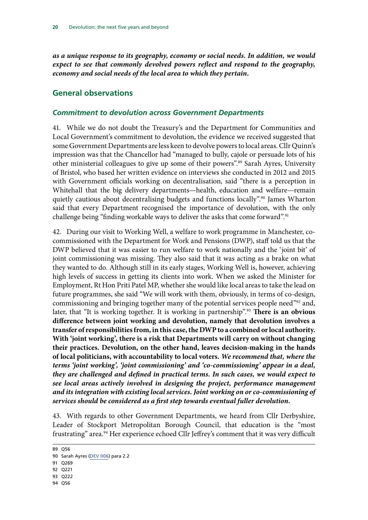<span id="page-23-0"></span>*as a unique response to its geography, economy or social needs. In addition, we would expect to see that commonly devolved powers reflect and respond to the geography, economy and social needs of the local area to which they pertain.*

#### **General observations**

#### *Commitment to devolution across Government Departments*

41. While we do not doubt the Treasury's and the Department for Communities and Local Government's commitment to devolution, the evidence we received suggested that some Government Departments are less keen to devolve powers to local areas. Cllr Quinn's impression was that the Chancellor had "managed to bully, cajole or persuade lots of his other ministerial colleagues to give up some of their powers".<sup>89</sup> Sarah Ayres, University of Bristol, who based her written evidence on interviews she conducted in 2012 and 2015 with Government officials working on decentralisation, said "there is a perception in Whitehall that the big delivery departments—health, education and welfare—remain quietly cautious about decentralising budgets and functions locally".<sup>90</sup> James Wharton said that every Department recognised the importance of devolution, with the only challenge being "finding workable ways to deliver the asks that come forward".<sup>91</sup>

<span id="page-23-1"></span>42. During our visit to Working Well, a welfare to work programme in Manchester, cocommissioned with the Department for Work and Pensions (DWP), staff told us that the DWP believed that it was easier to run welfare to work nationally and the 'joint bit' of joint commissioning was missing. They also said that it was acting as a brake on what they wanted to do. Although still in its early stages, Working Well is, however, achieving high levels of success in getting its clients into work. When we asked the Minister for Employment, Rt Hon Priti Patel MP, whether she would like local areas to take the lead on future programmes, she said "We will work with them, obviously, in terms of co-design, commissioning and bringing together many of the potential services people need"<sup>92</sup> and, later, that "It is working together. It is working in partnership".93 **There is an obvious difference between joint working and devolution, namely that devolution involves a transfer of responsibilities from, in this case, the DWP to a combined or local authority. With 'joint working', there is a risk that Departments will carry on without changing their practices. Devolution, on the other hand, leaves decision-making in the hands of local politicians, with accountability to local voters.** *We recommend that, where the terms 'joint working', 'joint commissioning' and 'co-commissioning' appear in a deal, they are challenged and defined in practical terms. In such cases, we would expect to see local areas actively involved in designing the project, performance management and its integration with existing local services. Joint working on or co-commissioning of services should be considered as a first step towards eventual fuller devolution.*

<span id="page-23-2"></span>43. With regards to other Government Departments, we heard from Cllr Derbyshire, Leader of Stockport Metropolitan Borough Council, that education is the "most frustrating" area.<sup>94</sup> Her experience echoed Cllr Jeffrey's comment that it was very difficult

<sup>89</sup> Q56

<sup>90</sup> Sarah Ayres [\(DEV 006\)](http://data.parliament.uk/writtenevidence/committeeevidence.svc/evidencedocument/communities-and-local-government-committee/the-governments-cities-and-local-government-devolution-bill/written/19774.pdf) para 2.2

<sup>91</sup> Q269

<sup>92</sup> Q221

<sup>93</sup> Q222

<sup>94</sup> Q56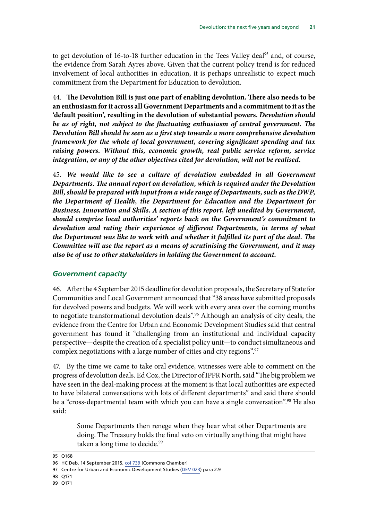<span id="page-24-0"></span>to get devolution of 16-to-18 further education in the Tees Valley deal<sup>95</sup> and, of course, the evidence from Sarah Ayres above. Given that the current policy trend is for reduced involvement of local authorities in education, it is perhaps unrealistic to expect much commitment from the Department for Education to devolution.

<span id="page-24-2"></span><span id="page-24-1"></span>44. **The Devolution Bill is just one part of enabling devolution. There also needs to be an enthusiasm for it across all Government Departments and a commitment to it as the 'default position', resulting in the devolution of substantial powers.** *Devolution should*  be as of right, not subject to the fluctuating enthusiasm of central government. The *Devolution Bill should be seen as a first step towards a more comprehensive devolution framework for the whole of local government, covering significant spending and tax raising powers. Without this, economic growth, real public service reform, service integration, or any of the other objectives cited for devolution, will not be realised.*

<span id="page-24-3"></span>45. *We would like to see a culture of devolution embedded in all Government Departments. The annual report on devolution, which is required under the Devolution Bill, should be prepared with input from a wide range of Departments, such as the DWP, the Department of Health, the Department for Education and the Department for Business, Innovation and Skills. A section of this report, left unedited by Government, should comprise local authorities' reports back on the Government's commitment to devolution and rating their experience of different Departments, in terms of what the Department was like to work with and whether it fulfilled its part of the deal. The Committee will use the report as a means of scrutinising the Government, and it may also be of use to other stakeholders in holding the Government to account.*

#### *Government capacity*

46. After the 4 September 2015 deadline for devolution proposals, the Secretary of State for Communities and Local Government announced that "38 areas have submitted proposals for devolved powers and budgets. We will work with every area over the coming months to negotiate transformational devolution deals".<sup>96</sup> Although an analysis of city deals, the evidence from the Centre for Urban and Economic Development Studies said that central government has found it "challenging from an institutional and individual capacity perspective—despite the creation of a specialist policy unit—to conduct simultaneous and complex negotiations with a large number of cities and city regions".<sup>97</sup>

47. By the time we came to take oral evidence, witnesses were able to comment on the progress of devolution deals. Ed Cox, the Director of IPPR North, said "The big problem we have seen in the deal-making process at the moment is that local authorities are expected to have bilateral conversations with lots of different departments" and said there should be a "cross-departmental team with which you can have a single conversation".<sup>98</sup> He also said:

Some Departments then renege when they hear what other Departments are doing. The Treasury holds the final veto on virtually anything that might have taken a long time to decide.<sup>99</sup>

<sup>95</sup> Q168

<sup>96</sup> HC Deb, 14 September 2015, col 739 [Commons Chamber]

<sup>97</sup> Centre for Urban and Economic Development Studies [\(DEV 023\)](http://data.parliament.uk/writtenevidence/committeeevidence.svc/evidencedocument/communities-and-local-government-committee/the-governments-cities-and-local-government-devolution-bill/written/20193.pdf) para 2.9

<sup>98</sup> Q171

<sup>99</sup> Q171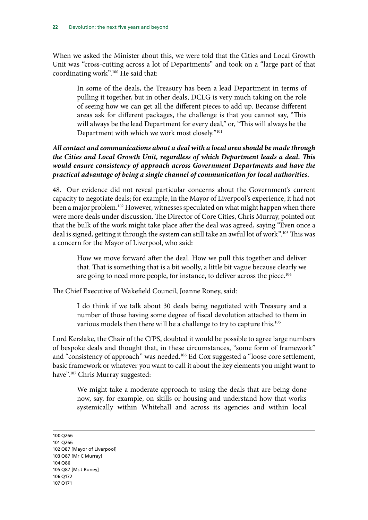When we asked the Minister about this, we were told that the Cities and Local Growth Unit was "cross-cutting across a lot of Departments" and took on a "large part of that coordinating work".100 He said that:

In some of the deals, the Treasury has been a lead Department in terms of pulling it together, but in other deals, DCLG is very much taking on the role of seeing how we can get all the different pieces to add up. Because different areas ask for different packages, the challenge is that you cannot say, "This will always be the lead Department for every deal," or, "This will always be the Department with which we work most closely."101

#### <span id="page-25-0"></span>*All contact and communications about a deal with a local area should be made through the Cities and Local Growth Unit, regardless of which Department leads a deal. This would ensure consistency of approach across Government Departments and have the practical advantage of being a single channel of communication for local authorities.*

48. Our evidence did not reveal particular concerns about the Government's current capacity to negotiate deals; for example, in the Mayor of Liverpool's experience, it had not been a major problem.<sup>102</sup> However, witnesses speculated on what might happen when there were more deals under discussion. The Director of Core Cities, Chris Murray, pointed out that the bulk of the work might take place after the deal was agreed, saying "Even once a deal is signed, getting it through the system can still take an awful lot of work".<sup>103</sup> This was a concern for the Mayor of Liverpool, who said:

How we move forward after the deal. How we pull this together and deliver that. That is something that is a bit woolly, a little bit vague because clearly we are going to need more people, for instance, to deliver across the piece.<sup>104</sup>

The Chief Executive of Wakefield Council, Joanne Roney, said:

I do think if we talk about 30 deals being negotiated with Treasury and a number of those having some degree of fiscal devolution attached to them in various models then there will be a challenge to try to capture this.<sup>105</sup>

Lord Kerslake, the Chair of the CfPS, doubted it would be possible to agree large numbers of bespoke deals and thought that, in these circumstances, "some form of framework" and "consistency of approach" was needed.106 Ed Cox suggested a "loose core settlement, basic framework or whatever you want to call it about the key elements you might want to have".107 Chris Murray suggested:

We might take a moderate approach to using the deals that are being done now, say, for example, on skills or housing and understand how that works systemically within Whitehall and across its agencies and within local

100 Q266 101 Q266 102 Q87 [Mayor of Liverpool] 103 Q87 [Mr C Murray] 104 Q86 105 Q87 [Ms J Roney] 106 Q172 107 Q171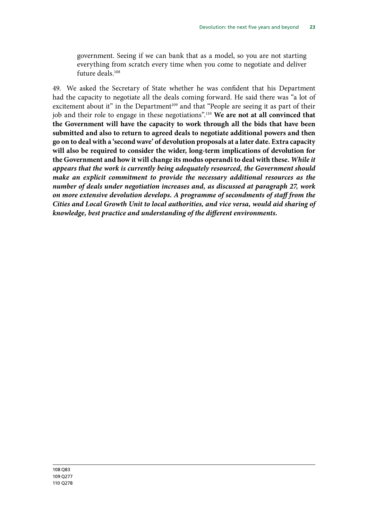<span id="page-26-1"></span><span id="page-26-0"></span>government. Seeing if we can bank that as a model, so you are not starting everything from scratch every time when you come to negotiate and deliver future deals<sup>108</sup>

49. We asked the Secretary of State whether he was confident that his Department had the capacity to negotiate all the deals coming forward. He said there was "a lot of excitement about it" in the Department<sup>109</sup> and that "People are seeing it as part of their job and their role to engage in these negotiations".110 **We are not at all convinced that the Government will have the capacity to work through all the bids that have been submitted and also to return to agreed deals to negotiate additional powers and then go on to deal with a 'second wave' of devolution proposals at a later date. Extra capacity will also be required to consider the wider, long-term implications of devolution for the Government and how it will change its modus operandi to deal with these.** *While it appears that the work is currently being adequately resourced, the Government should make an explicit commitment to provide the necessary additional resources as the number of deals under negotiation increases and, as discussed at paragraph 27, work on more extensive devolution develops. A programme of secondments of staff from the Cities and Local Growth Unit to local authorities, and vice versa, would aid sharing of knowledge, best practice and understanding of the different environments.*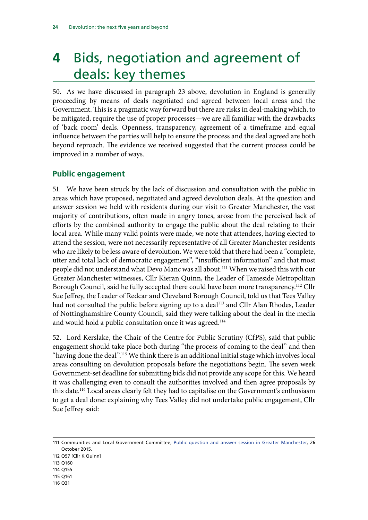## <span id="page-27-0"></span>**4** Bids, negotiation and agreement of deals: key themes

50. As we have discussed in paragraph 23 above, devolution in England is generally proceeding by means of deals negotiated and agreed between local areas and the Government. This is a pragmatic way forward but there are risks in deal-making which, to be mitigated, require the use of proper processes—we are all familiar with the drawbacks of 'back room' deals. Openness, transparency, agreement of a timeframe and equal influence between the parties will help to ensure the process and the deal agreed are both beyond reproach. The evidence we received suggested that the current process could be improved in a number of ways.

#### **Public engagement**

51. We have been struck by the lack of discussion and consultation with the public in areas which have proposed, negotiated and agreed devolution deals. At the question and answer session we held with residents during our visit to Greater Manchester, the vast majority of contributions, often made in angry tones, arose from the perceived lack of efforts by the combined authority to engage the public about the deal relating to their local area. While many valid points were made, we note that attendees, having elected to attend the session, were not necessarily representative of all Greater Manchester residents who are likely to be less aware of devolution. We were told that there had been a "complete, utter and total lack of democratic engagement", "insufficient information" and that most people did not understand what Devo Manc was all about.<sup>111</sup> When we raised this with our Greater Manchester witnesses, Cllr Kieran Quinn, the Leader of Tameside Metropolitan Borough Council, said he fully accepted there could have been more transparency.<sup>112</sup> Cllr Sue Jeffrey, the Leader of Redcar and Cleveland Borough Council, told us that Tees Valley had not consulted the public before signing up to a deal<sup>113</sup> and Cllr Alan Rhodes, Leader of Nottinghamshire County Council, said they were talking about the deal in the media and would hold a public consultation once it was agreed.<sup>114</sup>

52. Lord Kerslake, the Chair of the Centre for Public Scrutiny (CfPS), said that public engagement should take place both during "the process of coming to the deal" and then "having done the deal".<sup>115</sup> We think there is an additional initial stage which involves local areas consulting on devolution proposals before the negotiations begin. The seven week Government-set deadline for submitting bids did not provide any scope for this. We heard it was challenging even to consult the authorities involved and then agree proposals by this date.116 Local areas clearly felt they had to capitalise on the Government's enthusiasm to get a deal done: explaining why Tees Valley did not undertake public engagement, Cllr Sue Jeffrey said:

112 Q57 [Cllr K Quinn]

- 114 Q155
- 115 Q161
- 116 Q31

<sup>111</sup> Communities and Local Government Committee, [Public question and answer session in Greater Manchester,](http://data.parliament.uk/writtenevidence/committeeevidence.svc/evidencedocument/communities-and-local-government-committee/the-governments-cities-and-local-government-devolution-bill/oral/23633.pdf) 26 October 2015.

<sup>113</sup> Q160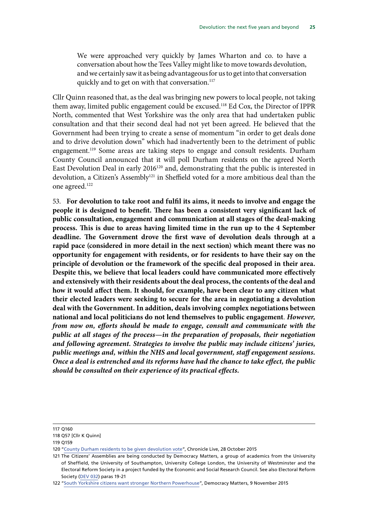We were approached very quickly by James Wharton and co. to have a conversation about how the Tees Valley might like to move towards devolution, and we certainly saw it as being advantageous for us to get into that conversation quickly and to get on with that conversation.<sup>117</sup>

Cllr Quinn reasoned that, as the deal was bringing new powers to local people, not taking them away, limited public engagement could be excused.118 Ed Cox, the Director of IPPR North, commented that West Yorkshire was the only area that had undertaken public consultation and that their second deal had not yet been agreed. He believed that the Government had been trying to create a sense of momentum "in order to get deals done and to drive devolution down" which had inadvertently been to the detriment of public engagement.119 Some areas are taking steps to engage and consult residents. Durham County Council announced that it will poll Durham residents on the agreed North East Devolution Deal in early 2016<sup>120</sup> and, demonstrating that the public is interested in devolution, a Citizen's Assembly<sup>121</sup> in Sheffield voted for a more ambitious deal than the one agreed.122

<span id="page-28-1"></span><span id="page-28-0"></span>53. **For devolution to take root and fulfil its aims, it needs to involve and engage the people it is designed to benefit. There has been a consistent very significant lack of public consultation, engagement and communication at all stages of the deal-making process. This is due to areas having limited time in the run up to the 4 September deadline. The Government drove the first wave of devolution deals through at a rapid pace (considered in more detail in the next section) which meant there was no opportunity for engagement with residents, or for residents to have their say on the principle of devolution or the framework of the specific deal proposed in their area. Despite this, we believe that local leaders could have communicated more effectively and extensively with their residents about the deal process, the contents of the deal and how it would affect them. It should, for example, have been clear to any citizen what their elected leaders were seeking to secure for the area in negotiating a devolution deal with the Government. In addition, deals involving complex negotiations between national and local politicians do not lend themselves to public engagement**. *However, from now on, efforts should be made to engage, consult and communicate with the public at all stages of the process—in the preparation of proposals, their negotiation and following agreement. Strategies to involve the public may include citizens' juries, public meetings and, within the NHS and local government, staff engagement sessions. Once a deal is entrenched and its reforms have had the chance to take effect, the public should be consulted on their experience of its practical effects.*

<sup>117</sup> Q160

<sup>118</sup> Q57 [Cllr K Quinn]

<sup>119</sup> Q159

<sup>120</sup> ["County Durham residents to be given devolution vote](http://www.chroniclelive.co.uk/news/north-east-news/county-durham-residents-given-devolution-10347846)", Chronicle Live, 28 October 2015

<sup>121</sup> The Citizens' Assemblies are being conducted by Democracy Matters, a group of academics from the University of Sheffield, the University of Southampton, University College London, the University of Westminster and the Electoral Reform Society in a project funded by the Economic and Social Research Council. See also Electoral Reform Society [\(DEV 032](http://data.parliament.uk/writtenevidence/committeeevidence.svc/evidencedocument/communities-and-local-government-committee/the-governments-cities-and-local-government-devolution-bill/written/20263.pdf)) paras 19-21

<sup>122</sup> ["South Yorkshire citizens want stronger Northern Powerhouse"](http://www.electoral-reform.org.uk/press-release/south-yorkshire-citizens-want-stronger-northern-powerhouse), Democracy Matters, 9 November 2015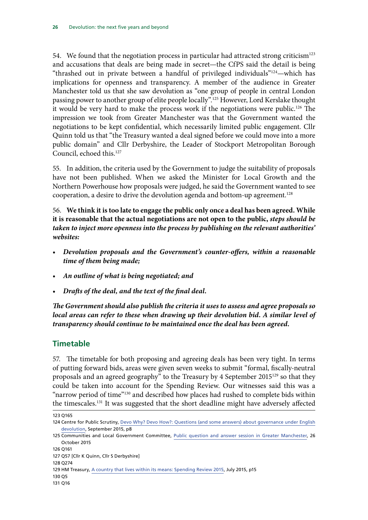<span id="page-29-0"></span>54. We found that the negotiation process in particular had attracted strong criticism<sup>123</sup> and accusations that deals are being made in secret—the CfPS said the detail is being "thrashed out in private between a handful of privileged individuals"124—which has implications for openness and transparency. A member of the audience in Greater Manchester told us that she saw devolution as "one group of people in central London passing power to another group of elite people locally".125 However, Lord Kerslake thought it would be very hard to make the process work if the negotiations were public.126 The impression we took from Greater Manchester was that the Government wanted the negotiations to be kept confidential, which necessarily limited public engagement. Cllr Quinn told us that "the Treasury wanted a deal signed before we could move into a more public domain" and Cllr Derbyshire, the Leader of Stockport Metropolitan Borough Council, echoed this.127

55. In addition, the criteria used by the Government to judge the suitability of proposals have not been published. When we asked the Minister for Local Growth and the Northern Powerhouse how proposals were judged, he said the Government wanted to see cooperation, a desire to drive the devolution agenda and bottom-up agreement.<sup>128</sup>

<span id="page-29-2"></span><span id="page-29-1"></span>56. **We think it is too late to engage the public only once a deal has been agreed. While it is reasonable that the actual negotiations are not open to the public,** *steps should be taken to inject more openness into the process by publishing on the relevant authorities' websites:*

- <span id="page-29-3"></span>• *Devolution proposals and the Government's counter-offers, within a reasonable time of them being made;*
- <span id="page-29-4"></span>• *An outline of what is being negotiated; and*
- <span id="page-29-5"></span>• *Drafts of the deal, and the text of the final deal.*

<span id="page-29-6"></span>*The Government should also publish the criteria it uses to assess and agree proposals so local areas can refer to these when drawing up their devolution bid. A similar level of transparency should continue to be maintained once the deal has been agreed.*

#### **Timetable**

57. The timetable for both proposing and agreeing deals has been very tight. In terms of putting forward bids, areas were given seven weeks to submit "formal, fiscally-neutral proposals and an agreed geography" to the Treasury by 4 September 2015129 so that they could be taken into account for the Spending Review. Our witnesses said this was a "narrow period of time"<sup>130</sup> and described how places had rushed to complete bids within the timescales.131 It was suggested that the short deadline might have adversely affected

<sup>123</sup> Q165

<sup>124</sup> Centre for Public Scrutiny, [Devo Why? Devo How?: Questions \(and some answers\) about governance under English](http://www.cfps.org.uk/domains/cfps.org.uk/local/media/downloads/CfPS_DEVO_WHY_RGB.pdf) [devolution](http://www.cfps.org.uk/domains/cfps.org.uk/local/media/downloads/CfPS_DEVO_WHY_RGB.pdf), September 2015, p8

<sup>125</sup> Communities and Local Government Committee, [Public question and answer session in Greater Manchester,](http://data.parliament.uk/writtenevidence/committeeevidence.svc/evidencedocument/communities-and-local-government-committee/the-governments-cities-and-local-government-devolution-bill/oral/23633.pdf) 26 October 2015

<sup>126</sup> Q161

<sup>127</sup> Q57 [Cllr K Quinn, Cllr S Derbyshire]

<sup>128</sup> Q274

<sup>129</sup> HM Treasury, [A country that lives within its means: Spending Review 2015](https://www.gov.uk/government/uploads/system/uploads/attachment_data/file/447101/a_country_that_lives_within_its_means.pdf), July 2015, p15

<sup>130</sup> Q5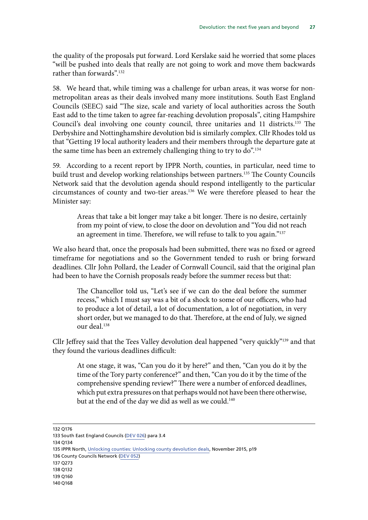the quality of the proposals put forward. Lord Kerslake said he worried that some places "will be pushed into deals that really are not going to work and move them backwards rather than forwards"<sup>132</sup>

58. We heard that, while timing was a challenge for urban areas, it was worse for nonmetropolitan areas as their deals involved many more institutions. South East England Councils (SEEC) said "The size, scale and variety of local authorities across the South East add to the time taken to agree far-reaching devolution proposals", citing Hampshire Council's deal involving one county council, three unitaries and 11 districts.133 The Derbyshire and Nottinghamshire devolution bid is similarly complex. Cllr Rhodes told us that "Getting 19 local authority leaders and their members through the departure gate at the same time has been an extremely challenging thing to try to do".<sup>134</sup>

59. According to a recent report by IPPR North, counties, in particular, need time to build trust and develop working relationships between partners.<sup>135</sup> The County Councils Network said that the devolution agenda should respond intelligently to the particular circumstances of county and two-tier areas.136 We were therefore pleased to hear the Minister say:

Areas that take a bit longer may take a bit longer. There is no desire, certainly from my point of view, to close the door on devolution and "You did not reach an agreement in time. Therefore, we will refuse to talk to you again."<sup>137</sup>

We also heard that, once the proposals had been submitted, there was no fixed or agreed timeframe for negotiations and so the Government tended to rush or bring forward deadlines. Cllr John Pollard, the Leader of Cornwall Council, said that the original plan had been to have the Cornish proposals ready before the summer recess but that:

The Chancellor told us, "Let's see if we can do the deal before the summer recess," which I must say was a bit of a shock to some of our officers, who had to produce a lot of detail, a lot of documentation, a lot of negotiation, in very short order, but we managed to do that. Therefore, at the end of July, we signed our deal.138

Cllr Jeffrey said that the Tees Valley devolution deal happened "very quickly"139 and that they found the various deadlines difficult:

At one stage, it was, "Can you do it by here?" and then, "Can you do it by the time of the Tory party conference?" and then, "Can you do it by the time of the comprehensive spending review?" There were a number of enforced deadlines, which put extra pressures on that perhaps would not have been there otherwise, but at the end of the day we did as well as we could.<sup>140</sup>

- 137 Q273
- 138 Q132
- 139 Q160

<sup>132</sup> Q176

<sup>133</sup> South East England Councils [\(DEV 026](http://data.parliament.uk/writtenevidence/committeeevidence.svc/evidencedocument/communities-and-local-government-committee/the-governments-cities-and-local-government-devolution-bill/written/20230.pdf)) para 3.4

<sup>134</sup> Q134

<sup>135</sup> IPPR North, [Unlocking counties: Unlocking county devolution deals,](http://www.ippr.org/files/publications/pdf/empowering-counties_Nov2015.pdf?noredirect=1) November 2015, p19 136 County Councils Network ([DEV 052](http://data.parliament.uk/writtenevidence/committeeevidence.svc/evidencedocument/communities-and-local-government-committee/the-governments-cities-and-local-government-devolution-bill/written/21027.pdf))

<sup>140</sup> Q168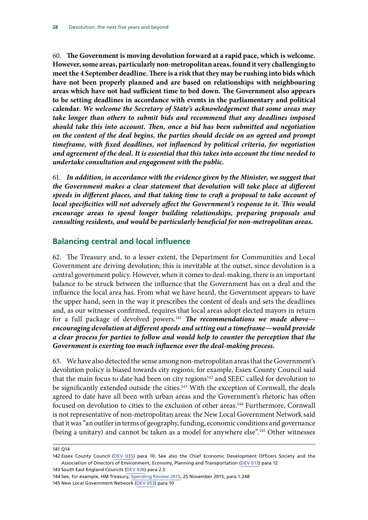<span id="page-31-2"></span><span id="page-31-1"></span><span id="page-31-0"></span>60. **The Government is moving devolution forward at a rapid pace, which is welcome. However, some areas, particularly non-metropolitan areas, found it very challenging to meet the 4 September deadline. There is a risk that they may be rushing into bids which have not been properly planned and are based on relationships with neighbouring areas which have not had sufficient time to bed down. The Government also appears to be setting deadlines in accordance with events in the parliamentary and political calendar.** *We welcome the Secretary of State's acknowledgement that some areas may take longer than others to submit bids and recommend that any deadlines imposed should take this into account. Then, once a bid has been submitted and negotiation on the content of the deal begins, the parties should decide on an agreed and prompt timeframe, with fixed deadlines, not influenced by political criteria, for negotiation and agreement of the deal. It is essential that this takes into account the time needed to undertake consultation and engagement with the public.*

<span id="page-31-3"></span>61. *In addition, in accordance with the evidence given by the Minister, we suggest that the Government makes a clear statement that devolution will take place at different speeds in different places, and that taking time to craft a proposal to take account of local specificities will not adversely affect the Government's response to it. This would encourage areas to spend longer building relationships, preparing proposals and consulting residents, and would be particularly beneficial for non-metropolitan areas.*

#### **Balancing central and local influence**

62. The Treasury and, to a lesser extent, the Department for Communities and Local Government are driving devolution; this is inevitable at the outset, since devolution is a central government policy. However, when it comes to deal-making, there is an important balance to be struck between the influence that the Government has on a deal and the influence the local area has. From what we have heard, the Government appears to have the upper hand, seen in the way it prescribes the content of deals and sets the deadlines and, as our witnesses confirmed, requires that local areas adopt elected mayors in return for a full package of devolved powers.141 *The recommendations we made above encouraging devolution at different speeds and setting out a timeframe—would provide a clear process for parties to follow and would help to counter the perception that the Government is exerting too much influence over the deal-making process.*

<span id="page-31-4"></span>63. We have also detected the sense among non-metropolitan areas that the Government's devolution policy is biased towards city regions; for example, Essex County Council said that the main focus to date had been on city regions<sup>142</sup> and SEEC called for devolution to be significantly extended outside the cities.<sup>143</sup> With the exception of Cornwall, the deals agreed to date have all been with urban areas and the Government's rhetoric has often focused on devolution to cities to the exclusion of other areas.<sup>144</sup> Furthermore, Cornwall is not representative of non-metropolitan areas: the New Local Government Network said that it was "an outlier in terms of geography, funding, economic conditions and governance (being a unitary) and cannot be taken as a model for anywhere else".145 Other witnesses

<sup>141</sup> Q14

<sup>142</sup> Essex County Council [\(DEV 035\)](http://data.parliament.uk/writtenevidence/committeeevidence.svc/evidencedocument/communities-and-local-government-committee/the-governments-cities-and-local-government-devolution-bill/written/20285.pdf) para 10. See also the Chief Economic Development Officers Society and the Association of Directors of Environment, Economy, Planning and Transportation ([DEV 013\)](http://data.parliament.uk/writtenevidence/committeeevidence.svc/evidencedocument/communities-and-local-government-committee/the-governments-cities-and-local-government-devolution-bill/written/19999.pdf) para 12

<sup>143</sup> South East England Councils [\(DEV 026](http://data.parliament.uk/writtenevidence/committeeevidence.svc/evidencedocument/communities-and-local-government-committee/the-governments-cities-and-local-government-devolution-bill/written/20230.pdf)) para 2.5

<sup>144</sup> See, for example, HM Treasury, [Spending Review 2015](https://www.gov.uk/government/uploads/system/uploads/attachment_data/file/479749/52229_Blue_Book_PU1865_Web_Accessible.pdf), 25 November 2015, para 1.248 145 New Local Government Network ([DEV 053](http://data.parliament.uk/writtenevidence/committeeevidence.svc/evidencedocument/communities-and-local-government-committee/the-governments-cities-and-local-government-devolution-bill/written/21335.pdf)) para 10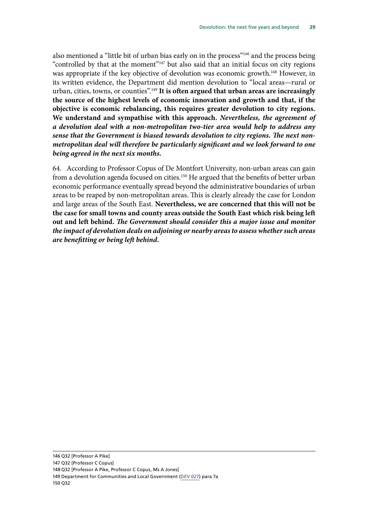<span id="page-32-0"></span>also mentioned a "little bit of urban bias early on in the process"<sup>146</sup> and the process being "controlled by that at the moment"147 but also said that an initial focus on city regions was appropriate if the key objective of devolution was economic growth.<sup>148</sup> However, in its written evidence, the Department did mention devolution to "local areas—rural or urban, cities, towns, or counties".149 **It is often argued that urban areas are increasingly the source of the highest levels of economic innovation and growth and that, if the objective is economic rebalancing, this requires greater devolution to city regions. We understand and sympathise with this approach.** *Nevertheless, the agreement of a devolution deal with a non-metropolitan two-tier area would help to address any sense that the Government is biased towards devolution to city regions. The next nonmetropolitan deal will therefore be particularly significant and we look forward to one being agreed in the next six months.*

<span id="page-32-3"></span><span id="page-32-2"></span><span id="page-32-1"></span>64. According to Professor Copus of De Montfort University, non-urban areas can gain from a devolution agenda focused on cities.<sup>150</sup> He argued that the benefits of better urban economic performance eventually spread beyond the administrative boundaries of urban areas to be reaped by non-metropolitan areas. This is clearly already the case for London and large areas of the South East. **Nevertheless, we are concerned that this will not be the case for small towns and county areas outside the South East which risk being left out and left behind.** *The Government should consider this a major issue and monitor the impact of devolution deals on adjoining or nearby areas to assess whether such areas are benefitting or being left behind.*

147 Q32 [Professor C Copus]

148 Q32 [Professor A Pike, Professor C Copus, Ms A Jones]

<sup>146</sup> Q32 [Professor A Pike]

<sup>149</sup> Department for Communities and Local Government [\(DEV 027](http://data.parliament.uk/writtenevidence/committeeevidence.svc/evidencedocument/communities-and-local-government-committee/the-governments-cities-and-local-government-devolution-bill/written/20249.pdf)) para 7a 150 Q32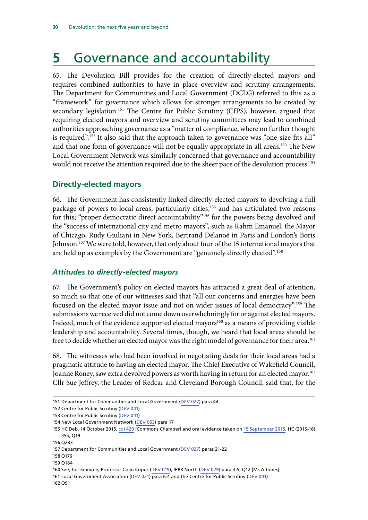# <span id="page-33-0"></span>**5** Governance and accountability

65. The Devolution Bill provides for the creation of directly-elected mayors and requires combined authorities to have in place overview and scrutiny arrangements. The Department for Communities and Local Government (DCLG) referred to this as a "framework" for governance which allows for stronger arrangements to be created by secondary legislation.<sup>151</sup> The Centre for Public Scrutiny (CfPS), however, argued that requiring elected mayors and overview and scrutiny committees may lead to combined authorities approaching governance as a "matter of compliance, where no further thought is required".<sup>152</sup> It also said that the approach taken to governance was "one-size-fits-all" and that one form of governance will not be equally appropriate in all areas.<sup>153</sup> The New Local Government Network was similarly concerned that governance and accountability would not receive the attention required due to the sheer pace of the devolution process.<sup>154</sup>

#### **Directly-elected mayors**

66. The Government has consistently linked directly-elected mayors to devolving a full package of powers to local areas, particularly cities,<sup>155</sup> and has articulated two reasons for this; "proper democratic direct accountability"<sup>156</sup> for the powers being devolved and the "success of international city and metro mayors", such as Rahm Emanuel, the Mayor of Chicago, Rudy Giuliani in New York, Bertrand Delanoë in Paris and London's Boris Johnson.<sup>157</sup> We were told, however, that only about four of the 15 international mayors that are held up as examples by the Government are "genuinely directly elected".158

#### *Attitudes to directly-elected mayors*

67. The Government's policy on elected mayors has attracted a great deal of attention, so much so that one of our witnesses said that "all our concerns and energies have been focused on the elected mayor issue and not on wider issues of local democracy".159 The submissions we received did not come down overwhelmingly for or against elected mayors. Indeed, much of the evidence supported elected mayors<sup>160</sup> as a means of providing visible leadership and accountability. Several times, though, we heard that local areas should be free to decide whether an elected mayor was the right model of governance for their area.<sup>161</sup>

68. The witnesses who had been involved in negotiating deals for their local areas had a pragmatic attitude to having an elected mayor. The Chief Executive of Wakefield Council, Joanne Roney, saw extra devolved powers as worth having in return for an elected mayor.<sup>162</sup> Cllr Sue Jeffrey, the Leader of Redcar and Cleveland Borough Council, said that, for the

<sup>151</sup> Department for Communities and Local Government [\(DEV 027](http://data.parliament.uk/writtenevidence/committeeevidence.svc/evidencedocument/communities-and-local-government-committee/the-governments-cities-and-local-government-devolution-bill/written/20249.pdf)) para 44

<sup>152</sup> Centre for Public Scrutiny [\(DEV 041\)](http://data.parliament.uk/writtenevidence/committeeevidence.svc/evidencedocument/communities-and-local-government-committee/the-governments-cities-and-local-government-devolution-bill/written/20390.pdf)

<sup>153</sup> Centre for Public Scrutiny [\(DEV 041\)](http://data.parliament.uk/writtenevidence/committeeevidence.svc/evidencedocument/communities-and-local-government-committee/the-governments-cities-and-local-government-devolution-bill/written/20390.pdf)

<sup>154</sup> New Local Government Network ([DEV 053](http://data.parliament.uk/writtenevidence/committeeevidence.svc/evidencedocument/communities-and-local-government-committee/the-governments-cities-and-local-government-devolution-bill/written/21335.pdf)) para 17

<sup>155</sup> HC Deb, 14 October 2015, [col 420](http://www.publications.parliament.uk/pa/cm201516/cmhansrd/cm151014/debindx/151014-x.htm) [Commons Chamber] and oral evidence taken on [15 September 2015,](http://data.parliament.uk/writtenevidence/committeeevidence.svc/evidencedocument/communities-and-local-government-committee/the-priorities-of-the-department-for-communities-and-local-government-in-the-2015-parliament/oral/21682.pdf) HC (2015-16) 355, Q19

<sup>156</sup> Q283

<sup>157</sup> Department for Communities and Local Government [\(DEV 027](http://data.parliament.uk/writtenevidence/committeeevidence.svc/evidencedocument/communities-and-local-government-committee/the-governments-cities-and-local-government-devolution-bill/written/20249.pdf)) paras 21-22

<sup>158</sup> Q176

<sup>159</sup> Q184

<sup>160</sup> See, for example, Professor Colin Copus [\(DEV 019](http://data.parliament.uk/writtenevidence/committeeevidence.svc/evidencedocument/communities-and-local-government-committee/the-governments-cities-and-local-government-devolution-bill/written/20159.pdf)); IPPR North [\(DEV 029](http://data.parliament.uk/writtenevidence/committeeevidence.svc/evidencedocument/communities-and-local-government-committee/the-governments-cities-and-local-government-devolution-bill/written/20256.pdf)) para 3.5; Q12 [Ms A Jones]

<sup>161</sup> Local Government Association [\(DEV 021](http://data.parliament.uk/writtenevidence/committeeevidence.svc/evidencedocument/communities-and-local-government-committee/the-governments-cities-and-local-government-devolution-bill/written/20188.pdf)) para 6.4 and the Centre for Public Scrutiny ([DEV 041](http://data.parliament.uk/writtenevidence/committeeevidence.svc/evidencedocument/communities-and-local-government-committee/the-governments-cities-and-local-government-devolution-bill/written/20390.pdf)) 162 Q91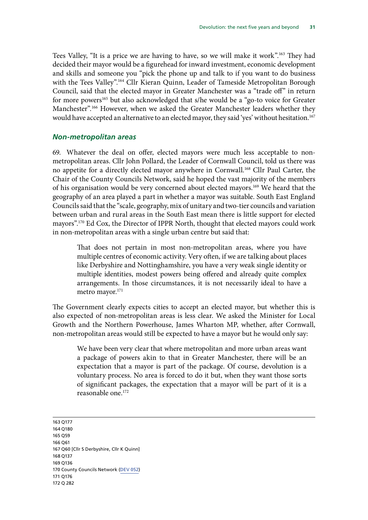<span id="page-34-0"></span>Tees Valley, "It is a price we are having to have, so we will make it work".163 They had decided their mayor would be a figurehead for inward investment, economic development and skills and someone you "pick the phone up and talk to if you want to do business with the Tees Valley".<sup>164</sup> Cllr Kieran Quinn, Leader of Tameside Metropolitan Borough Council, said that the elected mayor in Greater Manchester was a "trade off" in return for more powers<sup>165</sup> but also acknowledged that s/he would be a "go-to voice for Greater Manchester".166 However, when we asked the Greater Manchester leaders whether they would have accepted an alternative to an elected mayor, they said 'yes' without hesitation.<sup>167</sup>

#### *Non-metropolitan areas*

69. Whatever the deal on offer, elected mayors were much less acceptable to nonmetropolitan areas. Cllr John Pollard, the Leader of Cornwall Council, told us there was no appetite for a directly elected mayor anywhere in Cornwall.168 Cllr Paul Carter, the Chair of the County Councils Network, said he hoped the vast majority of the members of his organisation would be very concerned about elected mayors.169 We heard that the geography of an area played a part in whether a mayor was suitable. South East England Councils said that the "scale, geography, mix of unitary and two-tier councils and variation between urban and rural areas in the South East mean there is little support for elected mayors".170 Ed Cox, the Director of IPPR North, thought that elected mayors could work in non-metropolitan areas with a single urban centre but said that:

That does not pertain in most non-metropolitan areas, where you have multiple centres of economic activity. Very often, if we are talking about places like Derbyshire and Nottinghamshire, you have a very weak single identity or multiple identities, modest powers being offered and already quite complex arrangements. In those circumstances, it is not necessarily ideal to have a metro mayor.<sup>171</sup>

The Government clearly expects cities to accept an elected mayor, but whether this is also expected of non-metropolitan areas is less clear. We asked the Minister for Local Growth and the Northern Powerhouse, James Wharton MP, whether, after Cornwall, non-metropolitan areas would still be expected to have a mayor but he would only say:

We have been very clear that where metropolitan and more urban areas want a package of powers akin to that in Greater Manchester, there will be an expectation that a mayor is part of the package. Of course, devolution is a voluntary process. No area is forced to do it but, when they want those sorts of significant packages, the expectation that a mayor will be part of it is a reasonable one.172

163 Q177 164 Q180 165 Q59 166 Q61 167 Q60 [Cllr S Derbyshire, Cllr K Quinn] 168 Q137 169 Q136 170 County Councils Network ([DEV 052](http://data.parliament.uk/writtenevidence/committeeevidence.svc/evidencedocument/communities-and-local-government-committee/the-governments-cities-and-local-government-devolution-bill/written/21027.pdf)) 171 Q176 172 Q 282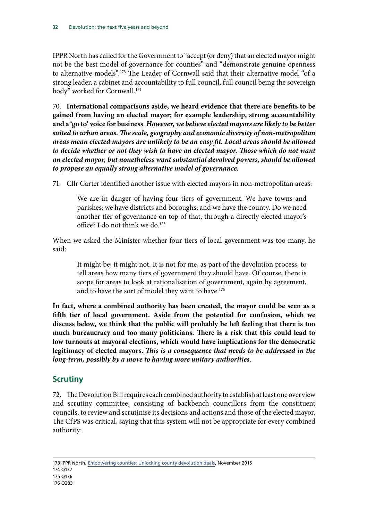<span id="page-35-0"></span>IPPR North has called for the Government to "accept (or deny) that an elected mayor might not be the best model of governance for counties" and "demonstrate genuine openness to alternative models".173 The Leader of Cornwall said that their alternative model "of a strong leader, a cabinet and accountability to full council, full council being the sovereign body" worked for Cornwall.<sup>174</sup>

<span id="page-35-1"></span>70. **International comparisons aside, we heard evidence that there are benefits to be gained from having an elected mayor; for example leadership, strong accountability and a 'go to' voice for business**. *However, we believe elected mayors are likely to be better suited to urban areas. The scale, geography and economic diversity of non-metropolitan areas mean elected mayors are unlikely to be an easy fit. Local areas should be allowed*  to decide whether or not they wish to have an elected mayor. Those which do not want *an elected mayor, but nonetheless want substantial devolved powers, should be allowed to propose an equally strong alternative model of governance.*

71. Cllr Carter identified another issue with elected mayors in non-metropolitan areas:

<span id="page-35-2"></span>We are in danger of having four tiers of government. We have towns and parishes; we have districts and boroughs; and we have the county. Do we need another tier of governance on top of that, through a directly elected mayor's office? I do not think we do.<sup>175</sup>

When we asked the Minister whether four tiers of local government was too many, he said:

It might be; it might not. It is not for me, as part of the devolution process, to tell areas how many tiers of government they should have. Of course, there is scope for areas to look at rationalisation of government, again by agreement, and to have the sort of model they want to have.<sup>176</sup>

<span id="page-35-4"></span><span id="page-35-3"></span>**In fact, where a combined authority has been created, the mayor could be seen as a fifth tier of local government. Aside from the potential for confusion, which we discuss below, we think that the public will probably be left feeling that there is too much bureaucracy and too many politicians***.* **There is a risk that this could lead to low turnouts at mayoral elections, which would have implications for the democratic legitimacy of elected mayors.** *This is a consequence that needs to be addressed in the long-term, possibly by a move to having more unitary authorities*.

#### **Scrutiny**

72. The Devolution Bill requires each combined authority to establish at least one overview and scrutiny committee, consisting of backbench councillors from the constituent councils, to review and scrutinise its decisions and actions and those of the elected mayor. The CfPS was critical, saying that this system will not be appropriate for every combined authority:

173 IPPR North, [Empowering counties: Unlocking county devolution deals](http://www.ippr.org/files/publications/pdf/empowering-counties_Nov2015.pdf?noredirect=1), November 2015

175 Q136

<sup>174</sup> Q137

<sup>176</sup> Q283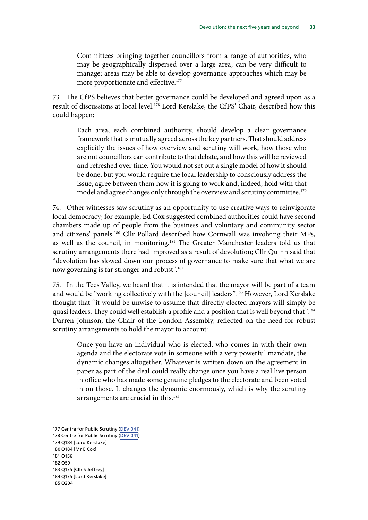Committees bringing together councillors from a range of authorities, who may be geographically dispersed over a large area, can be very difficult to manage; areas may be able to develop governance approaches which may be more proportionate and effective.<sup>177</sup>

73. The CfPS believes that better governance could be developed and agreed upon as a result of discussions at local level.<sup>178</sup> Lord Kerslake, the CfPS' Chair, described how this could happen:

Each area, each combined authority, should develop a clear governance framework that is mutually agreed across the key partners. That should address explicitly the issues of how overview and scrutiny will work, how those who are not councillors can contribute to that debate, and how this will be reviewed and refreshed over time. You would not set out a single model of how it should be done, but you would require the local leadership to consciously address the issue, agree between them how it is going to work and, indeed, hold with that model and agree changes only through the overview and scrutiny committee.<sup>179</sup>

74. Other witnesses saw scrutiny as an opportunity to use creative ways to reinvigorate local democracy; for example, Ed Cox suggested combined authorities could have second chambers made up of people from the business and voluntary and community sector and citizens' panels.180 Cllr Pollard described how Cornwall was involving their MPs, as well as the council, in monitoring.<sup>181</sup> The Greater Manchester leaders told us that scrutiny arrangements there had improved as a result of devolution; Cllr Quinn said that "devolution has slowed down our process of governance to make sure that what we are now governing is far stronger and robust".<sup>182</sup>

75. In the Tees Valley, we heard that it is intended that the mayor will be part of a team and would be "working collectively with the [council] leaders".<sup>183</sup> However, Lord Kerslake thought that "it would be unwise to assume that directly elected mayors will simply be quasi leaders. They could well establish a profile and a position that is well beyond that".<sup>184</sup> Darren Johnson, the Chair of the London Assembly, reflected on the need for robust scrutiny arrangements to hold the mayor to account:

Once you have an individual who is elected, who comes in with their own agenda and the electorate vote in someone with a very powerful mandate, the dynamic changes altogether. Whatever is written down on the agreement in paper as part of the deal could really change once you have a real live person in office who has made some genuine pledges to the electorate and been voted in on those. It changes the dynamic enormously, which is why the scrutiny arrangements are crucial in this.<sup>185</sup>

177 Centre for Public Scrutiny [\(DEV 041\)](http://data.parliament.uk/writtenevidence/committeeevidence.svc/evidencedocument/communities-and-local-government-committee/the-governments-cities-and-local-government-devolution-bill/written/20390.pdf) 178 Centre for Public Scrutiny [\(DEV 041\)](http://data.parliament.uk/writtenevidence/committeeevidence.svc/evidencedocument/communities-and-local-government-committee/the-governments-cities-and-local-government-devolution-bill/written/20390.pdf) 179 Q184 [Lord Kerslake] 180 Q184 [Mr E Cox] 181 Q156 182 Q59 183 Q175 [Cllr S Jeffrey] 184 Q175 [Lord Kerslake] 185 Q204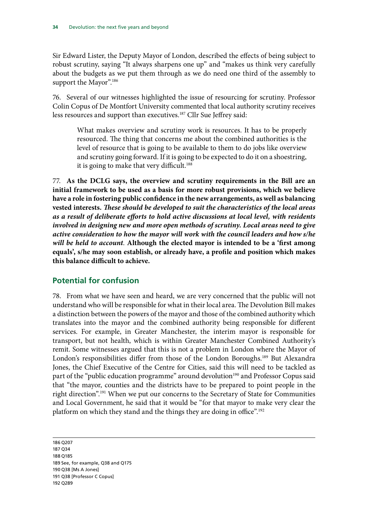<span id="page-37-0"></span>Sir Edward Lister, the Deputy Mayor of London, described the effects of being subject to robust scrutiny, saying "It always sharpens one up" and "makes us think very carefully about the budgets as we put them through as we do need one third of the assembly to support the Mayor".<sup>186</sup>

76. Several of our witnesses highlighted the issue of resourcing for scrutiny. Professor Colin Copus of De Montfort University commented that local authority scrutiny receives less resources and support than executives.<sup>187</sup> Cllr Sue Jeffrey said:

What makes overview and scrutiny work is resources. It has to be properly resourced. The thing that concerns me about the combined authorities is the level of resource that is going to be available to them to do jobs like overview and scrutiny going forward. If it is going to be expected to do it on a shoestring, it is going to make that very difficult.<sup>188</sup>

<span id="page-37-1"></span>77. **As the DCLG says, the overview and scrutiny requirements in the Bill are an initial framework to be used as a basis for more robust provisions, which we believe have a role in fostering public confidence in the new arrangements, as well as balancing vested interests.** *These should be developed to suit the characteristics of the local areas as a result of deliberate efforts to hold active discussions at local level, with residents involved in designing new and more open methods of scrutiny. Local areas need to give active consideration to how the mayor will work with the council leaders and how s/he will be held to account*. **Although the elected mayor is intended to be a 'first among equals', s/he may soon establish, or already have, a profile and position which makes this balance difficult to achieve.**

#### **Potential for confusion**

78. From what we have seen and heard, we are very concerned that the public will not understand who will be responsible for what in their local area. The Devolution Bill makes a distinction between the powers of the mayor and those of the combined authority which translates into the mayor and the combined authority being responsible for different services. For example, in Greater Manchester, the interim mayor is responsible for transport, but not health, which is within Greater Manchester Combined Authority's remit. Some witnesses argued that this is not a problem in London where the Mayor of London's responsibilities differ from those of the London Boroughs.<sup>189</sup> But Alexandra Jones, the Chief Executive of the Centre for Cities, said this will need to be tackled as part of the "public education programme" around devolution<sup>190</sup> and Professor Copus said that "the mayor, counties and the districts have to be prepared to point people in the right direction".191 When we put our concerns to the Secretary of State for Communities and Local Government, he said that it would be "for that mayor to make very clear the platform on which they stand and the things they are doing in office".<sup>192</sup>

186 Q207 187 Q34 188 Q185 189 See, for example, Q38 and Q175 190 Q38 [Ms A Jones] 191 Q38 [Professor C Copus] 192 Q289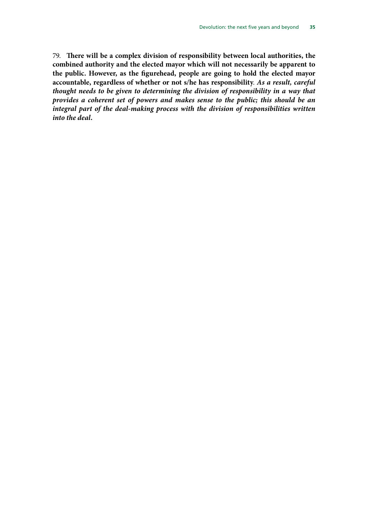<span id="page-38-1"></span><span id="page-38-0"></span>79. **There will be a complex division of responsibility between local authorities, the combined authority and the elected mayor which will not necessarily be apparent to the public. However, as the figurehead, people are going to hold the elected mayor accountable, regardless of whether or not s/he has responsibility**. *As a result, careful thought needs to be given to determining the division of responsibility in a way that provides a coherent set of powers and makes sense to the public; this should be an integral part of the deal-making process with the division of responsibilities written into the deal.*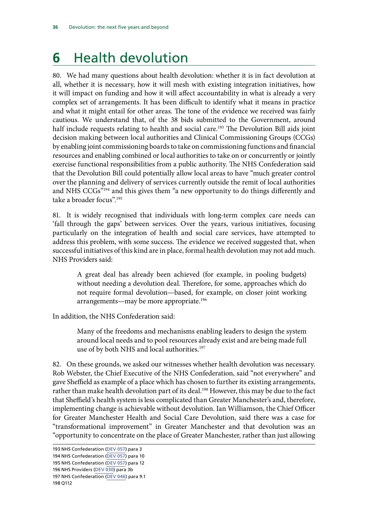# <span id="page-39-0"></span>**6** Health devolution

80. We had many questions about health devolution: whether it is in fact devolution at all, whether it is necessary, how it will mesh with existing integration initiatives, how it will impact on funding and how it will affect accountability in what is already a very complex set of arrangements. It has been difficult to identify what it means in practice and what it might entail for other areas. The tone of the evidence we received was fairly cautious. We understand that, of the 38 bids submitted to the Government, around half include requests relating to health and social care.<sup>193</sup> The Devolution Bill aids joint decision making between local authorities and Clinical Commissioning Groups (CCGs) by enabling joint commissioning boards to take on commissioning functions and financial resources and enabling combined or local authorities to take on or concurrently or jointly exercise functional responsibilities from a public authority. The NHS Confederation said that the Devolution Bill could potentially allow local areas to have "much greater control over the planning and delivery of services currently outside the remit of local authorities and NHS CCGs"194 and this gives them "a new opportunity to do things differently and take a broader focus".195

81. It is widely recognised that individuals with long-term complex care needs can 'fall through the gaps' between services. Over the years, various initiatives, focusing particularly on the integration of health and social care services, have attempted to address this problem, with some success. The evidence we received suggested that, when successful initiatives of this kind are in place, formal health devolution may not add much. NHS Providers said:

A great deal has already been achieved (for example, in pooling budgets) without needing a devolution deal. Therefore, for some, approaches which do not require formal devolution—based, for example, on closer joint working arrangements—may be more appropriate.<sup>196</sup>

In addition, the NHS Confederation said:

Many of the freedoms and mechanisms enabling leaders to design the system around local needs and to pool resources already exist and are being made full use of by both NHS and local authorities.<sup>197</sup>

82. On these grounds, we asked our witnesses whether health devolution was necessary. Rob Webster, the Chief Executive of the NHS Confederation, said "not everywhere" and gave Sheffield as example of a place which has chosen to further its existing arrangements, rather than make health devolution part of its deal.<sup>198</sup> However, this may be due to the fact that Sheffield's health system is less complicated than Greater Manchester's and, therefore, implementing change is achievable without devolution. Ian Williamson, the Chief Officer for Greater Manchester Health and Social Care Devolution, said there was a case for "transformational improvement" in Greater Manchester and that devolution was an "opportunity to concentrate on the place of Greater Manchester, rather than just allowing

<sup>193</sup> NHS Confederation ([DEV 057\)](http://data.parliament.uk/writtenevidence/committeeevidence.svc/evidencedocument/communities-and-local-government-committee/the-governments-cities-and-local-government-devolution-bill/written/26509.pdf) para 3

<sup>194</sup> NHS Confederation ([DEV 057\)](http://data.parliament.uk/writtenevidence/committeeevidence.svc/evidencedocument/communities-and-local-government-committee/the-governments-cities-and-local-government-devolution-bill/written/26509.pdf) para 10

<sup>195</sup> NHS Confederation ([DEV 057\)](http://data.parliament.uk/writtenevidence/committeeevidence.svc/evidencedocument/communities-and-local-government-committee/the-governments-cities-and-local-government-devolution-bill/written/26509.pdf) para 12

<sup>196</sup> NHS Providers ([DEV 030\)](http://data.parliament.uk/writtenevidence/committeeevidence.svc/evidencedocument/communities-and-local-government-committee/the-governments-cities-and-local-government-devolution-bill/written/20258.pdf) para 3b

<sup>197</sup> NHS Confederation ([DEV 046](http://data.parliament.uk/writtenevidence/committeeevidence.svc/evidencedocument/communities-and-local-government-committee/the-governments-cities-and-local-government-devolution-bill/written/20874.pdf)) para 9.1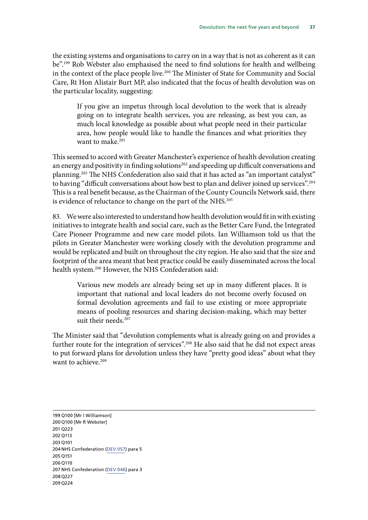the existing systems and organisations to carry on in a way that is not as coherent as it can be".199 Rob Webster also emphasised the need to find solutions for health and wellbeing in the context of the place people live.<sup>200</sup> The Minister of State for Community and Social Care, Rt Hon Alistair Burt MP, also indicated that the focus of health devolution was on the particular locality, suggesting:

If you give an impetus through local devolution to the work that is already going on to integrate health services, you are releasing, as best you can, as much local knowledge as possible about what people need in their particular area, how people would like to handle the finances and what priorities they want to make.<sup>201</sup>

This seemed to accord with Greater Manchester's experience of health devolution creating an energy and positivity in finding solutions<sup>202</sup> and speeding up difficult conversations and planning.203 The NHS Confederation also said that it has acted as "an important catalyst" to having "difficult conversations about how best to plan and deliver joined up services".204 This is a real benefit because, as the Chairman of the County Councils Network said, there is evidence of reluctance to change on the part of the NHS.<sup>205</sup>

83. We were also interested to understand how health devolution would fit in with existing initiatives to integrate health and social care, such as the Better Care Fund, the Integrated Care Pioneer Programme and new care model pilots. Ian Williamson told us that the pilots in Greater Manchester were working closely with the devolution programme and would be replicated and built on throughout the city region. He also said that the size and footprint of the area meant that best practice could be easily disseminated across the local health system.206 However, the NHS Confederation said:

Various new models are already being set up in many different places. It is important that national and local leaders do not become overly focused on formal devolution agreements and fail to use existing or more appropriate means of pooling resources and sharing decision-making, which may better suit their needs.<sup>207</sup>

The Minister said that "devolution complements what is already going on and provides a further route for the integration of services".<sup>208</sup> He also said that he did not expect areas to put forward plans for devolution unless they have "pretty good ideas" about what they want to achieve.<sup>209</sup>

199 Q100 [Mr I Williamson] 200 Q100 [Mr R Webster] 201 Q223 202 Q113 203 Q101 204 NHS Confederation ([DEV 057\)](http://data.parliament.uk/writtenevidence/committeeevidence.svc/evidencedocument/communities-and-local-government-committee/the-governments-cities-and-local-government-devolution-bill/written/26509.pdf) para 5 205 Q151 206 Q110 207 NHS Confederation ([DEV 046](http://data.parliament.uk/writtenevidence/committeeevidence.svc/evidencedocument/communities-and-local-government-committee/the-governments-cities-and-local-government-devolution-bill/written/20874.pdf)) para 3 208 Q227 209 Q224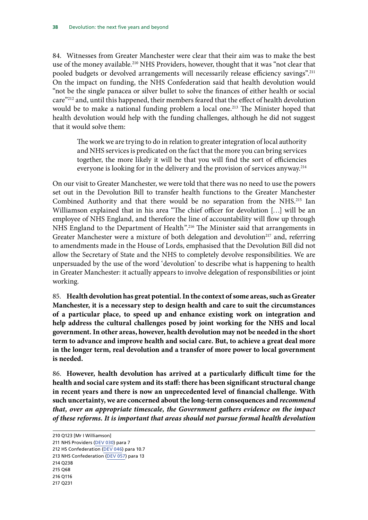84. Witnesses from Greater Manchester were clear that their aim was to make the best use of the money available.<sup>210</sup> NHS Providers, however, thought that it was "not clear that pooled budgets or devolved arrangements will necessarily release efficiency savings".<sup>211</sup> On the impact on funding, the NHS Confederation said that health devolution would "not be the single panacea or silver bullet to solve the finances of either health or social care"212 and, until this happened, their members feared that the effect of health devolution would be to make a national funding problem a local one.<sup>213</sup> The Minister hoped that health devolution would help with the funding challenges, although he did not suggest that it would solve them:

The work we are trying to do in relation to greater integration of local authority and NHS services is predicated on the fact that the more you can bring services together, the more likely it will be that you will find the sort of efficiencies everyone is looking for in the delivery and the provision of services anyway.<sup>214</sup>

On our visit to Greater Manchester, we were told that there was no need to use the powers set out in the Devolution Bill to transfer health functions to the Greater Manchester Combined Authority and that there would be no separation from the NHS.215 Ian Williamson explained that in his area "The chief officer for devolution […] will be an employee of NHS England, and therefore the line of accountability will flow up through NHS England to the Department of Health".216 The Minister said that arrangements in Greater Manchester were a mixture of both delegation and devolution<sup>217</sup> and, referring to amendments made in the House of Lords, emphasised that the Devolution Bill did not allow the Secretary of State and the NHS to completely devolve responsibilities. We are unpersuaded by the use of the word 'devolution' to describe what is happening to health in Greater Manchester: it actually appears to involve delegation of responsibilities or joint working.

<span id="page-41-0"></span>85. **Health devolution has great potential. In the context of some areas, such as Greater Manchester, it is a necessary step to design health and care to suit the circumstances of a particular place, to speed up and enhance existing work on integration and help address the cultural challenges posed by joint working for the NHS and local government. In other areas, however, health devolution may not be needed in the short term to advance and improve health and social care. But, to achieve a great deal more in the longer term, real devolution and a transfer of more power to local government is needed.**

<span id="page-41-2"></span><span id="page-41-1"></span>86. **However, health devolution has arrived at a particularly difficult time for the health and social care system and its staff: there has been significant structural change in recent years and there is now an unprecedented level of financial challenge. With such uncertainty, we are concerned about the long-term consequences and** *recommend that, over an appropriate timescale, the Government gathers evidence on the impact of these reforms. It is important that areas should not pursue formal health devolution* 

214 Q238

<sup>210</sup> Q123 [Mr I Williamson]

<sup>211</sup> NHS Providers ([DEV 030\)](http://data.parliament.uk/writtenevidence/committeeevidence.svc/evidencedocument/communities-and-local-government-committee/the-governments-cities-and-local-government-devolution-bill/written/20258.pdf) para 7

<sup>212</sup> HS Confederation [\(DEV 046\)](http://data.parliament.uk/writtenevidence/committeeevidence.svc/evidencedocument/communities-and-local-government-committee/the-governments-cities-and-local-government-devolution-bill/written/20874.pdf) para 10.7

<sup>213</sup> NHS Confederation ([DEV 057\)](http://data.parliament.uk/writtenevidence/committeeevidence.svc/evidencedocument/communities-and-local-government-committee/the-governments-cities-and-local-government-devolution-bill/written/26509.pdf) para 13

<sup>215</sup> Q68

<sup>216</sup> Q116

<sup>217</sup> Q231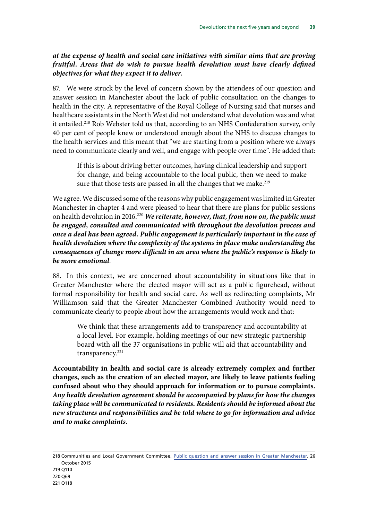#### *at the expense of health and social care initiatives with similar aims that are proving fruitful. Areas that do wish to pursue health devolution must have clearly defined objectives for what they expect it to deliver.*

87. We were struck by the level of concern shown by the attendees of our question and answer session in Manchester about the lack of public consultation on the changes to health in the city. A representative of the Royal College of Nursing said that nurses and healthcare assistants in the North West did not understand what devolution was and what it entailed.<sup>218</sup> Rob Webster told us that, according to an NHS Confederation survey, only 40 per cent of people knew or understood enough about the NHS to discuss changes to the health services and this meant that "we are starting from a position where we always need to communicate clearly and well, and engage with people over time". He added that:

<span id="page-42-0"></span>If this is about driving better outcomes, having clinical leadership and support for change, and being accountable to the local public, then we need to make sure that those tests are passed in all the changes that we make.<sup>219</sup>

We agree. We discussed some of the reasons why public engagement was limited in Greater Manchester in chapter 4 and were pleased to hear that there are plans for public sessions on health devolution in 2016.<sup>220</sup> We reiterate, however, that, from now on, the public must *be engaged, consulted and communicated with throughout the devolution process and once a deal has been agreed. Public engagement is particularly important in the case of health devolution where the complexity of the systems in place make understanding the consequences of change more difficult in an area where the public's response is likely to be more emotional*.

88. In this context, we are concerned about accountability in situations like that in Greater Manchester where the elected mayor will act as a public figurehead, without formal responsibility for health and social care. As well as redirecting complaints, Mr Williamson said that the Greater Manchester Combined Authority would need to communicate clearly to people about how the arrangements would work and that:

We think that these arrangements add to transparency and accountability at a local level. For example, holding meetings of our new strategic partnership board with all the 37 organisations in public will aid that accountability and transparency.<sup>221</sup>

<span id="page-42-2"></span><span id="page-42-1"></span>**Accountability in health and social care is already extremely complex and further changes, such as the creation of an elected mayor, are likely to leave patients feeling confused about who they should approach for information or to pursue complaints.** *Any health devolution agreement should be accompanied by plans for how the changes taking place will be communicated to residents. Residents should be informed about the new structures and responsibilities and be told where to go for information and advice and to make complaints.*

218 Communities and Local Government Committee, [Public question and answer session in Greater Manchester,](http://data.parliament.uk/writtenevidence/committeeevidence.svc/evidencedocument/communities-and-local-government-committee/the-governments-cities-and-local-government-devolution-bill/oral/23633.pdf) 26 October 2015

219 Q110 220 Q69 221 Q118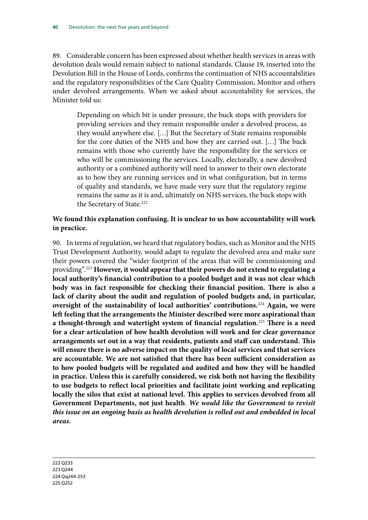89. Considerable concern has been expressed about whether health services in areas with devolution deals would remain subject to national standards. Clause 19, inserted into the Devolution Bill in the House of Lords, confirms the continuation of NHS accountabilities and the regulatory responsibilities of the Care Quality Commission, Monitor and others under devolved arrangements. When we asked about accountability for services, the Minister told us:

Depending on which bit is under pressure, the buck stops with providers for providing services and they remain responsible under a devolved process, as they would anywhere else. […] But the Secretary of State remains responsible for the core duties of the NHS and how they are carried out. […] The buck remains with those who currently have the responsibility for the services or who will be commissioning the services. Locally, electorally, a new devolved authority or a combined authority will need to answer to their own electorate as to how they are running services and in what configuration, but in terms of quality and standards, we have made very sure that the regulatory regime remains the same as it is and, ultimately on NHS services, the buck stops with the Secretary of State.<sup>222</sup>

#### <span id="page-43-0"></span>**We found this explanation confusing. It is unclear to us how accountability will work in practice.**

<span id="page-43-2"></span><span id="page-43-1"></span>90. In terms of regulation, we heard that regulatory bodies, such as Monitor and the NHS Trust Development Authority, would adapt to regulate the devolved area and make sure their powers covered the "wider footprint of the areas that will be commissioning and providing".223 **However, it would appear that their powers do not extend to regulating a local authority's financial contribution to a pooled budget and it was not clear which body was in fact responsible for checking their financial position. There is also a lack of clarity about the audit and regulation of pooled budgets and, in particular, oversight of the sustainability of local authorities' contributions.**<sup>224</sup> **Again, we were left feeling that the arrangements the Minister described were more aspirational than a thought-through and watertight system of financial regulation.**<sup>225</sup> **There is a need for a clear articulation of how health devolution will work and for clear governance arrangements set out in a way that residents, patients and staff can understand. This will ensure there is no adverse impact on the quality of local services and that services are accountable. We are not satisfied that there has been sufficient consideration as to how pooled budgets will be regulated and audited and how they will be handled in practice. Unless this is carefully considered, we risk both not having the flexibility to use budgets to reflect local priorities and facilitate joint working and replicating locally the silos that exist at national level. This applies to services devolved from all Government Departments, not just health**. *We would like the Government to revisit this issue on an ongoing basis as health devolution is rolled out and embedded in local areas.*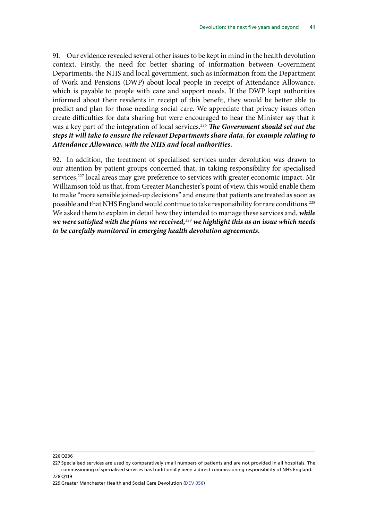91. Our evidence revealed several other issues to be kept in mind in the health devolution context. Firstly, the need for better sharing of information between Government Departments, the NHS and local government, such as information from the Department of Work and Pensions (DWP) about local people in receipt of Attendance Allowance, which is payable to people with care and support needs. If the DWP kept authorities informed about their residents in receipt of this benefit, they would be better able to predict and plan for those needing social care. We appreciate that privacy issues often create difficulties for data sharing but were encouraged to hear the Minister say that it was a key part of the integration of local services.226 *The Government should set out the steps it will take to ensure the relevant Departments share data, for example relating to Attendance Allowance, with the NHS and local authorities.*

<span id="page-44-1"></span><span id="page-44-0"></span>92. In addition, the treatment of specialised services under devolution was drawn to our attention by patient groups concerned that, in taking responsibility for specialised services,<sup>227</sup> local areas may give preference to services with greater economic impact. Mr Williamson told us that, from Greater Manchester's point of view, this would enable them to make "more sensible joined-up decisions" and ensure that patients are treated as soon as possible and that NHS England would continue to take responsibility for rare conditions.<sup>228</sup> We asked them to explain in detail how they intended to manage these services and, *while we were satisfied with the plans we received,*<sup>229</sup> *we highlight this as an issue which needs to be carefully monitored in emerging health devolution agreements.*

226 Q236

<sup>227</sup> Specialised services are used by comparatively small numbers of patients and are not provided in all hospitals. The commissioning of specialised services has traditionally been a direct commissioning responsibility of NHS England. 228 Q119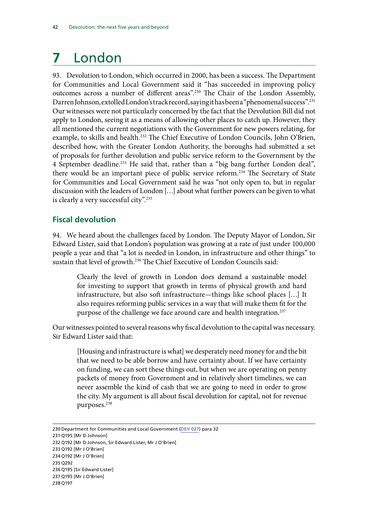# <span id="page-45-0"></span>**7** London

93. Devolution to London, which occurred in 2000, has been a success. The Department for Communities and Local Government said it "has succeeded in improving policy outcomes across a number of different areas".230 The Chair of the London Assembly, Darren Johnson, extolled London's track record, saying it has been a "phenomenal success".231 Our witnesses were not particularly concerned by the fact that the Devolution Bill did not apply to London, seeing it as a means of allowing other places to catch up. However, they all mentioned the current negotiations with the Government for new powers relating, for example, to skills and health.<sup>232</sup> The Chief Executive of London Councils, John O'Brien, described how, with the Greater London Authority, the boroughs had submitted a set of proposals for further devolution and public service reform to the Government by the 4 September deadline.<sup>233</sup> He said that, rather than a "big bang further London deal", there would be an important piece of public service reform.<sup>234</sup> The Secretary of State for Communities and Local Government said he was "not only open to, but in regular discussion with the leaders of London […] about what further powers can be given to what is clearly a very successful city".235

#### **Fiscal devolution**

94. We heard about the challenges faced by London. The Deputy Mayor of London, Sir Edward Lister, said that London's population was growing at a rate of just under 100,000 people a year and that "a lot is needed in London, in infrastructure and other things" to sustain that level of growth.<sup>236</sup> The Chief Executive of London Councils said:

Clearly the level of growth in London does demand a sustainable model for investing to support that growth in terms of physical growth and hard infrastructure, but also soft infrastructure—things like school places […] It also requires reforming public services in a way that will make them fit for the purpose of the challenge we face around care and health integration.<sup>237</sup>

Our witnesses pointed to several reasons why fiscal devolution to the capital was necessary. Sir Edward Lister said that:

[Housing and infrastructure is what] we desperately need money for and the bit that we need to be able borrow and have certainty about. If we have certainty on funding, we can sort these things out, but when we are operating on penny packets of money from Government and in relatively short timelines, we can never assemble the kind of cash that we are going to need in order to grow the city. My argument is all about fiscal devolution for capital, not for revenue purposes.<sup>238</sup>

- 231 Q195 [Mr D Johnson]
- 232 Q192 [Mr D Johnson, Sir Edward Lister, Mr J O'Brien]
- 233 Q192 [Mr J O'Brien]

<sup>230</sup> Department for Communities and Local Government [\(DEV 027](http://data.parliament.uk/writtenevidence/committeeevidence.svc/evidencedocument/communities-and-local-government-committee/the-governments-cities-and-local-government-devolution-bill/written/20249.pdf)) para 32

<sup>234</sup> Q192 [Mr J O'Brien]

<sup>235</sup> Q292 236 Q195 [Sir Edward Lister]

<sup>237</sup> Q195 [Mr J O'Brien]

<sup>238</sup> Q197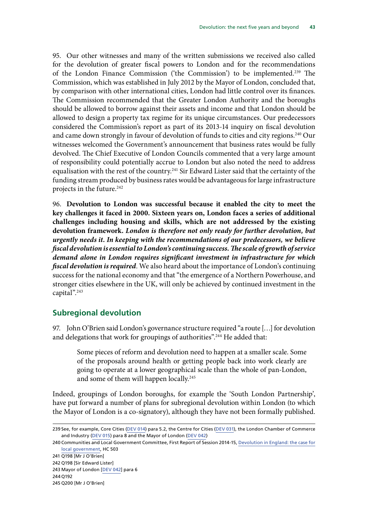<span id="page-46-0"></span>95. Our other witnesses and many of the written submissions we received also called for the devolution of greater fiscal powers to London and for the recommendations of the London Finance Commission ('the Commission') to be implemented.239 The Commission, which was established in July 2012 by the Mayor of London, concluded that, by comparison with other international cities, London had little control over its finances. The Commission recommended that the Greater London Authority and the boroughs should be allowed to borrow against their assets and income and that London should be allowed to design a property tax regime for its unique circumstances. Our predecessors considered the Commission's report as part of its 2013-14 inquiry on fiscal devolution and came down strongly in favour of devolution of funds to cities and city regions.<sup>240</sup> Our witnesses welcomed the Government's announcement that business rates would be fully devolved. The Chief Executive of London Councils commented that a very large amount of responsibility could potentially accrue to London but also noted the need to address equalisation with the rest of the country.<sup>241</sup> Sir Edward Lister said that the certainty of the funding stream produced by business rates would be advantageous for large infrastructure projects in the future.242

<span id="page-46-2"></span><span id="page-46-1"></span>96. **Devolution to London was successful because it enabled the city to meet the key challenges it faced in 2000. Sixteen years on, London faces a series of additional challenges including housing and skills, which are not addressed by the existing devolution framework.** *London is therefore not only ready for further devolution, but urgently needs it. In keeping with the recommendations of our predecessors, we believe fiscal devolution is essential to London's continuing success.The scale of growth of service demand alone in London requires significant investment in infrastructure for which fiscal devolution is required*. We also heard about the importance of London's continuing success for the national economy and that "the emergence of a Northern Powerhouse, and stronger cities elsewhere in the UK, will only be achieved by continued investment in the capital".243

#### **Subregional devolution**

97. John O'Brien said London's governance structure required "a route […] for devolution and delegations that work for groupings of authorities".<sup>244</sup> He added that:

Some pieces of reform and devolution need to happen at a smaller scale. Some of the proposals around health or getting people back into work clearly are going to operate at a lower geographical scale than the whole of pan-London, and some of them will happen locally.<sup>245</sup>

Indeed, groupings of London boroughs, for example the 'South London Partnership', have put forward a number of plans for subregional devolution within London (to which the Mayor of London is a co-signatory), although they have not been formally published.

<sup>239</sup> See, for example, Core Cities ([DEV 014\)](http://data.parliament.uk/writtenevidence/committeeevidence.svc/evidencedocument/communities-and-local-government-committee/the-governments-cities-and-local-government-devolution-bill/written/20058.pdf) para 5.2, the Centre for Cities [\(DEV 031](http://data.parliament.uk/writtenevidence/committeeevidence.svc/evidencedocument/communities-and-local-government-committee/the-governments-cities-and-local-government-devolution-bill/written/20259.pdf)), the London Chamber of Commerce and Industry [\(DEV 015](http://data.parliament.uk/writtenevidence/committeeevidence.svc/evidencedocument/communities-and-local-government-committee/the-governments-cities-and-local-government-devolution-bill/written/20069.pdf)) para 8 and the Mayor of London ([DEV 042](http://data.parliament.uk/writtenevidence/committeeevidence.svc/evidencedocument/communities-and-local-government-committee/the-governments-cities-and-local-government-devolution-bill/written/20395.pdf))

<sup>240</sup> Communities and Local Government Committee, First Report of Session 2014-15, [Devolution in England: the case for](http://www.publications.parliament.uk/pa/cm201415/cmselect/cmcomloc/503/503.pdf) [local government](http://www.publications.parliament.uk/pa/cm201415/cmselect/cmcomloc/503/503.pdf), HC 503

<sup>241</sup> Q198 [Mr J O'Brien]

<sup>242</sup> Q198 [Sir Edward Lister]

<sup>243</sup> Mayor of London [[DEV 042](http://data.parliament.uk/writtenevidence/committeeevidence.svc/evidencedocument/communities-and-local-government-committee/the-governments-cities-and-local-government-devolution-bill/written/20395.pdf)] para 6

<sup>244</sup> Q192

<sup>245</sup> Q200 [Mr J O'Brien]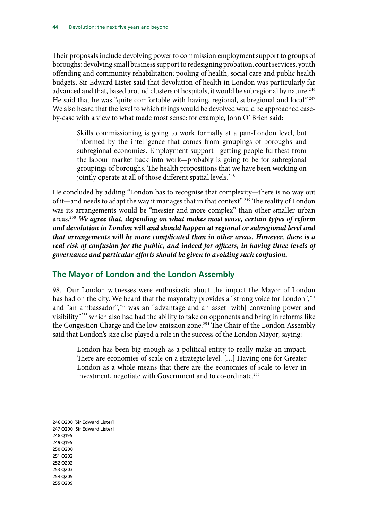<span id="page-47-0"></span>Their proposals include devolving power to commission employment support to groups of boroughs; devolving small business support to redesigning probation, court services, youth offending and community rehabilitation; pooling of health, social care and public health budgets. Sir Edward Lister said that devolution of health in London was particularly far advanced and that, based around clusters of hospitals, it would be subregional by nature.<sup>246</sup> He said that he was "quite comfortable with having, regional, subregional and local".<sup>247</sup> We also heard that the level to which things would be devolved would be approached caseby-case with a view to what made most sense: for example, John O' Brien said:

Skills commissioning is going to work formally at a pan-London level, but informed by the intelligence that comes from groupings of boroughs and subregional economies. Employment support—getting people furthest from the labour market back into work—probably is going to be for subregional groupings of boroughs. The health propositions that we have been working on jointly operate at all of those different spatial levels.<sup>248</sup>

<span id="page-47-1"></span>He concluded by adding "London has to recognise that complexity—there is no way out of it—and needs to adapt the way it manages that in that context".249 The reality of London was its arrangements would be "messier and more complex" than other smaller urban areas.250 *We agree that, depending on what makes most sense, certain types of reform and devolution in London will and should happen at regional or subregional level and that arrangements will be more complicated than in other areas. However, there is a real risk of confusion for the public, and indeed for officers, in having three levels of governance and particular efforts should be given to avoiding such confusion.*

#### **The Mayor of London and the London Assembly**

98. Our London witnesses were enthusiastic about the impact the Mayor of London has had on the city. We heard that the mayoralty provides a "strong voice for London",<sup>251</sup> and "an ambassador",<sup>252</sup> was an "advantage and an asset [with] convening power and visibility"253 which also had had the ability to take on opponents and bring in reforms like the Congestion Charge and the low emission zone.<sup>254</sup> The Chair of the London Assembly said that London's size also played a role in the success of the London Mayor, saying:

London has been big enough as a political entity to really make an impact. There are economies of scale on a strategic level. […] Having one for Greater London as a whole means that there are the economies of scale to lever in investment, negotiate with Government and to co-ordinate.<sup>255</sup>

246 Q200 [Sir Edward Lister] 247 Q200 [Sir Edward Lister] 248 Q195 249 Q195 250 Q200 251 Q202 252 Q202 253 Q203 254 Q209 255 Q209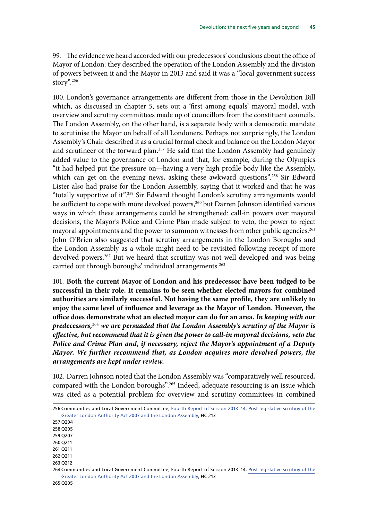99. The evidence we heard accorded with our predecessors' conclusions about the office of Mayor of London: they described the operation of the London Assembly and the division of powers between it and the Mayor in 2013 and said it was a "local government success story".256

100. London's governance arrangements are different from those in the Devolution Bill which, as discussed in chapter 5, sets out a 'first among equals' mayoral model, with overview and scrutiny committees made up of councillors from the constituent councils. The London Assembly, on the other hand, is a separate body with a democratic mandate to scrutinise the Mayor on behalf of all Londoners. Perhaps not surprisingly, the London Assembly's Chair described it as a crucial formal check and balance on the London Mayor and scrutineer of the forward plan.<sup>257</sup> He said that the London Assembly had genuinely added value to the governance of London and that, for example, during the Olympics "it had helped put the pressure on—having a very high profile body like the Assembly, which can get on the evening news, asking these awkward questions".<sup>258</sup> Sir Edward Lister also had praise for the London Assembly, saying that it worked and that he was "totally supportive of it".259 Sir Edward thought London's scrutiny arrangements would be sufficient to cope with more devolved powers,<sup>260</sup> but Darren Johnson identified various ways in which these arrangements could be strengthened: call-in powers over mayoral decisions, the Mayor's Police and Crime Plan made subject to veto, the power to reject mayoral appointments and the power to summon witnesses from other public agencies.<sup>261</sup> John O'Brien also suggested that scrutiny arrangements in the London Boroughs and the London Assembly as a whole might need to be revisited following receipt of more devolved powers.<sup>262</sup> But we heard that scrutiny was not well developed and was being carried out through boroughs' individual arrangements.<sup>263</sup>

<span id="page-48-1"></span><span id="page-48-0"></span>101. **Both the current Mayor of London and his predecessor have been judged to be successful in their role. It remains to be seen whether elected mayors for combined authorities are similarly successful. Not having the same profile, they are unlikely to enjoy the same level of influence and leverage as the Mayor of London. However, the office does demonstrate what an elected mayor can do for an area.** *In keeping with our predecessors,*<sup>264</sup> *we are persuaded that the London Assembly's scrutiny of the Mayor is effective, but recommend that it is given the power to call-in mayoral decisions, veto the Police and Crime Plan and, if necessary, reject the Mayor's appointment of a Deputy Mayor. We further recommend that, as London acquires more devolved powers, the arrangements are kept under review.*

102. Darren Johnson noted that the London Assembly was "comparatively well resourced, compared with the London boroughs".<sup>265</sup> Indeed, adequate resourcing is an issue which was cited as a potential problem for overview and scrutiny committees in combined

257 Q204

259 Q207 260 Q211

261 Q211

262 Q211

263 Q212

<sup>256</sup> Communities and Local Government Committee, [Fourth Report of Session 2013–14, Post-legislative scrutiny of the](http://www.publications.parliament.uk/pa/cm201314/cmselect/cmcomloc/213/213.pdf) [Greater London Authority Act 2007 and the London Assembly,](http://www.publications.parliament.uk/pa/cm201314/cmselect/cmcomloc/213/213.pdf) HC 213

<sup>258</sup> Q205

<sup>264</sup> Communities and Local Government Committee, Fourth Report of Session 2013–14, [Post-legislative scrutiny of the](http://www.publications.parliament.uk/pa/cm201314/cmselect/cmcomloc/213/213.pdf) [Greater London Authority Act 2007 and the London Assembly,](http://www.publications.parliament.uk/pa/cm201314/cmselect/cmcomloc/213/213.pdf) HC 213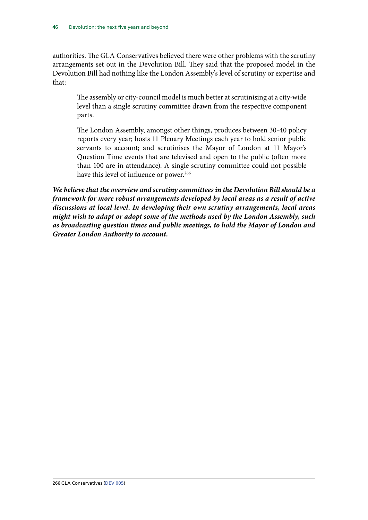authorities. The GLA Conservatives believed there were other problems with the scrutiny arrangements set out in the Devolution Bill. They said that the proposed model in the Devolution Bill had nothing like the London Assembly's level of scrutiny or expertise and that:

The assembly or city-council model is much better at scrutinising at a city-wide level than a single scrutiny committee drawn from the respective component parts.

The London Assembly, amongst other things, produces between 30-40 policy reports every year; hosts 11 Plenary Meetings each year to hold senior public servants to account; and scrutinises the Mayor of London at 11 Mayor's Question Time events that are televised and open to the public (often more than 100 are in attendance). A single scrutiny committee could not possible have this level of influence or power.<sup>266</sup>

<span id="page-49-0"></span>*We believe that the overview and scrutiny committees in the Devolution Bill should be a framework for more robust arrangements developed by local areas as a result of active discussions at local level. In developing their own scrutiny arrangements, local areas might wish to adapt or adopt some of the methods used by the London Assembly, such as broadcasting question times and public meetings, to hold the Mayor of London and Greater London Authority to account.*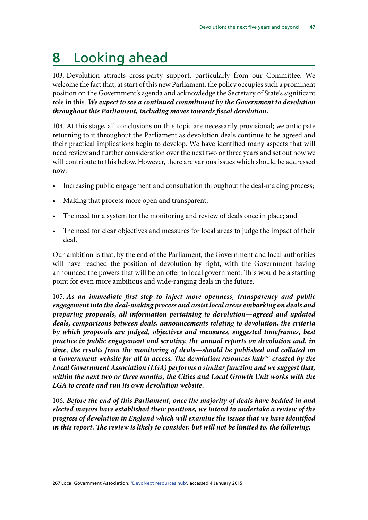# <span id="page-50-0"></span>**8** Looking ahead

<span id="page-50-1"></span>103. Devolution attracts cross-party support, particularly from our Committee. We welcome the fact that, at start of this new Parliament, the policy occupies such a prominent position on the Government's agenda and acknowledge the Secretary of State's significant role in this. *We expect to see a continued commitment by the Government to devolution throughout this Parliament, including moves towards fiscal devolution.*

104. At this stage, all conclusions on this topic are necessarily provisional; we anticipate returning to it throughout the Parliament as devolution deals continue to be agreed and their practical implications begin to develop. We have identified many aspects that will need review and further consideration over the next two or three years and set out how we will contribute to this below. However, there are various issues which should be addressed now:

- Increasing public engagement and consultation throughout the deal-making process;
- Making that process more open and transparent;
- The need for a system for the monitoring and review of deals once in place; and
- The need for clear objectives and measures for local areas to judge the impact of their deal.

Our ambition is that, by the end of the Parliament, the Government and local authorities will have reached the position of devolution by right, with the Government having announced the powers that will be on offer to local government. This would be a starting point for even more ambitious and wide-ranging deals in the future.

<span id="page-50-2"></span>105. *As an immediate first step to inject more openness, transparency and public engagement into the deal-making process and assist local areas embarking on deals and preparing proposals, all information pertaining to devolution—agreed and updated deals, comparisons between deals, announcements relating to devolution, the criteria by which proposals are judged, objectives and measures, suggested timeframes, best practice in public engagement and scrutiny, the annual reports on devolution and, in time, the results from the monitoring of deals—should be published and collated on a* Government website for all to access. The devolution resources hub<sup>267</sup> created by the *Local Government Association (LGA) performs a similar function and we suggest that, within the next two or three months, the Cities and Local Growth Unit works with the LGA to create and run its own devolution website.* 

<span id="page-50-4"></span><span id="page-50-3"></span>106. *Before the end of this Parliament, once the majority of deals have bedded in and elected mayors have established their positions, we intend to undertake a review of the progress of devolution in England which will examine the issues that we have identified in this report. The review is likely to consider, but will not be limited to, the following:*

267 Local Government Association, ['DevoNext resources hub',](http://www.local.gov.uk/devolution) accessed 4 January 2015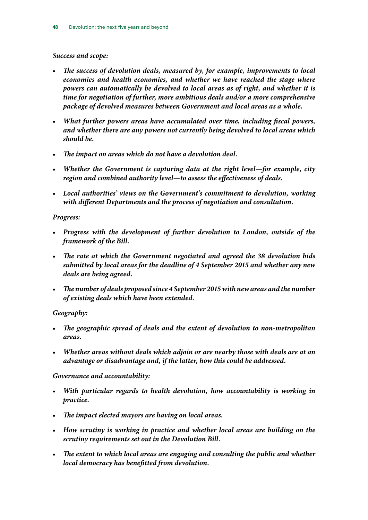#### *Success and scope:*

- <span id="page-51-0"></span>• *The success of devolution deals, measured by, for example, improvements to local economies and health economies, and whether we have reached the stage where powers can automatically be devolved to local areas as of right, and whether it is time for negotiation of further, more ambitious deals and/or a more comprehensive package of devolved measures between Government and local areas as a whole.*
- <span id="page-51-1"></span>• *What further powers areas have accumulated over time, including fiscal powers, and whether there are any powers not currently being devolved to local areas which should be.*
- <span id="page-51-2"></span>• *The impact on areas which do not have a devolution deal.*
- <span id="page-51-3"></span>• *Whether the Government is capturing data at the right level—for example, city region and combined authority level—to assess the effectiveness of deals.*
- <span id="page-51-4"></span>• *Local authorities' views on the Government's commitment to devolution, working with different Departments and the process of negotiation and consultation.*

#### <span id="page-51-5"></span>*Progress:*

- <span id="page-51-6"></span>• *Progress with the development of further devolution to London, outside of the framework of the Bill.*
- <span id="page-51-7"></span>• *The rate at which the Government negotiated and agreed the 38 devolution bids submitted by local areas for the deadline of 4 September 2015 and whether any new deals are being agreed.*
- <span id="page-51-8"></span>• *The number of deals proposed since 4 September 2015 with new areas and the number of existing deals which have been extended.*

#### <span id="page-51-9"></span>*Geography:*

- <span id="page-51-10"></span>• *The geographic spread of deals and the extent of devolution to non-metropolitan areas.*
- <span id="page-51-11"></span>• *Whether areas without deals which adjoin or are nearby those with deals are at an advantage or disadvantage and, if the latter, how this could be addressed.*

#### <span id="page-51-12"></span>*Governance and accountability:*

- <span id="page-51-13"></span>• *With particular regards to health devolution, how accountability is working in practice.*
- <span id="page-51-14"></span>• *The impact elected mayors are having on local areas.*
- <span id="page-51-15"></span>• *How scrutiny is working in practice and whether local areas are building on the scrutiny requirements set out in the Devolution Bill.*
- <span id="page-51-17"></span><span id="page-51-16"></span>• *The extent to which local areas are engaging and consulting the public and whether local democracy has benefitted from devolution.*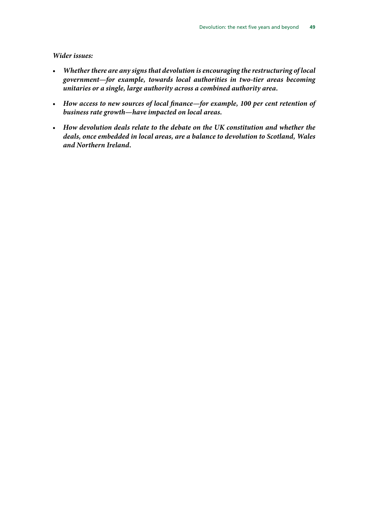#### *Wider issues:*

- <span id="page-52-0"></span>• *Whether there are any signs that devolution is encouraging the restructuring of local government—for example, towards local authorities in two-tier areas becoming unitaries or a single, large authority across a combined authority area.*
- <span id="page-52-1"></span>• *How access to new sources of local finance—for example, 100 per cent retention of business rate growth—have impacted on local areas.*
- <span id="page-52-2"></span>• *How devolution deals relate to the debate on the UK constitution and whether the deals, once embedded in local areas, are a balance to devolution to Scotland, Wales and Northern Ireland.*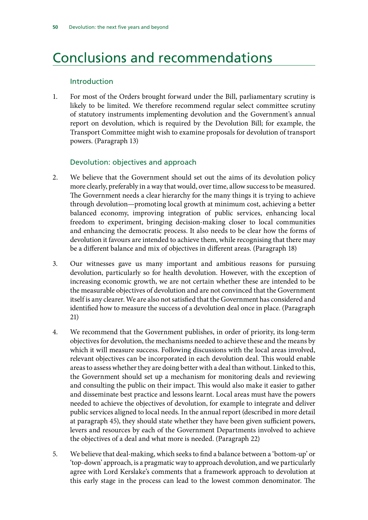### <span id="page-53-0"></span>Conclusions and recommendations

#### Introduction

1. [For most of the Orders brought forward under the Bill, parliamentary scrutiny is](#page-11-1) [likely to be limited.](#page-11-1) [We therefore recommend regular select committee scrutiny](#page-11-2) [of statutory instruments implementing devolution and the Government's annual](#page-11-2) [report on devolution, which is required by the Devolution Bill; for example, the](#page-11-2) [Transport Committee might wish to examine proposals for devolution of transport](#page-11-2) [powers. \(](#page-11-2)Paragraph 13)

#### Devolution: objectives and approach

- 2. [We believe that the Government should set out the aims of its devolution policy](#page-13-0) [more clearly, preferably in a way that would, over time, allow success to be measured.](#page-13-0) [The Government needs a clear hierarchy for the many things it is trying to achieve](#page-13-0) [through devolution—promoting local growth at minimum cost, achieving a better](#page-13-0) [balanced economy, improving integration of public services, enhancing local](#page-13-0) [freedom to experiment, bringing decision-making closer to local communities](#page-13-0) [and enhancing the democratic process. It also needs to be clear how the forms of](#page-13-0) [devolution it favours are intended to achieve them, while recognising that there may](#page-13-0) [be a different balance and mix of objectives in different areas.](#page-13-0) (Paragraph 18)
- 3. [Our witnesses gave us many important and ambitious reasons for pursuing](#page-13-1) [devolution, particularly so for health devolution. However, with the exception of](#page-13-1) [increasing economic growth, we are not certain whether these are intended to be](#page-13-1) [the measurable objectives of devolution and are not convinced that the Government](#page-13-1) [itself is any clearer. We are also not satisfied that the Government has considered and](#page-13-1) [identified how to measure the success of a devolution deal once in place.](#page-13-1) (Paragraph 21)
- 4. [We recommend that the Government publishes, in order of priority, its long-term](#page-13-2) [objectives for devolution, the mechanisms needed to achieve these and the means by](#page-13-2) [which it will measure success. Following discussions with the local areas involved,](#page-13-2) [relevant objectives can be incorporated in each devolution deal. This would enable](#page-13-2) [areas to assess whether they are doing better with a deal than without. Linked to this,](#page-13-2) [the Government should set up a mechanism for monitoring deals and reviewing](#page-13-2) [and consulting the public on their impact. This would also make it easier to gather](#page-13-2) [and disseminate best practice and lessons learnt. Local areas must have the powers](#page-13-2) [needed to achieve the objectives of devolution, for example to integrate and deliver](#page-13-2) [public services aligned to local needs. In the annual report \(described in more detail](#page-13-2) [at paragraph 45\), they should state whether they have been given sufficient powers,](#page-13-2) [levers and resources by each of the Government Departments involved to achieve](#page-13-2) [the objectives of a deal and what more is needed.](#page-13-2) (Paragraph 22)
- 5. [We believe that deal-making, which seeks to find a balance between a 'bottom-up' or](#page-15-0) ['top-down' approach, is a pragmatic way to approach devolution, and we particularly](#page-15-0) [agree with Lord Kerslake's comments that a framework approach to devolution at](#page-15-0) [this early stage in the process can lead to the lowest common denominator. The](#page-15-0)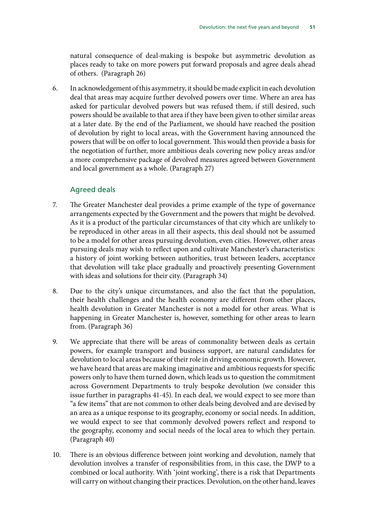[natural consequence of deal-making is bespoke but asymmetric devolution as](#page-15-0) [places ready to take on more powers put forward proposals and agree deals ahead](#page-15-0) [of others.](#page-15-0) (Paragraph 26)

6. [In acknowledgement of this asymmetry, it should be made explicit in each devolution](#page-15-1) [deal that areas may acquire further devolved powers over time. Where an area has](#page-15-1) [asked for particular devolved powers but was refused them, if still desired, such](#page-15-1) [powers should be available to that area if they have been given to other similar areas](#page-15-1) [at a later date. By the end of the Parliament, we should have reached the position](#page-15-1) [of devolution by right to local areas, with the Government having announced the](#page-15-1) [powers that will be on offer to local government. This would then provide a basis for](#page-15-1) [the negotiation of further, more ambitious deals covering new policy areas and/or](#page-15-1) [a more comprehensive package of devolved measures agreed between Government](#page-15-1) [and local government as a whole.](#page-15-1) (Paragraph 27)

#### Agreed deals

- 7. [The Greater Manchester deal provides a prime example of the type of governance](#page-18-1) [arrangements expected by the Government and the powers that might be devolved.](#page-18-1) [As it is a product of the particular circumstances of that city which are unlikely to](#page-18-1) [be reproduced in other areas in all their aspects, this deal should not be assumed](#page-18-1) [to be a model for other areas pursuing devolution, even cities.](#page-18-1) [However, other areas](#page-18-2) [pursuing deals may wish to reflect upon and cultivate Manchester's characteristics:](#page-18-2) [a history of joint working between authorities, trust between leaders, acceptance](#page-18-2) [that devolution will take place gradually and proactively presenting Government](#page-18-2) [with ideas and solutions for their city.](#page-18-2) (Paragraph 34)
- 8. [Due to the city's unique circumstances, and also the fact that the population,](#page-19-1) [their health challenges and the health economy are different from other places,](#page-19-1) [health devolution in Greater Manchester is not a model for other areas. What is](#page-19-1) [happening in Greater Manchester is, however, something for other areas to learn](#page-19-1) [from. \(](#page-19-1)Paragraph 36)
- 9. [We appreciate that there will be areas of commonality between deals as certain](#page-22-0) [powers, for example transport and business support, are natural candidates for](#page-22-0) [devolution to local areas because of their role in driving economic growth. However,](#page-22-0) [we have heard that areas are making imaginative and ambitious requests for specific](#page-22-0) [powers only to have them turned down, which leads us to question the commitment](#page-22-0) [across Government Departments to truly bespoke devolution \(we consider this](#page-22-0) [issue further in paragraphs 41-45\).](#page-22-0) [In each deal, we would expect to see more than](#page-22-1) ["a few items" that are not common to other deals being devolved and are devised by](#page-22-1) [an area as a unique response to its geography, economy or social needs. In addition,](#page-22-1) [we would expect to see that commonly devolved powers reflect and respond to](#page-22-1) [the geography, economy and social needs of the local area to which they pertain.](#page-22-1) (Paragraph 40)
- 10. [There is an obvious difference between joint working and devolution, namely that](#page-23-1) [devolution involves a transfer of responsibilities from, in this case, the DWP to a](#page-23-1) [combined or local authority. With 'joint working', there is a risk that Departments](#page-23-1) [will carry on without changing their practices. Devolution, on the other hand, leaves](#page-23-1)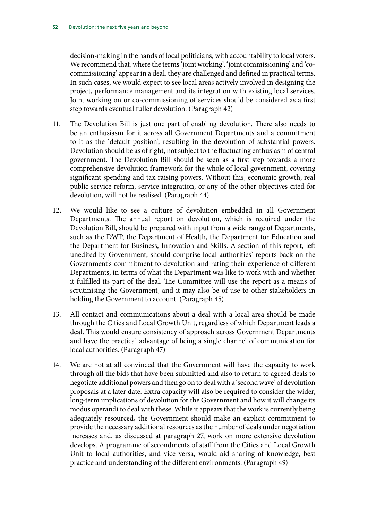[decision-making in the hands of local politicians, with accountability to local voters.](#page-23-1) [We recommend that, where the terms 'joint working', 'joint commissioning' and 'co](#page-23-2)[commissioning' appear in a deal, they are challenged and defined in practical terms.](#page-23-2) [In such cases, we would expect to see local areas actively involved in designing the](#page-23-2) [project, performance management and its integration with existing local services.](#page-23-2) [Joint working on or co-commissioning of services should be considered as a first](#page-23-2) [step towards eventual fuller devolution.](#page-23-2) (Paragraph 42)

- 11. [The Devolution Bill is just one part of enabling devolution. There also needs to](#page-24-1) [be an enthusiasm for it across all Government Departments and a commitment](#page-24-1) [to it as the 'default position', resulting in the devolution of substantial powers.](#page-24-1) [Devolution should be as of right, not subject to the fluctuating enthusiasm of central](#page-24-2) [government. The Devolution Bill should be seen as a first step towards a more](#page-24-2) [comprehensive devolution framework for the whole of local government, covering](#page-24-2) [significant spending and tax raising powers. Without this, economic growth, real](#page-24-2) [public service reform, service integration, or any of the other objectives cited for](#page-24-2) [devolution, will not be realised.](#page-24-2) (Paragraph 44)
- 12. [We would like to see a culture of devolution embedded in all Government](#page-24-3) [Departments. The annual report on devolution, which is required under the](#page-24-3) [Devolution Bill, should be prepared with input from a wide range of Departments,](#page-24-3) [such as the DWP, the Department of Health, the Department for Education and](#page-24-3) [the Department for Business, Innovation and Skills. A section of this report, left](#page-24-3) [unedited by Government, should comprise local authorities' reports back on the](#page-24-3) [Government's commitment to devolution and rating their experience of different](#page-24-3) [Departments, in terms of what the Department was like to work with and whether](#page-24-3) [it fulfilled its part of the deal. The Committee will use the report as a means of](#page-24-3) [scrutinising the Government, and it may also be of use to other stakeholders in](#page-24-3) [holding the Government to account.](#page-24-3) (Paragraph 45)
- 13. [All contact and communications about a deal with a local area should be made](#page-25-0) [through the Cities and Local Growth Unit, regardless of which Department leads a](#page-25-0) [deal. This would ensure consistency of approach across Government Departments](#page-25-0) [and have the practical advantage of being a single channel of communication for](#page-25-0) [local authorities.](#page-25-0) (Paragraph 47)
- 14. [We are not at all convinced that the Government will have the capacity to work](#page-26-0) [through all the bids that have been submitted and also to return to agreed deals to](#page-26-0) [negotiate additional powers and then go on to deal with a 'second wave' of devolution](#page-26-0) [proposals at a later date. Extra capacity will also be required to consider the wider,](#page-26-0) [long-term implications of devolution for the Government and how it will change its](#page-26-0) [modus operandi to deal with these.](#page-26-0) [While it appears that the work is currently being](#page-26-1) [adequately resourced, the Government should make an explicit commitment to](#page-26-1) [provide the necessary additional resources as the number of deals under negotiation](#page-26-1) [increases and, as discussed at paragraph 27, work on more extensive devolution](#page-26-1) [develops. A programme of secondments of staff from the Cities and Local Growth](#page-26-1) [Unit to local authorities, and vice versa, would aid sharing of knowledge, best](#page-26-1) [practice and understanding of the different environments.](#page-26-1) (Paragraph 49)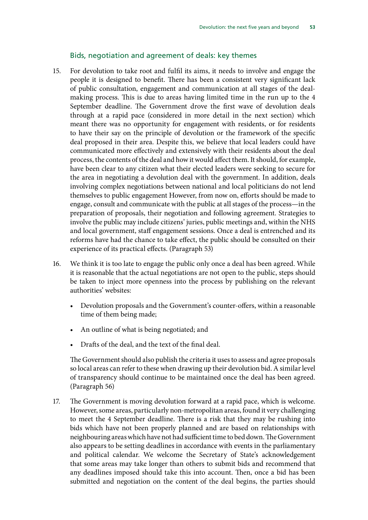#### Bids, negotiation and agreement of deals: key themes

- 15. [For devolution to take root and fulfil its aims, it needs to involve and engage the](#page-28-0) [people it is designed to benefit. There has been a consistent very significant lack](#page-28-0) [of public consultation, engagement and communication at all stages of the deal](#page-28-0)[making process. This is due to areas having limited time in the run up to the 4](#page-28-0) [September deadline. The Government drove the first wave of devolution deals](#page-28-0) [through at a rapid pace \(considered in more detail in the next section\) which](#page-28-0) [meant there was no opportunity for engagement with residents, or for residents](#page-28-0) [to have their say on the principle of devolution or the framework of the specific](#page-28-0) [deal proposed in their area. Despite this, we believe that local leaders could have](#page-28-0) [communicated more effectively and extensively with their residents about the deal](#page-28-0) [process, the contents of the deal and how it would affect them. It should, for example,](#page-28-0) [have been clear to any citizen what their elected leaders were seeking to secure for](#page-28-0) [the area in negotiating a devolution deal with the government. In addition, deals](#page-28-0) [involving complex negotiations between national and local politicians do not lend](#page-28-0) [themselves to public engagement](#page-28-0) [However, from now on, efforts should be made to](#page-28-1) [engage, consult and communicate with the public at all stages of the process—in the](#page-28-1) [preparation of proposals, their negotiation and following agreement. Strategies to](#page-28-1) [involve the public may include citizens' juries, public meetings and, within the NHS](#page-28-1) [and local government, staff engagement sessions. Once a deal is entrenched and its](#page-28-1) [reforms have had the chance to take effect, the public should be consulted on their](#page-28-1) [experience of its practical effects.](#page-28-1) (Paragraph 53)
- 16. [We think it is too late to engage the public only once a deal has been agreed. While](#page-29-1) [it is reasonable that the actual negotiations are not open to the public,](#page-29-1) [steps should](#page-29-2) [be taken to inject more openness into the process by publishing on the relevant](#page-29-2) [authorities' websites:](#page-29-2)
	- [Devolution proposals and the Government's counter-offers, within a reasonable](#page-29-3) [time of them being made;](#page-29-3)
	- [An outline of what is being negotiated; and](#page-29-4)
	- [Drafts of the deal, and the text of the final deal.](#page-29-5)

[The Government should also publish the criteria it uses to assess and agree proposals](#page-29-6) [so local areas can refer to these when drawing up their devolution bid. A similar level](#page-29-6) [of transparency should continue to be maintained once the deal has been agreed.](#page-29-6) (Paragraph 56)

17. [The Government is moving devolution forward at a rapid pace, which is welcome.](#page-31-1) [However, some areas, particularly non-metropolitan areas, found it very challenging](#page-31-1) [to meet the 4 September deadline. There is a risk that they may be rushing into](#page-31-1) [bids which have not been properly planned and are based on relationships with](#page-31-1) [neighbouring areas which have not had sufficient time to bed down. The Government](#page-31-1) [also appears to be setting deadlines in accordance with events in the parliamentary](#page-31-1) [and political calendar.](#page-31-1) [We welcome the Secretary of State's acknowledgement](#page-31-2) [that some areas may take longer than others to submit bids and recommend that](#page-31-2) [any deadlines imposed should take this into account. Then, once a bid has been](#page-31-2) [submitted and negotiation on the content of the deal begins, the parties should](#page-31-2)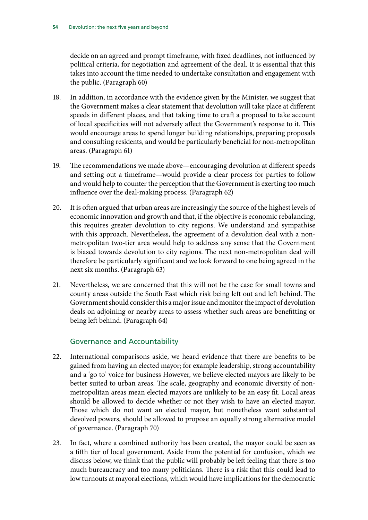[decide on an agreed and prompt timeframe, with fixed deadlines, not influenced by](#page-31-2) [political criteria, for negotiation and agreement of the deal. It is essential that this](#page-31-2) [takes into account the time needed to undertake consultation and engagement with](#page-31-2) [the public.](#page-31-2) (Paragraph 60)

- 18. [In addition, in accordance with the evidence given by the Minister, we suggest that](#page-31-3) [the Government makes a clear statement that devolution will take place at different](#page-31-3) [speeds in different places, and that taking time to craft a proposal to take account](#page-31-3) [of local specificities will not adversely affect the Government's response to it. This](#page-31-3) [would encourage areas to spend longer building relationships, preparing proposals](#page-31-3) [and consulting residents, and would be particularly beneficial for non-metropolitan](#page-31-3) [areas.](#page-31-3) (Paragraph 61)
- 19. [The recommendations we made above—encouraging devolution at different speeds](#page-31-4) [and setting out a timeframe—would provide a clear process for parties to follow](#page-31-4) [and would help to counter the perception that the Government is exerting too much](#page-31-4) [influence over the deal-making process.](#page-31-4) (Paragraph 62)
- 20. [It is often argued that urban areas are increasingly the source of the highest levels of](#page-32-0) [economic innovation and growth and that, if the objective is economic rebalancing,](#page-32-0) [this requires greater devolution to city regions. We understand and sympathise](#page-32-0) [with this approach.](#page-32-0) [Nevertheless, the agreement of a devolution deal with a non](#page-32-1)[metropolitan two-tier area would help to address any sense that the Government](#page-32-1) [is biased towards devolution to city regions. The next non-metropolitan deal will](#page-32-1) [therefore be particularly significant and we look forward to one being agreed in the](#page-32-1) [next six months.](#page-32-1) (Paragraph 63)
- 21. [Nevertheless, we are concerned that this will not be the case for small towns and](#page-32-2) [county areas outside the South East which risk being left out and left behind.](#page-32-2) [The](#page-32-3) [Government should consider this a major issue and monitor the impact of devolution](#page-32-3) [deals on adjoining or nearby areas to assess whether such areas are benefitting or](#page-32-3) [being left behind.](#page-32-3) (Paragraph 64)

#### Governance and Accountability

- 22. [International comparisons aside, we heard evidence that there are benefits to be](#page-35-1) [gained from having an elected mayor; for example leadership, strong accountability](#page-35-1) [and a 'go to' voice for business](#page-35-1) [However, we believe elected mayors are likely to be](#page-35-2) [better suited to urban areas. The scale, geography and economic diversity of non](#page-35-2)[metropolitan areas mean elected mayors are unlikely to be an easy fit. Local areas](#page-35-2) [should be allowed to decide whether or not they wish to have an elected mayor.](#page-35-2) [Those which do not want an elected mayor, but nonetheless want substantial](#page-35-2) [devolved powers, should be allowed to propose an equally strong alternative model](#page-35-2) [of governance.](#page-35-2) (Paragraph 70)
- 23. [In fact, where a combined authority has been created, the mayor could be seen as](#page-35-3) [a fifth tier of local government. Aside from the potential for confusion, which we](#page-35-3) [discuss below, we think that the public will probably be left feeling that there is too](#page-35-3) [much bureaucracy and too many politicians. There is a risk that this could lead to](#page-35-3) [low turnouts at mayoral elections, which would have implications for the democratic](#page-35-3)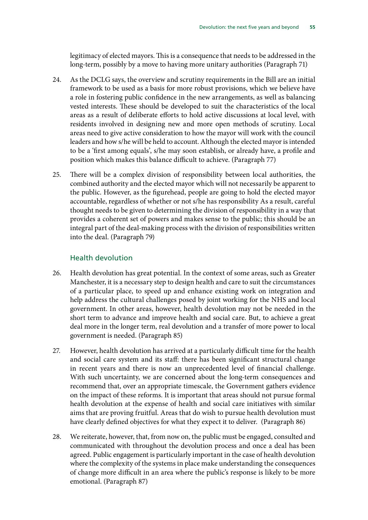[legitimacy of elected mayors.](#page-35-3) [This is a consequence that needs to be addressed in the](#page-35-4) [long-term, possibly by a move to having more unitary authorities](#page-35-4) (Paragraph 71)

- 24. [As the DCLG says, the overview and scrutiny requirements in the Bill are an initial](#page-37-1) [framework to be used as a basis for more robust provisions, which we believe have](#page-37-1) [a role in fostering public confidence in the new arrangements, as well as balancing](#page-37-1) [vested interests. These should be developed to suit the characteristics of the local](#page-37-1) [areas as a result of deliberate efforts to hold active discussions at local level, with](#page-37-1) [residents involved in designing new and more open methods of scrutiny. Local](#page-37-1) [areas need to give active consideration to how the mayor will work with the council](#page-37-1) [leaders and how s/he will be held to account. Although the elected mayor is intended](#page-37-1) [to be a 'first among equals', s/he may soon establish, or already have, a profile and](#page-37-1) [position which makes this balance difficult to achieve.](#page-37-1) (Paragraph 77)
- 25. [There will be a complex division of responsibility between local authorities, the](#page-38-0) [combined authority and the elected mayor which will not necessarily be apparent to](#page-38-0) [the public. However, as the figurehead, people are going to hold the elected mayor](#page-38-0) [accountable, regardless of whether or not s/he has responsibility](#page-38-0) [As a result, careful](#page-38-1) [thought needs to be given to determining the division of responsibility in a way that](#page-38-1) [provides a coherent set of powers and makes sense to the public; this should be an](#page-38-1) [integral part of the deal-making process with the division of responsibilities written](#page-38-1) [into the deal.](#page-38-1) (Paragraph 79)

#### Health devolution

- 26. [Health devolution has great potential. In the context of some areas, such as Greater](#page-41-0) [Manchester, it is a necessary step to design health and care to suit the circumstances](#page-41-0) [of a particular place, to speed up and enhance existing work on integration and](#page-41-0) [help address the cultural challenges posed by joint working for the NHS and local](#page-41-0) [government. In other areas, however, health devolution may not be needed in the](#page-41-0) [short term to advance and improve health and social care. But, to achieve a great](#page-41-0) [deal more in the longer term, real devolution and a transfer of more power to local](#page-41-0) [government is needed.](#page-41-0) (Paragraph 85)
- 27. [However, health devolution has arrived at a particularly difficult time for the health](#page-41-1) [and social care system and its staff: there has been significant structural change](#page-41-1) [in recent years and there is now an unprecedented level of financial challenge.](#page-41-1) [With such uncertainty, we are concerned about the long-term consequences and](#page-41-1) [recommend that, over an appropriate timescale, the Government gathers evidence](#page-41-2) [on the impact of these reforms. It is important that areas should not pursue formal](#page-41-2) [health devolution at the expense of health and social care initiatives with similar](#page-41-2) [aims that are proving fruitful. Areas that do wish to pursue health devolution must](#page-41-2) [have clearly defined objectives for what they expect it to deliver.](#page-41-2) (Paragraph 86)
- 28. [We reiterate, however, that, from now on, the public must be engaged, consulted and](#page-42-0) [communicated with throughout the devolution process and once a deal has been](#page-42-0) [agreed. Public engagement is particularly important in the case of health devolution](#page-42-0) [where the complexity of the systems in place make understanding the consequences](#page-42-0) [of change more difficult in an area where the public's response is likely to be more](#page-42-0) [emotional.](#page-42-0) (Paragraph 87)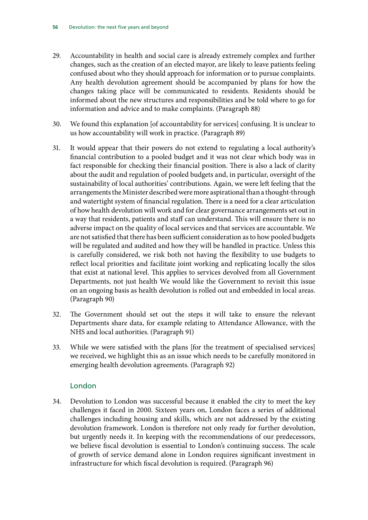- 29. [Accountability in health and social care is already extremely complex and further](#page-42-1) [changes, such as the creation of an elected mayor, are likely to leave patients feeling](#page-42-1) [confused about who they should approach for information or to pursue complaints.](#page-42-1) [Any health devolution agreement should be accompanied by plans for how the](#page-42-2) [changes taking place will be communicated to residents. Residents should be](#page-42-2) [informed about the new structures and responsibilities and be told where to go for](#page-42-2) [information and advice and to make complaints.](#page-42-2) (Paragraph 88)
- 30. [We found this explanation \[of accountability for services\] confusing. It is unclear to](#page-43-0) [us how accountability will work in practice.](#page-43-0) (Paragraph 89)
- 31. [It would appear that their powers do not extend to regulating a local authority's](#page-43-1) [financial contribution to a pooled budget and it was not clear which body was in](#page-43-1) [fact responsible for checking their financial position. There is also a lack of clarity](#page-43-1) [about the audit and regulation of pooled budgets and, in particular, oversight of the](#page-43-1) [sustainability of local authorities' contributions. Again, we were left feeling that the](#page-43-1) [arrangements the Minister described were more aspirational than a thought-through](#page-43-1) [and watertight system of financial regulation. There is a need for a clear articulation](#page-43-1) [of how health devolution will work and for clear governance arrangements set out in](#page-43-1) [a way that residents, patients and staff can understand. This will ensure there is no](#page-43-1) [adverse impact on the quality of local services and that services are accountable. We](#page-43-1) [are not satisfied that there has been sufficient consideration as to how pooled budgets](#page-43-1) [will be regulated and audited and how they will be handled in practice. Unless this](#page-43-1) [is carefully considered, we risk both not having the flexibility to use budgets to](#page-43-1) [reflect local priorities and facilitate joint working and replicating locally the silos](#page-43-1) [that exist at national level. This applies to services devolved from all Government](#page-43-1) [Departments, not just health](#page-43-1) [We would like the Government to revisit this issue](#page-43-2) [on an ongoing basis as health devolution is rolled out and embedded in local areas.](#page-43-2) (Paragraph 90)
- 32. [The Government should set out the steps it will take to ensure the relevant](#page-44-0) [Departments share data, for example relating to Attendance Allowance, with the](#page-44-0) [NHS and local authorities.](#page-44-0) (Paragraph 91)
- 33. [While we were satisfied with the plans \[for the treatment of specialised services\]](#page-44-1) [we received, we highlight this as an issue which needs to be carefully monitored in](#page-44-1) [emerging health devolution agreements.](#page-44-1) (Paragraph 92)

#### London

34. [Devolution to London was successful because it enabled the city to meet the key](#page-46-1) [challenges it faced in 2000. Sixteen years on, London faces a series of additional](#page-46-1) [challenges including housing and skills, which are not addressed by the existing](#page-46-1) [devolution framework.](#page-46-1) [London is therefore not only ready for further devolution,](#page-46-2) [but urgently needs it. In keeping with the recommendations of our predecessors,](#page-46-2) [we believe fiscal devolution is essential to London's continuing success. The scale](#page-46-2) [of growth of service demand alone in London requires significant investment in](#page-46-2) [infrastructure for which fiscal devolution is required](#page-46-2). (Paragraph 96)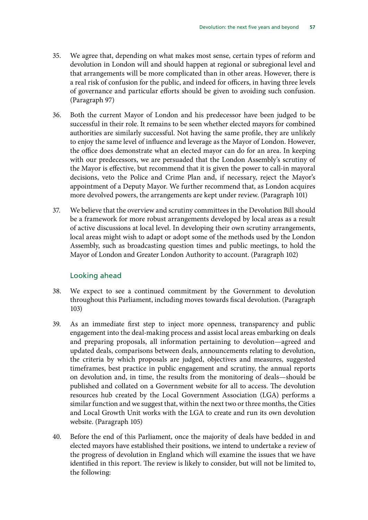- 35. [We agree that, depending on what makes most sense, certain types of reform and](#page-47-1) [devolution in London will and should happen at regional or subregional level and](#page-47-1) [that arrangements will be more complicated than in other areas. However, there is](#page-47-1) [a real risk of confusion for the public, and indeed for officers, in having three levels](#page-47-1) [of governance and particular efforts should be given to avoiding such confusion.](#page-47-1) (Paragraph 97)
- 36. [Both the current Mayor of London and his predecessor have been judged to be](#page-48-0) [successful in their role. It remains to be seen whether elected mayors for combined](#page-48-0) [authorities are similarly successful. Not having the same profile, they are unlikely](#page-48-0) [to enjoy the same level of influence and leverage as the Mayor of London. However,](#page-48-0) [the office does demonstrate what an elected mayor can do for an area.](#page-48-0) [In keeping](#page-48-1) [with our predecessors, we are persuaded that the London Assembly's scrutiny of](#page-48-1) [the Mayor is effective, but recommend that it is given the power to call-in mayoral](#page-48-1) [decisions, veto the Police and Crime Plan and, if necessary, reject the Mayor's](#page-48-1) [appointment of a Deputy Mayor. We further recommend that, as London acquires](#page-48-1) [more devolved powers, the arrangements are kept under review.](#page-48-1) (Paragraph 101)
- 37. [We believe that the overview and scrutiny committees in the Devolution Bill should](#page-49-0) [be a framework for more robust arrangements developed by local areas as a result](#page-49-0) [of active discussions at local level. In developing their own scrutiny arrangements,](#page-49-0) [local areas might wish to adapt or adopt some of the methods used by the London](#page-49-0) [Assembly, such as broadcasting question times and public meetings, to hold the](#page-49-0) [Mayor of London and Greater London Authority to account. \(](#page-49-0)Paragraph 102)

#### Looking ahead

- 38. [We expect to see a continued commitment by the Government to devolution](#page-50-1) [throughout this Parliament, including moves towards fiscal devolution.](#page-50-1) (Paragraph 103)
- 39. [As an immediate first step to inject more openness, transparency and public](#page-50-2) [engagement into the deal-making process and assist local areas embarking on deals](#page-50-2) [and preparing proposals, all information pertaining to devolution—agreed and](#page-50-2) [updated deals, comparisons between deals, announcements relating to devolution,](#page-50-2) [the criteria by which proposals are judged, objectives and measures, suggested](#page-50-2) [timeframes, best practice in public engagement and scrutiny, the annual reports](#page-50-2) [on devolution and, in time, the results from the monitoring of deals—should be](#page-50-2) [published and collated on a Government website for all to access. The devolution](#page-50-2) [resources hub created by the Local Government Association \(LGA\) performs a](#page-50-2) [similar function and we suggest that, within the next two or three months, the Cities](#page-50-2) [and Local Growth Unit works with the LGA to create and run its own devolution](#page-50-2) [website. \(](#page-50-2)Paragraph 105)
- 40. [Before the end of this Parliament, once the majority of deals have bedded in and](#page-50-3) [elected mayors have established their positions, we intend to undertake a review of](#page-50-3) [the progress of devolution in England which will examine the issues that we have](#page-50-3) [identified in this report. The review is likely to consider, but will not be limited to,](#page-50-3) [the following:](#page-50-3)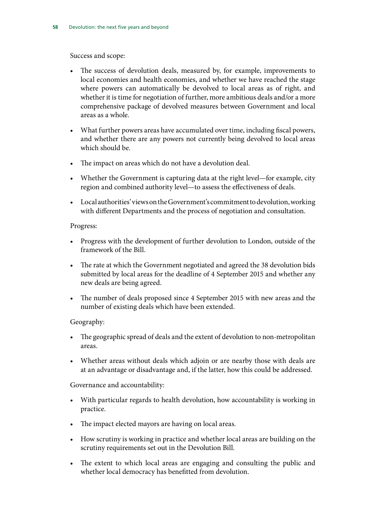[Success and scope:](#page-50-4)

- [The success of devolution deals, measured by, for example, improvements to](#page-51-0) [local economies and health economies, and whether we have reached the stage](#page-51-0) [where powers can automatically be devolved to local areas as of right, and](#page-51-0) [whether it is time for negotiation of further, more ambitious deals and/or a more](#page-51-0) [comprehensive package of devolved measures between Government and local](#page-51-0) [areas as a whole.](#page-51-0)
- [What further powers areas have accumulated over time, including fiscal powers,](#page-51-1) [and whether there are any powers not currently being devolved to local areas](#page-51-1) [which should be.](#page-51-1)
- [The impact on areas which do not have a devolution deal.](#page-51-2)
- [Whether the Government is capturing data at the right level—for example, city](#page-51-3) [region and combined authority level—to assess the effectiveness of deals.](#page-51-3)
- [Local authorities' views on the Government's commitment to devolution, working](#page-51-4) [with different Departments and the process of negotiation and consultation.](#page-51-4)

#### [Progress:](#page-51-5)

- [Progress with the development of further devolution to London, outside of the](#page-51-6) [framework of the Bill.](#page-51-6)
- [The rate at which the Government negotiated and agreed the 38 devolution bids](#page-51-7) [submitted by local areas for the deadline of 4 September 2015 and whether any](#page-51-7) [new deals are being agreed.](#page-51-7)
- [The number of deals proposed since 4 September 2015 with new areas and the](#page-51-8) [number of existing deals which have been extended.](#page-51-8)

#### [Geography:](#page-51-9)

- [The geographic spread of deals and the extent of devolution to non-metropolitan](#page-51-10) [areas.](#page-51-10)
- [Whether areas without deals which adjoin or are nearby those with deals are](#page-51-11) [at an advantage or disadvantage and, if the latter, how this could be addressed.](#page-51-11)

[Governance and accountability:](#page-51-12)

- [With particular regards to health devolution, how accountability is working in](#page-51-13) [practice.](#page-51-13)
- [The impact elected mayors are having on local areas.](#page-51-14)
- [How scrutiny is working in practice and whether local areas are building on the](#page-51-15) [scrutiny requirements set out in the Devolution Bill.](#page-51-15)
- [The extent to which local areas are engaging and consulting the public and](#page-51-16) [whether local democracy has benefitted from devolution.](#page-51-16)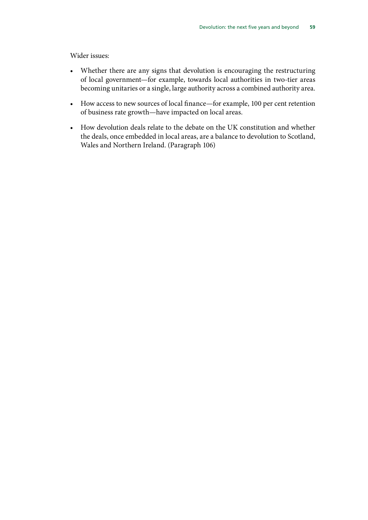[Wider issues:](#page-51-17)

- [Whether there are any signs that devolution is encouraging the restructuring](#page-52-0) [of local government—for example, towards local authorities in two-tier areas](#page-52-0) [becoming unitaries or a single, large authority across a combined authority area.](#page-52-0)
- [How access to new sources of local finance—for example, 100 per cent retention](#page-52-1) [of business rate growth—have impacted on local areas.](#page-52-1)
- [How devolution deals relate to the debate on the UK constitution and whether](#page-52-2) [the deals, once embedded in local areas, are a balance to devolution to Scotland,](#page-52-2) [Wales and Northern Ireland.](#page-52-2) (Paragraph 106)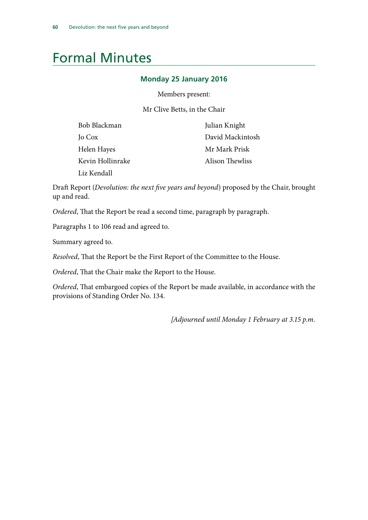### <span id="page-63-0"></span>Formal Minutes

#### **Monday 25 January 2016**

Members present:

Mr Clive Betts, in the Chair

| Bob Blackman     | Julian Knight    |
|------------------|------------------|
| Jo Cox           | David Mackintosh |
| Helen Hayes      | Mr Mark Prisk    |
| Kevin Hollinrake | Alison Thewliss  |
| Liz Kendall      |                  |

Draft Report (*Devolution: the next five years and beyond*) proposed by the Chair, brought up and read.

*Ordered*, That the Report be read a second time, paragraph by paragraph.

Paragraphs 1 to 106 read and agreed to.

Summary agreed to.

*Resolved*, That the Report be the First Report of the Committee to the House.

*Ordered*, That the Chair make the Report to the House.

*Ordered*, That embargoed copies of the Report be made available, in accordance with the provisions of Standing Order No. 134.

 *[Adjourned until Monday 1 February at 3.15 p.m.*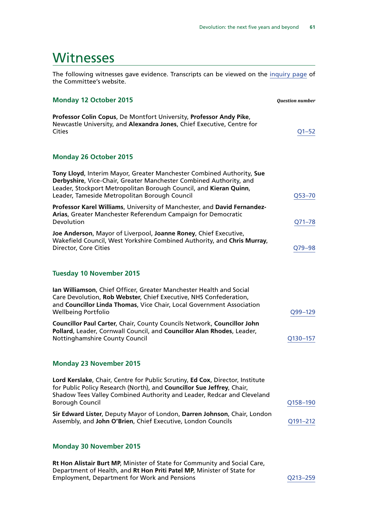### <span id="page-64-0"></span>**Witnesses**

The following witnesses gave evidence. Transcripts can be viewed on the [inquiry page](http://www.parliament.uk/business/committees/committees-a-z/commons-select/communities-and-local-government-committee/inquiries/parliament-2015/planning-and-productivity-1/) of the Committee's website.

#### **Monday 12 October 2015** *Question number*

**Professor Colin Copus**, De Montfort University, **Professor Andy Pike**, Newcastle University, and **Alexandra Jones**, Chief Executive, Centre for Cities [Q1–52](http://data.parliament.uk/writtenevidence/committeeevidence.svc/evidencedocument/communities-and-local-government-committee/the-governments-cities-and-local-government-devolution-bill/oral/22863.html)

#### **Monday 26 October 2015**

| Tony Lloyd, Interim Mayor, Greater Manchester Combined Authority, Sue<br>Derbyshire, Vice-Chair, Greater Manchester Combined Authority, and<br>Leader, Stockport Metropolitan Borough Council, and Kieran Quinn,<br>Leader, Tameside Metropolitan Borough Council | Q53-70      |
|-------------------------------------------------------------------------------------------------------------------------------------------------------------------------------------------------------------------------------------------------------------------|-------------|
| Professor Karel Williams, University of Manchester, and David Fernandez-<br>Arias, Greater Manchester Referendum Campaign for Democratic<br>Devolution                                                                                                            | Q71-78      |
| Joe Anderson, Mayor of Liverpool, Joanne Roney, Chief Executive,<br>Wakefield Council, West Yorkshire Combined Authority, and Chris Murray,<br>Director, Core Cities                                                                                              | Q79-98      |
| <b>Tuesday 10 November 2015</b>                                                                                                                                                                                                                                   |             |
| Ian Williamson, Chief Officer, Greater Manchester Health and Social<br>Care Devolution, Rob Webster, Chief Executive, NHS Confederation,<br>and Councillor Linda Thomas, Vice Chair, Local Government Association<br><b>Wellbeing Portfolio</b>                   | $Q99 - 129$ |

**Councillor Paul Carter**, Chair, County Councils Network, **Councillor John Pollard**, Leader, Cornwall Council, and **Councillor Alan Rhodes**, Leader, Nottinghamshire County Council and Council County Council County Council County Council County Council County Council

#### **Monday 23 November 2015**

| Lord Kerslake, Chair, Centre for Public Scrutiny, Ed Cox, Director, Institute |                 |
|-------------------------------------------------------------------------------|-----------------|
| for Public Policy Research (North), and Councillor Sue Jeffrey, Chair,        |                 |
| Shadow Tees Valley Combined Authority and Leader, Redcar and Cleveland        |                 |
| <b>Borough Council</b>                                                        | Q158-190        |
| Sir Edward Lister, Deputy Mayor of London, Darren Johnson, Chair, London      |                 |
| Assembly, and John O'Brien, Chief Executive, London Councils                  | $O$ 191 $-2$ 12 |

#### **Monday 30 November 2015**

**Rt Hon Alistair Burt MP**, Minister of State for Community and Social Care, Department of Health, and **Rt Hon Priti Patel MP**, Minister of State for Employment, Department for Work and Pensions [Q213–259](http://data.parliament.uk/writtenevidence/committeeevidence.svc/evidencedocument/communities-and-local-government-committee/the-governments-cities-and-local-government-devolution-bill/oral/25447.html)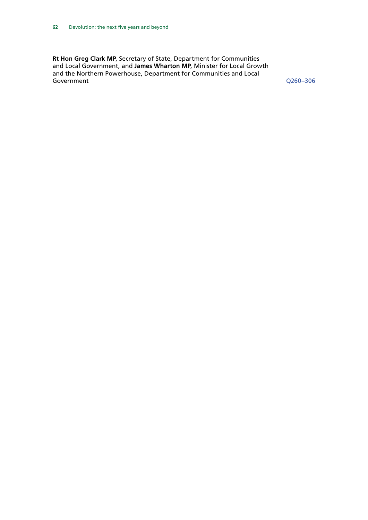**Rt Hon Greg Clark MP**, Secretary of State, Department for Communities and Local Government, and **James Wharton MP**, Minister for Local Growth and the Northern Powerhouse, Department for Communities and Local Government [Q260–306](http://data.parliament.uk/writtenevidence/committeeevidence.svc/evidencedocument/communities-and-local-government-committee/the-governments-cities-and-local-government-devolution-bill/oral/25447.html)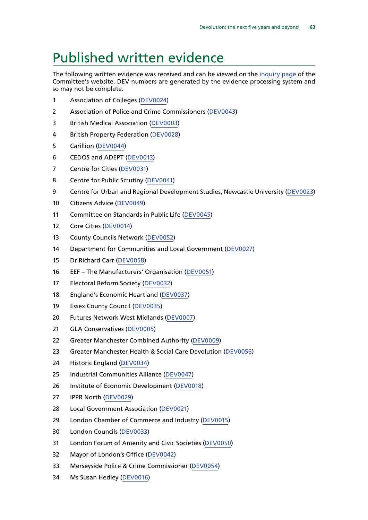### <span id="page-66-0"></span>Published written evidence

The following written evidence was received and can be viewed on the [inquiry page](http://www.parliament.uk/business/committees/committees-a-z/commons-select/communities-and-local-government-committee/inquiries/parliament-2015/planning-and-productivity-1/) of the Committee's website. DEV numbers are generated by the evidence processing system and so may not be complete.

- Association of Colleges ([DEV0024\)](http://data.parliament.uk/WrittenEvidence/CommitteeEvidence.svc/EvidenceDocument/Communities%20and%20Local%20Government/The%20Governments%20Cities%20and%20Local%20Government%20Devolution%20Bill/written/20194.html)
- Association of Police and Crime Commissioners ([DEV0043\)](http://data.parliament.uk/WrittenEvidence/CommitteeEvidence.svc/EvidenceDocument/Communities%20and%20Local%20Government/The%20Governments%20Cities%20and%20Local%20Government%20Devolution%20Bill/written/20472.html)
- British Medical Association ([DEV0003](http://data.parliament.uk/WrittenEvidence/CommitteeEvidence.svc/EvidenceDocument/Communities%20and%20Local%20Government/The%20Governments%20Cities%20and%20Local%20Government%20Devolution%20Bill/written/19504.html))
- British Property Federation [\(DEV0028](http://data.parliament.uk/WrittenEvidence/CommitteeEvidence.svc/EvidenceDocument/Communities%20and%20Local%20Government/The%20Governments%20Cities%20and%20Local%20Government%20Devolution%20Bill/written/20255.html))
- Carillion [\(DEV0044](http://data.parliament.uk/WrittenEvidence/CommitteeEvidence.svc/EvidenceDocument/Communities%20and%20Local%20Government/The%20Governments%20Cities%20and%20Local%20Government%20Devolution%20Bill/written/20475.html))
- CEDOS and ADEPT [\(DEV0013](http://data.parliament.uk/WrittenEvidence/CommitteeEvidence.svc/EvidenceDocument/Communities%20and%20Local%20Government/The%20Governments%20Cities%20and%20Local%20Government%20Devolution%20Bill/written/19999.html))
- Centre for Cities [\(DEV0031\)](http://data.parliament.uk/WrittenEvidence/CommitteeEvidence.svc/EvidenceDocument/Communities%20and%20Local%20Government/The%20Governments%20Cities%20and%20Local%20Government%20Devolution%20Bill/written/20259.html)
- Centre for Public Scrutiny [\(DEV0041\)](http://data.parliament.uk/WrittenEvidence/CommitteeEvidence.svc/EvidenceDocument/Communities%20and%20Local%20Government/The%20Governments%20Cities%20and%20Local%20Government%20Devolution%20Bill/written/20390.html)
- Centre for Urban and Regional Development Studies, Newcastle University ([DEV0023\)](http://data.parliament.uk/WrittenEvidence/CommitteeEvidence.svc/EvidenceDocument/Communities%20and%20Local%20Government/The%20Governments%20Cities%20and%20Local%20Government%20Devolution%20Bill/written/20193.html)
- Citizens Advice [\(DEV0049\)](http://data.parliament.uk/WrittenEvidence/CommitteeEvidence.svc/EvidenceDocument/Communities%20and%20Local%20Government/The%20Governments%20Cities%20and%20Local%20Government%20Devolution%20Bill/written/20921.html)
- Committee on Standards in Public Life [\(DEV0045\)](http://data.parliament.uk/WrittenEvidence/CommitteeEvidence.svc/EvidenceDocument/Communities%20and%20Local%20Government/The%20Governments%20Cities%20and%20Local%20Government%20Devolution%20Bill/written/20545.html)
- Core Cities [\(DEV0014\)](http://data.parliament.uk/WrittenEvidence/CommitteeEvidence.svc/EvidenceDocument/Communities%20and%20Local%20Government/The%20Governments%20Cities%20and%20Local%20Government%20Devolution%20Bill/written/20058.html)
- County Councils Network [\(DEV0052](http://data.parliament.uk/WrittenEvidence/CommitteeEvidence.svc/EvidenceDocument/Communities%20and%20Local%20Government/The%20Governments%20Cities%20and%20Local%20Government%20Devolution%20Bill/written/21027.html))
- Department for Communities and Local Government ([DEV0027\)](http://data.parliament.uk/WrittenEvidence/CommitteeEvidence.svc/EvidenceDocument/Communities%20and%20Local%20Government/The%20Governments%20Cities%20and%20Local%20Government%20Devolution%20Bill/written/20249.html)
- Dr Richard Carr ([DEV0058](http://data.parliament.uk/WrittenEvidence/CommitteeEvidence.svc/EvidenceDocument/Communities%20and%20Local%20Government/The%20Governments%20Cities%20and%20Local%20Government%20Devolution%20Bill/written/26565.html))
- EEF The Manufacturers' Organisation ([DEV0051\)](http://data.parliament.uk/WrittenEvidence/CommitteeEvidence.svc/EvidenceDocument/Communities%20and%20Local%20Government/The%20Governments%20Cities%20and%20Local%20Government%20Devolution%20Bill/written/20978.html)
- Electoral Reform Society ([DEV0032\)](http://data.parliament.uk/WrittenEvidence/CommitteeEvidence.svc/EvidenceDocument/Communities%20and%20Local%20Government/The%20Governments%20Cities%20and%20Local%20Government%20Devolution%20Bill/written/20263.html)
- England's Economic Heartland ([DEV0037\)](http://data.parliament.uk/WrittenEvidence/CommitteeEvidence.svc/EvidenceDocument/Communities%20and%20Local%20Government/The%20Governments%20Cities%20and%20Local%20Government%20Devolution%20Bill/written/20297.html)
- Essex County Council [\(DEV0035\)](http://data.parliament.uk/WrittenEvidence/CommitteeEvidence.svc/EvidenceDocument/Communities%20and%20Local%20Government/The%20Governments%20Cities%20and%20Local%20Government%20Devolution%20Bill/written/20285.html)
- Futures Network West Midlands [\(DEV0007](http://data.parliament.uk/WrittenEvidence/CommitteeEvidence.svc/EvidenceDocument/Communities%20and%20Local%20Government/The%20Governments%20Cities%20and%20Local%20Government%20Devolution%20Bill/written/19803.html))
- GLA Conservatives [\(DEV0005\)](http://data.parliament.uk/WrittenEvidence/CommitteeEvidence.svc/EvidenceDocument/Communities%20and%20Local%20Government/The%20Governments%20Cities%20and%20Local%20Government%20Devolution%20Bill/written/19693.html)
- Greater Manchester Combined Authority [\(DEV0009\)](http://data.parliament.uk/WrittenEvidence/CommitteeEvidence.svc/EvidenceDocument/Communities%20and%20Local%20Government/The%20Governments%20Cities%20and%20Local%20Government%20Devolution%20Bill/written/19853.html)
- Greater Manchester Health & Social Care Devolution [\(DEV0056](http://data.parliament.uk/WrittenEvidence/CommitteeEvidence.svc/EvidenceDocument/Communities%20and%20Local%20Government/The%20Governments%20Cities%20and%20Local%20Government%20Devolution%20Bill/written/25360.html))
- Historic England ([DEV0034](http://data.parliament.uk/WrittenEvidence/CommitteeEvidence.svc/EvidenceDocument/Communities%20and%20Local%20Government/The%20Governments%20Cities%20and%20Local%20Government%20Devolution%20Bill/written/20277.html))
- Industrial Communities Alliance ([DEV0047](http://data.parliament.uk/WrittenEvidence/CommitteeEvidence.svc/EvidenceDocument/Communities%20and%20Local%20Government/The%20Governments%20Cities%20and%20Local%20Government%20Devolution%20Bill/written/20880.html))
- Institute of Economic Development ([DEV0018](http://data.parliament.uk/WrittenEvidence/CommitteeEvidence.svc/EvidenceDocument/Communities%20and%20Local%20Government/The%20Governments%20Cities%20and%20Local%20Government%20Devolution%20Bill/written/20152.html))
- IPPR North [\(DEV0029](http://data.parliament.uk/WrittenEvidence/CommitteeEvidence.svc/EvidenceDocument/Communities%20and%20Local%20Government/The%20Governments%20Cities%20and%20Local%20Government%20Devolution%20Bill/written/20256.html))
- Local Government Association [\(DEV0021](http://data.parliament.uk/WrittenEvidence/CommitteeEvidence.svc/EvidenceDocument/Communities%20and%20Local%20Government/The%20Governments%20Cities%20and%20Local%20Government%20Devolution%20Bill/written/20188.html))
- London Chamber of Commerce and Industry ([DEV0015](http://data.parliament.uk/WrittenEvidence/CommitteeEvidence.svc/EvidenceDocument/Communities%20and%20Local%20Government/The%20Governments%20Cities%20and%20Local%20Government%20Devolution%20Bill/written/20069.html))
- London Councils ([DEV0033](http://data.parliament.uk/WrittenEvidence/CommitteeEvidence.svc/EvidenceDocument/Communities%20and%20Local%20Government/The%20Governments%20Cities%20and%20Local%20Government%20Devolution%20Bill/written/20273.html))
- London Forum of Amenity and Civic Societies ([DEV0050\)](http://data.parliament.uk/WrittenEvidence/CommitteeEvidence.svc/EvidenceDocument/Communities%20and%20Local%20Government/The%20Governments%20Cities%20and%20Local%20Government%20Devolution%20Bill/written/20969.html)
- Mayor of London's Office [\(DEV0042](http://data.parliament.uk/WrittenEvidence/CommitteeEvidence.svc/EvidenceDocument/Communities%20and%20Local%20Government/The%20Governments%20Cities%20and%20Local%20Government%20Devolution%20Bill/written/20395.html))
- Merseyside Police & Crime Commissioner [\(DEV0054\)](http://data.parliament.uk/WrittenEvidence/CommitteeEvidence.svc/EvidenceDocument/Communities%20and%20Local%20Government/The%20Governments%20Cities%20and%20Local%20Government%20Devolution%20Bill/written/21629.html)
- Ms Susan Hedley ([DEV0016\)](http://data.parliament.uk/WrittenEvidence/CommitteeEvidence.svc/EvidenceDocument/Communities%20and%20Local%20Government/The%20Governments%20Cities%20and%20Local%20Government%20Devolution%20Bill/written/20116.html)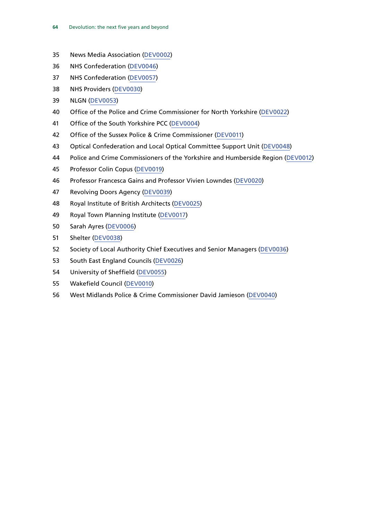- News Media Association [\(DEV0002\)](http://data.parliament.uk/WrittenEvidence/CommitteeEvidence.svc/EvidenceDocument/Communities%20and%20Local%20Government/The%20Governments%20Cities%20and%20Local%20Government%20Devolution%20Bill/written/19401.html)
- NHS Confederation ([DEV0046\)](http://data.parliament.uk/WrittenEvidence/CommitteeEvidence.svc/EvidenceDocument/Communities%20and%20Local%20Government/The%20Governments%20Cities%20and%20Local%20Government%20Devolution%20Bill/written/20874.html)
- NHS Confederation ([DEV0057](http://data.parliament.uk/WrittenEvidence/CommitteeEvidence.svc/EvidenceDocument/Communities%20and%20Local%20Government/The%20Governments%20Cities%20and%20Local%20Government%20Devolution%20Bill/written/26509.html))
- NHS Providers [\(DEV0030](http://data.parliament.uk/WrittenEvidence/CommitteeEvidence.svc/EvidenceDocument/Communities%20and%20Local%20Government/The%20Governments%20Cities%20and%20Local%20Government%20Devolution%20Bill/written/20258.html))
- NLGN [\(DEV0053](http://data.parliament.uk/WrittenEvidence/CommitteeEvidence.svc/EvidenceDocument/Communities%20and%20Local%20Government/The%20Governments%20Cities%20and%20Local%20Government%20Devolution%20Bill/written/21335.html))
- Office of the Police and Crime Commissioner for North Yorkshire ([DEV0022\)](http://data.parliament.uk/WrittenEvidence/CommitteeEvidence.svc/EvidenceDocument/Communities%20and%20Local%20Government/The%20Governments%20Cities%20and%20Local%20Government%20Devolution%20Bill/written/20191.html)
- Office of the South Yorkshire PCC [\(DEV0004\)](http://data.parliament.uk/WrittenEvidence/CommitteeEvidence.svc/EvidenceDocument/Communities%20and%20Local%20Government/The%20Governments%20Cities%20and%20Local%20Government%20Devolution%20Bill/written/19551.html)
- Office of the Sussex Police & Crime Commissioner ([DEV0011](http://data.parliament.uk/WrittenEvidence/CommitteeEvidence.svc/EvidenceDocument/Communities%20and%20Local%20Government/The%20Governments%20Cities%20and%20Local%20Government%20Devolution%20Bill/written/19931.html))
- Optical Confederation and Local Optical Committee Support Unit [\(DEV0048](http://data.parliament.uk/WrittenEvidence/CommitteeEvidence.svc/EvidenceDocument/Communities%20and%20Local%20Government/The%20Governments%20Cities%20and%20Local%20Government%20Devolution%20Bill/written/20882.html))
- Police and Crime Commissioners of the Yorkshire and Humberside Region ([DEV0012\)](http://data.parliament.uk/WrittenEvidence/CommitteeEvidence.svc/EvidenceDocument/Communities%20and%20Local%20Government/The%20Governments%20Cities%20and%20Local%20Government%20Devolution%20Bill/written/19968.html)
- Professor Colin Copus ([DEV0019](http://data.parliament.uk/WrittenEvidence/CommitteeEvidence.svc/EvidenceDocument/Communities%20and%20Local%20Government/The%20Governments%20Cities%20and%20Local%20Government%20Devolution%20Bill/written/20159.html))
- Professor Francesca Gains and Professor Vivien Lowndes [\(DEV0020\)](http://data.parliament.uk/WrittenEvidence/CommitteeEvidence.svc/EvidenceDocument/Communities%20and%20Local%20Government/The%20Governments%20Cities%20and%20Local%20Government%20Devolution%20Bill/written/20184.html)
- Revolving Doors Agency [\(DEV0039](http://data.parliament.uk/WrittenEvidence/CommitteeEvidence.svc/EvidenceDocument/Communities%20and%20Local%20Government/The%20Governments%20Cities%20and%20Local%20Government%20Devolution%20Bill/written/20302.html))
- Royal Institute of British Architects ([DEV0025\)](http://data.parliament.uk/WrittenEvidence/CommitteeEvidence.svc/EvidenceDocument/Communities%20and%20Local%20Government/The%20Governments%20Cities%20and%20Local%20Government%20Devolution%20Bill/written/20212.html)
- Royal Town Planning Institute [\(DEV0017](http://data.parliament.uk/WrittenEvidence/CommitteeEvidence.svc/EvidenceDocument/Communities%20and%20Local%20Government/The%20Governments%20Cities%20and%20Local%20Government%20Devolution%20Bill/written/20132.html))
- Sarah Ayres [\(DEV0006\)](http://data.parliament.uk/WrittenEvidence/CommitteeEvidence.svc/EvidenceDocument/Communities%20and%20Local%20Government/The%20Governments%20Cities%20and%20Local%20Government%20Devolution%20Bill/written/19774.html)
- Shelter [\(DEV0038\)](http://data.parliament.uk/WrittenEvidence/CommitteeEvidence.svc/EvidenceDocument/Communities%20and%20Local%20Government/The%20Governments%20Cities%20and%20Local%20Government%20Devolution%20Bill/written/20299.html)
- Society of Local Authority Chief Executives and Senior Managers [\(DEV0036\)](http://data.parliament.uk/WrittenEvidence/CommitteeEvidence.svc/EvidenceDocument/Communities%20and%20Local%20Government/The%20Governments%20Cities%20and%20Local%20Government%20Devolution%20Bill/written/20293.html)
- South East England Councils [\(DEV0026](http://data.parliament.uk/WrittenEvidence/CommitteeEvidence.svc/EvidenceDocument/Communities%20and%20Local%20Government/The%20Governments%20Cities%20and%20Local%20Government%20Devolution%20Bill/written/20230.html))
- University of Sheffield [\(DEV0055](http://data.parliament.uk/WrittenEvidence/CommitteeEvidence.svc/EvidenceDocument/Communities%20and%20Local%20Government/The%20Governments%20Cities%20and%20Local%20Government%20Devolution%20Bill/written/21730.html))
- Wakefield Council [\(DEV0010\)](http://data.parliament.uk/WrittenEvidence/CommitteeEvidence.svc/EvidenceDocument/Communities%20and%20Local%20Government/The%20Governments%20Cities%20and%20Local%20Government%20Devolution%20Bill/written/19921.html)
- West Midlands Police & Crime Commissioner David Jamieson [\(DEV0040\)](http://data.parliament.uk/WrittenEvidence/CommitteeEvidence.svc/EvidenceDocument/Communities%20and%20Local%20Government/The%20Governments%20Cities%20and%20Local%20Government%20Devolution%20Bill/written/20303.html)